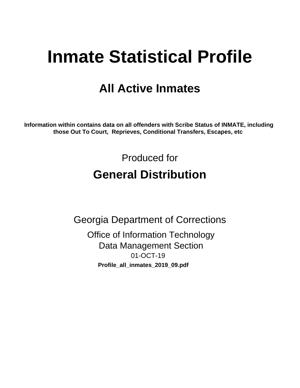# **Inmate Statistical Profile**

# **All Active Inmates**

Information within contains data on all offenders with Scribe Status of INMATE, including those Out To Court, Reprieves, Conditional Transfers, Escapes, etc

> Produced for **General Distribution**

**Georgia Department of Corrections Office of Information Technology Data Management Section** 01-OCT-19

Profile\_all\_inmates\_2019\_09.pdf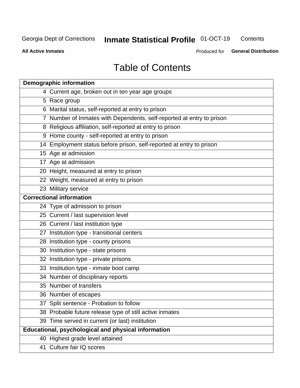#### **Inmate Statistical Profile 01-OCT-19** Contents

**All Active Inmates** 

Produced for General Distribution

# **Table of Contents**

| <b>Demographic information</b>                                        |
|-----------------------------------------------------------------------|
| 4 Current age, broken out in ten year age groups                      |
| 5 Race group                                                          |
| 6 Marital status, self-reported at entry to prison                    |
| 7 Number of Inmates with Dependents, self-reported at entry to prison |
| 8 Religious affiliation, self-reported at entry to prison             |
| 9 Home county - self-reported at entry to prison                      |
| 14 Employment status before prison, self-reported at entry to prison  |
| 15 Age at admission                                                   |
| 17 Age at admission                                                   |
| 20 Height, measured at entry to prison                                |
| 22 Weight, measured at entry to prison                                |
| 23 Military service                                                   |
| <b>Correctional information</b>                                       |
| 24 Type of admission to prison                                        |
| 25 Current / last supervision level                                   |
| 26 Current / last institution type                                    |
| 27 Institution type - transitional centers                            |
| 28 Institution type - county prisons                                  |
| 30 Institution type - state prisons                                   |
| 32 Institution type - private prisons                                 |
| 33 Institution type - inmate boot camp                                |
| 34 Number of disciplinary reports                                     |
| 35 Number of transfers                                                |
| 36 Number of escapes                                                  |
| 37 Split sentence - Probation to follow                               |
| 38 Probable future release type of still active inmates               |
| 39 Time served in current (or last) institution                       |
| <b>Educational, psychological and physical information</b>            |
| 40 Highest grade level attained                                       |
| 41 Culture fair IQ scores                                             |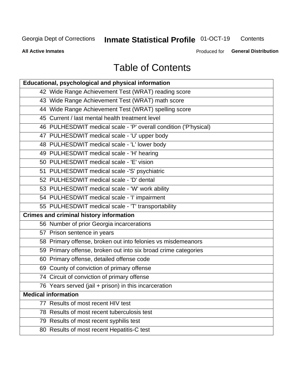# **Inmate Statistical Profile 01-OCT-19**

Contents

**All Active Inmates** 

Produced for General Distribution

# **Table of Contents**

| Educational, psychological and physical information              |
|------------------------------------------------------------------|
| 42 Wide Range Achievement Test (WRAT) reading score              |
| 43 Wide Range Achievement Test (WRAT) math score                 |
| 44 Wide Range Achievement Test (WRAT) spelling score             |
| 45 Current / last mental health treatment level                  |
| 46 PULHESDWIT medical scale - 'P' overall condition ('P'hysical) |
| 47 PULHESDWIT medical scale - 'U' upper body                     |
| 48 PULHESDWIT medical scale - 'L' lower body                     |
| 49 PULHESDWIT medical scale - 'H' hearing                        |
| 50 PULHESDWIT medical scale - 'E' vision                         |
| 51 PULHESDWIT medical scale -'S' psychiatric                     |
| 52 PULHESDWIT medical scale - 'D' dental                         |
| 53 PULHESDWIT medical scale - 'W' work ability                   |
| 54 PULHESDWIT medical scale - 'I' impairment                     |
| 55 PULHESDWIT medical scale - 'T' transportability               |
| <b>Crimes and criminal history information</b>                   |
| 56 Number of prior Georgia incarcerations                        |
| 57 Prison sentence in years                                      |
| 58 Primary offense, broken out into felonies vs misdemeanors     |
| 59 Primary offense, broken out into six broad crime categories   |
| 60 Primary offense, detailed offense code                        |
| 69 County of conviction of primary offense                       |
| 74 Circuit of conviction of primary offense                      |
| 76 Years served (jail + prison) in this incarceration            |
| <b>Medical information</b>                                       |
| 77 Results of most recent HIV test                               |
| 78 Results of most recent tuberculosis test                      |
| 79 Results of most recent syphilis test                          |
| 80 Results of most recent Hepatitis-C test                       |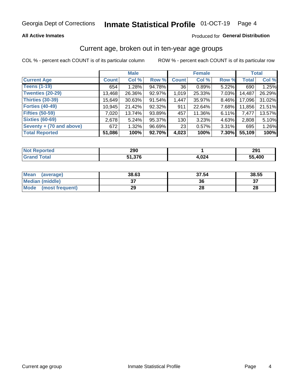# Inmate Statistical Profile 01-OCT-19 Page 4

#### **All Active Inmates**

#### Produced for General Distribution

#### Current age, broken out in ten-year age groups

COL % - percent each COUNT is of its particular column

|                          |              | <b>Male</b> |        |              | <b>Female</b> |          |              | <b>Total</b> |  |
|--------------------------|--------------|-------------|--------|--------------|---------------|----------|--------------|--------------|--|
| <b>Current Age</b>       | <b>Count</b> | Col %       | Row %  | <b>Count</b> | Col %         | Row %    | <b>Total</b> | Col %        |  |
| <b>Teens (1-19)</b>      | 654          | 1.28%       | 94.78% | 36           | 0.89%         | 5.22%    | 690          | 1.25%        |  |
| <b>Twenties (20-29)</b>  | 13,468       | 26.36%      | 92.97% | 1,019        | 25.33%        | $7.03\%$ | 14,487       | 26.29%       |  |
| Thirties (30-39)         | 15,649       | 30.63%      | 91.54% | 1,447        | 35.97%        | 8.46%    | 17,096       | 31.02%       |  |
| <b>Forties (40-49)</b>   | 10,945       | 21.42%      | 92.32% | 911          | 22.64%        | 7.68%    | 11,856       | 21.51%       |  |
| <b>Fifties (50-59)</b>   | 7,020        | 13.74%      | 93.89% | 457          | 11.36%        | 6.11%    | 7,477        | 13.57%       |  |
| <b>Sixties (60-69)</b>   | 2,678        | 5.24%       | 95.37% | 130          | 3.23%         | 4.63%    | 2,808        | 5.10%        |  |
| Seventy + (70 and above) | 672          | 1.32%       | 96.69% | 23           | 0.57%         | 3.31%    | 695          | 1.26%        |  |
| <b>Total Reported</b>    | 51,086       | 100%        | 92.70% | 4,023        | 100%          | 7.30%    | 55,109       | 100%         |  |

| Not I<br><b>Enorted</b> | 290 |              | 291    |
|-------------------------|-----|--------------|--------|
| Total                   | 27c | ے مہ<br>,vz4 | 55,400 |

| <b>Mean</b><br>(average) | 38.63         | 37.54 | 38.55 |
|--------------------------|---------------|-------|-------|
| Median (middle)          | $\sim$<br>ا پ | 36    | ^¬    |
| Mode<br>(most frequent)  | 29            | 28    | 28    |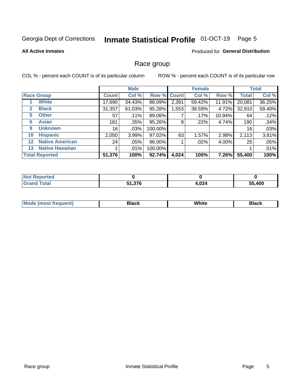#### Inmate Statistical Profile 01-OCT-19 Page 5

#### **All Active Inmates**

#### Produced for General Distribution

#### Race group

COL % - percent each COUNT is of its particular column

|              |                        |              | <b>Male</b> |         |             | <b>Female</b> |        |              | <b>Total</b> |  |
|--------------|------------------------|--------------|-------------|---------|-------------|---------------|--------|--------------|--------------|--|
|              | <b>Race Group</b>      | <b>Count</b> | Col %       |         | Row % Count | Col %         | Row %  | <b>Total</b> | Col %        |  |
|              | <b>White</b>           | 17,690       | 34.43%      | 88.09%  | 2,391       | 59.42%        | 11.91% | 20,081       | 36.25%       |  |
| $\mathbf{2}$ | <b>Black</b>           | 31,357       | 61.03%      | 95.28%  | 1,553       | 38.59%        | 4.72%  | 32,910       | 59.40%       |  |
| 5.           | <b>Other</b>           | 57           | .11%        | 89.06%  |             | .17%          | 10.94% | 64           | .12%         |  |
| 6            | <b>Asian</b>           | 181          | .35%        | 95.26%  | 9           | .22%          | 4.74%  | 190          | .34%         |  |
| 9            | <b>Unknown</b>         | 16           | $.03\%$     | 100.00% |             |               |        | 16           | .03%         |  |
| 10           | <b>Hispanic</b>        | 2,050        | 3.99%       | 97.02%  | 63          | 1.57%         | 2.98%  | 2,113        | 3.81%        |  |
| $12 \,$      | <b>Native American</b> | 24           | $.05\%$     | 96.00%  |             | $.02\%$       | 4.00%  | 25           | .05%         |  |
| 13           | <b>Native Hawaiian</b> |              | $.01\%$     | 100.00% |             |               |        |              | .01%         |  |
|              | <b>Total Reported</b>  | 51,376       | 100%        | 92.74%  | 4,024       | 100%          | 7.26%  | 55,400       | 100%         |  |

| <b>Not Reported</b>   |               |       |        |
|-----------------------|---------------|-------|--------|
| <b>Total</b><br>Gran' | 51,376<br>E4. | 4,024 | 55,400 |

| <b>Mode</b><br>---<br>most frequent) | Black | White | <b>Black</b> |
|--------------------------------------|-------|-------|--------------|
|                                      |       |       |              |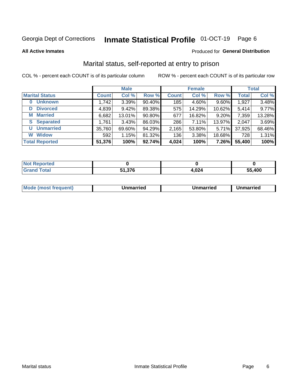#### Inmate Statistical Profile 01-OCT-19 Page 6

**All Active Inmates** 

#### Produced for General Distribution

### Marital status, self-reported at entry to prison

COL % - percent each COUNT is of its particular column

|                            | <b>Male</b>  |        |        |              | <b>Female</b> | <b>Total</b> |              |        |
|----------------------------|--------------|--------|--------|--------------|---------------|--------------|--------------|--------|
| <b>Marital Status</b>      | <b>Count</b> | Col %  | Row %  | <b>Count</b> | Col %         | Row %        | <b>Total</b> | Col %  |
| <b>Unknown</b><br>$\bf{0}$ | 1,742        | 3.39%  | 90.40% | 185          | 4.60%         | 9.60%        | 1,927        | 3.48%  |
| <b>Divorced</b><br>D       | 4,839        | 9.42%  | 89.38% | 575          | 14.29%        | 10.62%       | 5,414        | 9.77%  |
| <b>Married</b><br>М        | 6,682        | 13.01% | 90.80% | 677          | 16.82%        | 9.20%        | 7,359        | 13.28% |
| <b>Separated</b><br>S      | 1,761        | 3.43%  | 86.03% | 286          | 7.11%         | 13.97%       | 2,047        | 3.69%  |
| <b>Unmarried</b><br>U      | 35,760       | 69.60% | 94.29% | 2,165        | 53.80%        | 5.71%        | 37,925       | 68.46% |
| <b>Widow</b><br>W          | 592          | 1.15%  | 81.32% | 136          | 3.38%         | 18.68%       | 728          | 1.31%  |
| <b>Total Reported</b>      | 51,376       | 100%   | 92.74% | 4,024        | 100%          | 7.26%        | 55,400       | 100%   |

| <b>Not</b><br>rteo |        |               |        |
|--------------------|--------|---------------|--------|
| <b>Total</b>       | $\sim$ | no /<br>4,044 | 55.400 |

|--|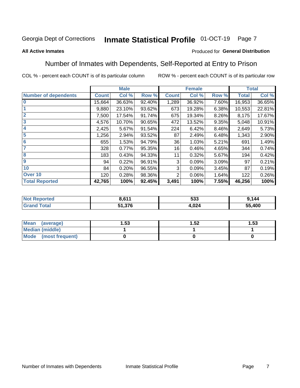#### Inmate Statistical Profile 01-OCT-19 Page 7

#### **All Active Inmates**

#### Produced for General Distribution

### Number of Inmates with Dependents, Self-Reported at Entry to Prison

COL % - percent each COUNT is of its particular column

|                             |              | <b>Male</b> |        |                | <b>Female</b> |       | <b>Total</b> |        |
|-----------------------------|--------------|-------------|--------|----------------|---------------|-------|--------------|--------|
| <b>Number of dependents</b> | <b>Count</b> | Col %       | Row %  | <b>Count</b>   | Col %         | Row % | <b>Total</b> | Col %  |
| l 0                         | 15,664       | 36.63%      | 92.40% | 1,289          | 36.92%        | 7.60% | 16,953       | 36.65% |
|                             | 9,880        | 23.10%      | 93.62% | 673            | 19.28%        | 6.38% | 10,553       | 22.81% |
| $\overline{2}$              | 7,500        | 17.54%      | 91.74% | 675            | 19.34%        | 8.26% | 8,175        | 17.67% |
| $\overline{\mathbf{3}}$     | 4,576        | 10.70%      | 90.65% | 472            | 13.52%        | 9.35% | 5,048        | 10.91% |
| 4                           | 2,425        | 5.67%       | 91.54% | 224            | 6.42%         | 8.46% | 2,649        | 5.73%  |
| 5                           | 1,256        | 2.94%       | 93.52% | 87             | 2.49%         | 6.48% | 1,343        | 2.90%  |
| 6                           | 655          | 1.53%       | 94.79% | 36             | 1.03%         | 5.21% | 691          | 1.49%  |
| 7                           | 328          | 0.77%       | 95.35% | 16             | 0.46%         | 4.65% | 344          | 0.74%  |
| 8                           | 183          | 0.43%       | 94.33% | 11             | 0.32%         | 5.67% | 194          | 0.42%  |
| 9                           | 94           | 0.22%       | 96.91% | 3              | 0.09%         | 3.09% | 97           | 0.21%  |
| 10                          | 84           | 0.20%       | 96.55% | 3              | 0.09%         | 3.45% | 87           | 0.19%  |
| Over 10                     | 120          | 0.28%       | 98.36% | $\overline{2}$ | 0.06%         | 1.64% | 122          | 0.26%  |
| <b>Total Reported</b>       | 42,765       | 100%        | 92.45% | 3,491          | 100%          | 7.55% | 46,256       | 100%   |

| NG | <b>D C 4 4</b> | 533  | 144        |
|----|----------------|------|------------|
|    | 51,376         | .024 | ,400<br>ວວ |

| Mean (average)         | . 53 | 1.52 | 1.53 |
|------------------------|------|------|------|
| <b>Median (middle)</b> |      |      |      |
| Mode (most frequent)   |      |      |      |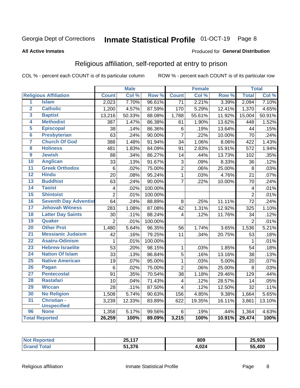#### Inmate Statistical Profile 01-OCT-19 Page 8

#### **All Active Inmates**

#### Produced for General Distribution

### Religious affiliation, self-reported at entry to prison

COL % - percent each COUNT is of its particular column

|                         |                              |                         | <b>Male</b> |         |                         | <b>Female</b> |                  |                 | <b>Total</b> |
|-------------------------|------------------------------|-------------------------|-------------|---------|-------------------------|---------------|------------------|-----------------|--------------|
|                         | <b>Religious Affiliation</b> | <b>Count</b>            | Col %       | Row %   | <b>Count</b>            | Col %         | Row <sup>%</sup> | <b>Total</b>    | Col %        |
| $\overline{1}$          | <b>Islam</b>                 | 2,023                   | 7.70%       | 96.61%  | $\overline{71}$         | 2.21%         | 3.39%            | 2,094           | 7.10%        |
| $\overline{\mathbf{2}}$ | <b>Catholic</b>              | 1,200                   | 4.57%       | 87.59%  | 170                     | 5.29%         | 12.41%           | 1,370           | 4.65%        |
| 3                       | <b>Baptist</b>               | 13,216                  | 50.33%      | 88.08%  | 1,788                   | 55.61%        | 11.92%           | 15,004          | 50.91%       |
| 4                       | <b>Methodist</b>             | 387                     | 1.47%       | 86.38%  | 61                      | 1.90%         | 13.62%           | 448             | 1.52%        |
| 5                       | <b>Episcopal</b>             | 38                      | .14%        | 86.36%  | $\,6$                   | .19%          | 13.64%           | 44              | .15%         |
| $\overline{\bf{6}}$     | <b>Presbyterian</b>          | 63                      | .24%        | 90.00%  | $\overline{7}$          | .22%          | 10.00%           | 70              | .24%         |
| 7                       | <b>Church Of God</b>         | 388                     | 1.48%       | 91.94%  | 34                      | 1.06%         | 8.06%            | 422             | 1.43%        |
| $\overline{\mathbf{8}}$ | <b>Holiness</b>              | 481                     | 1.83%       | 84.09%  | 91                      | 2.83%         | 15.91%           | 572             | 1.94%        |
| $\overline{9}$          | <b>Jewish</b>                | 88                      | .34%        | 86.27%  | 14                      | .44%          | 13.73%           | 102             | .35%         |
| 10                      | <b>Anglican</b>              | 33                      | .13%        | 91.67%  | 3                       | .09%          | 8.33%            | 36              | .12%         |
| $\overline{11}$         | <b>Greek Orthodox</b>        | $\,6$                   | .02%        | 75.00%  | $\overline{2}$          | .06%          | 25.00%           | 8               | .03%         |
| 12                      | <b>Hindu</b>                 | 20                      | .08%        | 95.24%  | $\overline{1}$          | .03%          | 4.76%            | $\overline{21}$ | .07%         |
| 13                      | <b>Buddhist</b>              | 63                      | .24%        | 90.00%  | $\overline{7}$          | .22%          | 10.00%           | 70              | .24%         |
| 14                      | <b>Taoist</b>                | $\overline{\mathbf{4}}$ | .02%        | 100.00% |                         |               |                  | 4               | .01%         |
| 15                      | <b>Shintoist</b>             | $\overline{2}$          | .01%        | 100.00% |                         |               |                  | $\overline{2}$  | .01%         |
| 16                      | <b>Seventh Day Adventist</b> | 64                      | .24%        | 88.89%  | 8                       | .25%          | 11.11%           | $\overline{72}$ | .24%         |
| 17                      | <b>Jehovah Witness</b>       | 283                     | 1.08%       | 87.08%  | 42                      | 1.31%         | 12.92%           | 325             | 1.10%        |
| 18                      | <b>Latter Day Saints</b>     | 30                      | .11%        | 88.24%  | 4                       | .12%          | 11.76%           | 34              | .12%         |
| 19                      | Quaker                       | $\overline{2}$          | .01%        | 100.00% |                         |               |                  | $\overline{2}$  | .01%         |
| 20                      | <b>Other Prot</b>            | 1,480                   | 5.64%       | 96.35%  | 56                      | 1.74%         | 3.65%            | 1,536           | 5.21%        |
| $\overline{21}$         | <b>Messianic Judaism</b>     | 42                      | .16%        | 79.25%  | 11                      | .34%          | 20.75%           | 53              | .18%         |
| 22                      | <b>Asatru-Odinism</b>        | 1                       | .01%        | 100.00% |                         |               |                  | 1               | .01%         |
| 23                      | <b>Hebrew Israelite</b>      | $\overline{53}$         | .20%        | 98.15%  | $\mathbf{1}$            | .03%          | 1.85%            | 54              | .18%         |
| 24                      | <b>Nation Of Islam</b>       | 33                      | .13%        | 86.84%  | $\mathbf 5$             | .16%          | 13.16%           | 38              | .13%         |
| 25                      | <b>Native American</b>       | 19                      | .07%        | 95.00%  | $\mathbf{1}$            | .03%          | 5.00%            | 20              | .07%         |
| 26                      | <b>Pagan</b>                 | $\,6$                   | .02%        | 75.00%  | $\overline{2}$          | .06%          | 25.00%           | 8               | .03%         |
| 27                      | <b>Pentecostal</b>           | 91                      | .35%        | 70.54%  | 38                      | 1.18%         | 29.46%           | 129             | .44%         |
| 28                      | <b>Rastafari</b>             | 10                      | .04%        | 71.43%  | $\overline{\mathbf{4}}$ | .12%          | 28.57%           | 14              | .05%         |
| 29                      | <b>Wiccan</b>                | 28                      | .11%        | 87.50%  | 4                       | .12%          | 12.50%           | $\overline{32}$ | .11%         |
| 30                      | <b>No Religion</b>           | 1,508                   | 5.74%       | 90.63%  | 156                     | 4.85%         | 9.38%            | 1,664           | 5.65%        |
| 31                      | Christian -                  | 3,239                   | 12.33%      | 83.89%  | 622                     | 19.35%        | 16.11%           | 3,861           | 13.10%       |
|                         | <b>Unspecified</b>           |                         |             |         |                         |               |                  |                 |              |
| 96                      | <b>None</b>                  | 1,358                   | 5.17%       | 99.56%  | 6                       | .19%          | .44%             | 1,364           | 4.63%        |
|                         | <b>Total Reported</b>        | 26,259                  | 100%        | 89.09%  | 3,215                   | 100%          | 10.91%           | 29,474          | 100%         |

| Ter. | 25,117               | 809  | 25,926     |
|------|----------------------|------|------------|
|      | 27c<br>C A<br>0 וכ.ו | ,024 | .400<br>55 |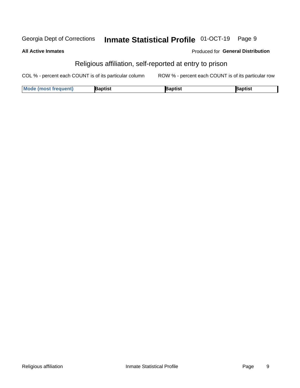#### Inmate Statistical Profile 01-OCT-19 Georgia Dept of Corrections Page 9

#### **All Active Inmates**

#### Produced for General Distribution

### Religious affiliation, self-reported at entry to prison

COL % - percent each COUNT is of its particular column ROW % - percent each COUNT is of its particular row

| <b>Mode (most frequent)</b> | Baptist | 3aptist | Baptist |
|-----------------------------|---------|---------|---------|
|-----------------------------|---------|---------|---------|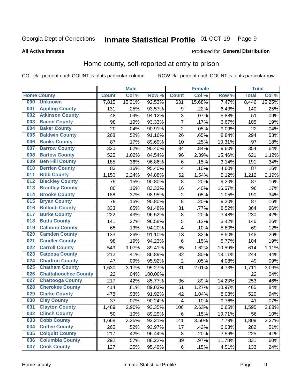#### Inmate Statistical Profile 01-OCT-19 Page 9

#### **All Active Inmates**

#### Produced for General Distribution

### Home county, self-reported at entry to prison

COL % - percent each COUNT is of its particular column

|     |                             |              | <b>Male</b> |         |                         | <b>Female</b> |        | <b>Total</b> |        |
|-----|-----------------------------|--------------|-------------|---------|-------------------------|---------------|--------|--------------|--------|
|     | <b>Home County</b>          | <b>Count</b> | Col %       | Row %   | <b>Count</b>            | Col %         | Row %  | <b>Total</b> | Col %  |
| 000 | <b>Unknown</b>              | 7,815        | 15.21%      | 92.53%  | 631                     | 15.68%        | 7.47%  | 8,446        | 15.25% |
| 001 | <b>Appling County</b>       | 131          | .25%        | 93.57%  | 9                       | .22%          | 6.43%  | 140          | .25%   |
| 002 | <b>Atkinson County</b>      | 48           | .09%        | 94.12%  | 3                       | .07%          | 5.88%  | 51           | .09%   |
| 003 | <b>Bacon County</b>         | 98           | .19%        | 93.33%  | $\overline{7}$          | .17%          | 6.67%  | 105          | .19%   |
| 004 | <b>Baker County</b>         | 20           | .04%        | 90.91%  | $\mathbf 2$             | .05%          | 9.09%  | 22           | .04%   |
| 005 | <b>Baldwin County</b>       | 268          | .52%        | 91.16%  | 26                      | .65%          | 8.84%  | 294          | .53%   |
| 006 | <b>Banks County</b>         | 87           | .17%        | 89.69%  | 10                      | .25%          | 10.31% | 97           | .18%   |
| 007 | <b>Barrow County</b>        | 320          | .62%        | 90.40%  | 34                      | .84%          | 9.60%  | 354          | .64%   |
| 008 | <b>Bartow County</b>        | 525          | 1.02%       | 84.54%  | 96                      | 2.39%         | 15.46% | 621          | 1.12%  |
| 009 | <b>Ben Hill County</b>      | 185          | .36%        | 96.86%  | $\,6$                   | .15%          | 3.14%  | 191          | .34%   |
| 010 | <b>Berrien County</b>       | 83           | .16%        | 95.40%  | 4                       | .10%          | 4.60%  | 87           | .16%   |
| 011 | <b>Bibb County</b>          | 1,150        | 2.24%       | 94.88%  | 62                      | 1.54%         | 5.12%  | 1,212        | 2.19%  |
| 012 | <b>Bleckley County</b>      | 79           | .15%        | 90.80%  | $\bf 8$                 | .20%          | 9.20%  | 87           | .16%   |
| 013 | <b>Brantley County</b>      | 80           | .16%        | 83.33%  | 16                      | .40%          | 16.67% | 96           | .17%   |
| 014 | <b>Brooks County</b>        | 188          | .37%        | 98.95%  | $\overline{c}$          | .05%          | 1.05%  | 190          | .34%   |
| 015 | <b>Bryan County</b>         | 79           | .15%        | 90.80%  | 8                       | .20%          | 9.20%  | 87           | .16%   |
| 016 | <b>Bulloch County</b>       | 333          | .65%        | 91.48%  | 31                      | .77%          | 8.52%  | 364          | .66%   |
| 017 | <b>Burke County</b>         | 222          | .43%        | 96.52%  | $\bf 8$                 | .20%          | 3.48%  | 230          | .42%   |
| 018 | <b>Butts County</b>         | 141          | .27%        | 96.58%  | $\sqrt{5}$              | .12%          | 3.42%  | 146          | .26%   |
| 019 | <b>Calhoun County</b>       | 65           | .13%        | 94.20%  | $\overline{\mathbf{4}}$ | .10%          | 5.80%  | 69           | .12%   |
| 020 | <b>Camden County</b>        | 133          | .26%        | 91.10%  | 13                      | .32%          | 8.90%  | 146          | .26%   |
| 021 | <b>Candler County</b>       | 98           | .19%        | 94.23%  | $\,6$                   | .15%          | 5.77%  | 104          | .19%   |
| 022 | <b>Carroll County</b>       | 549          | 1.07%       | 89.41%  | 65                      | 1.62%         | 10.59% | 614          | 1.11%  |
| 023 | <b>Catoosa County</b>       | 212          | .41%        | 86.89%  | 32                      | .80%          | 13.11% | 244          | .44%   |
| 024 | <b>Charlton County</b>      | 47           | .09%        | 95.92%  | $\overline{2}$          | .05%          | 4.08%  | 49           | .09%   |
| 025 | <b>Chatham County</b>       | 1,630        | 3.17%       | 95.27%  | 81                      | 2.01%         | 4.73%  | 1,711        | 3.09%  |
| 026 | <b>Chattahoochee County</b> | 22           | .04%        | 100.00% |                         |               |        | 22           | .04%   |
| 027 | <b>Chattooga County</b>     | 217          | .42%        | 85.77%  | 36                      | .89%          | 14.23% | 253          | .46%   |
| 028 | <b>Cherokee County</b>      | 414          | .81%        | 89.03%  | 51                      | 1.27%         | 10.97% | 465          | .84%   |
| 029 | <b>Clarke County</b>        | 478          | .93%        | 91.92%  | 42                      | 1.04%         | 8.08%  | 520          | .94%   |
| 030 | <b>Clay County</b>          | 37           | .07%        | 90.24%  | $\overline{\mathbf{4}}$ | .10%          | 9.76%  | 41           | .07%   |
| 031 | <b>Clayton County</b>       | 1,489        | 2.90%       | 93.35%  | 106                     | 2.63%         | 6.65%  | 1,595        | 2.88%  |
| 032 | <b>Clinch County</b>        | 50           | .10%        | 89.29%  | 6                       | .15%          | 10.71% | 56           | .10%   |
| 033 | <b>Cobb County</b>          | 1,668        | 3.25%       | 92.21%  | 141                     | 3.50%         | 7.79%  | 1,809        | 3.27%  |
| 034 | <b>Coffee County</b>        | 265          | .52%        | 93.97%  | 17                      | .42%          | 6.03%  | 282          | .51%   |
| 035 | <b>Colquitt County</b>      | 217          | .42%        | 96.44%  | 8                       | .20%          | 3.56%  | 225          | .41%   |
| 036 | <b>Columbia County</b>      | 292          | .57%        | 88.22%  | 39                      | .97%          | 11.78% | 331          | .60%   |
| 037 | <b>Cook County</b>          | 127          | .25%        | 95.49%  | $\,6$                   | .15%          | 4.51%  | 133          | .24%   |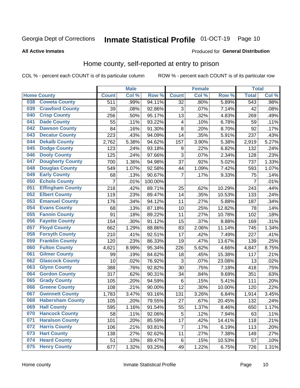### Inmate Statistical Profile 01-OCT-19 Page 10

#### **All Active Inmates**

#### Produced for General Distribution

#### Home county, self-reported at entry to prison

COL % - percent each COUNT is of its particular column

|     |                         |                | <b>Male</b> |         |                         | <b>Female</b> |        | <b>Total</b>     |       |
|-----|-------------------------|----------------|-------------|---------|-------------------------|---------------|--------|------------------|-------|
|     | <b>Home County</b>      | <b>Count</b>   | Col %       | Row %   | <b>Count</b>            | Col %         | Row %  | <b>Total</b>     | Col % |
| 038 | <b>Coweta County</b>    | 511            | .99%        | 94.11%  | $\overline{32}$         | .80%          | 5.89%  | $\overline{543}$ | .98%  |
| 039 | <b>Crawford County</b>  | 39             | .08%        | 92.86%  | 3                       | .07%          | 7.14%  | 42               | .08%  |
| 040 | <b>Crisp County</b>     | 256            | .50%        | 95.17%  | 13                      | .32%          | 4.83%  | 269              | .49%  |
| 041 | <b>Dade County</b>      | 55             | .11%        | 93.22%  | $\overline{\mathbf{4}}$ | .10%          | 6.78%  | 59               | .11%  |
| 042 | <b>Dawson County</b>    | 84             | .16%        | 91.30%  | 8                       | .20%          | 8.70%  | 92               | .17%  |
| 043 | <b>Decatur County</b>   | 223            | .43%        | 94.09%  | 14                      | .35%          | 5.91%  | 237              | .43%  |
| 044 | <b>Dekalb County</b>    | 2,762          | 5.38%       | 94.62%  | 157                     | 3.90%         | 5.38%  | 2,919            | 5.27% |
| 045 | <b>Dodge County</b>     | 123            | .24%        | 93.18%  | 9                       | .22%          | 6.82%  | 132              | .24%  |
| 046 | <b>Dooly County</b>     | 125            | .24%        | 97.66%  | 3                       | .07%          | 2.34%  | 128              | .23%  |
| 047 | <b>Dougherty County</b> | 700            | 1.36%       | 94.98%  | 37                      | .92%          | 5.02%  | 737              | 1.33% |
| 048 | <b>Douglas County</b>   | 549            | 1.07%       | 92.58%  | 44                      | 1.09%         | 7.42%  | 593              | 1.07% |
| 049 | <b>Early County</b>     | 68             | .13%        | 90.67%  | $\overline{7}$          | .17%          | 9.33%  | 75               | .14%  |
| 050 | <b>Echols County</b>    | $\overline{7}$ | .01%        | 100.00% |                         |               |        | $\overline{7}$   | .01%  |
| 051 | <b>Effingham County</b> | 218            | .42%        | 89.71%  | 25                      | .62%          | 10.29% | 243              | .44%  |
| 052 | <b>Elbert County</b>    | 119            | .23%        | 89.47%  | 14                      | .35%          | 10.53% | 133              | .24%  |
| 053 | <b>Emanuel County</b>   | 176            | .34%        | 94.12%  | 11                      | .27%          | 5.88%  | 187              | .34%  |
| 054 | <b>Evans County</b>     | 68             | .13%        | 87.18%  | 10                      | .25%          | 12.82% | 78               | .14%  |
| 055 | <b>Fannin County</b>    | 91             | .18%        | 89.22%  | 11                      | .27%          | 10.78% | 102              | .18%  |
| 056 | <b>Fayette County</b>   | 154            | .30%        | 91.12%  | 15                      | .37%          | 8.88%  | 169              | .31%  |
| 057 | <b>Floyd County</b>     | 662            | 1.29%       | 88.86%  | 83                      | 2.06%         | 11.14% | 745              | 1.34% |
| 058 | <b>Forsyth County</b>   | 210            | .41%        | 92.51%  | 17                      | .42%          | 7.49%  | 227              | .41%  |
| 059 | <b>Franklin County</b>  | 120            | .23%        | 86.33%  | 19                      | .47%          | 13.67% | 139              | .25%  |
| 060 | <b>Fulton County</b>    | 4,621          | 8.99%       | 95.34%  | 226                     | 5.62%         | 4.66%  | 4,847            | 8.75% |
| 061 | <b>Gilmer County</b>    | 99             | .19%        | 84.62%  | 18                      | .45%          | 15.38% | 117              | .21%  |
| 062 | <b>Glascock County</b>  | 10             | .02%        | 76.92%  | 3                       | .07%          | 23.08% | 13               | .02%  |
| 063 | <b>Glynn County</b>     | 388            | .76%        | 92.82%  | 30                      | .75%          | 7.18%  | 418              | .75%  |
| 064 | <b>Gordon County</b>    | 317            | .62%        | 90.31%  | 34                      | .84%          | 9.69%  | 351              | .63%  |
| 065 | <b>Grady County</b>     | 105            | .20%        | 94.59%  | $\,6$                   | .15%          | 5.41%  | 111              | .20%  |
| 066 | <b>Greene County</b>    | 108            | .21%        | 90.00%  | 12                      | .30%          | 10.00% | 120              | .22%  |
| 067 | <b>Gwinnett County</b>  | 1,783          | 3.47%       | 93.16%  | 131                     | 3.26%         | 6.84%  | 1,914            | 3.45% |
| 068 | <b>Habersham County</b> | 105            | .20%        | 79.55%  | 27                      | .67%          | 20.45% | 132              | .24%  |
| 069 | <b>Hall County</b>      | 595            | 1.16%       | 91.54%  | 55                      | 1.37%         | 8.46%  | 650              | 1.17% |
| 070 | <b>Hancock County</b>   | 58             | .11%        | 92.06%  | 5                       | .12%          | 7.94%  | 63               | .11%  |
| 071 | <b>Haralson County</b>  | 101            | .20%        | 85.59%  | 17                      | .42%          | 14.41% | 118              | .21%  |
| 072 | <b>Harris County</b>    | 106            | .21%        | 93.81%  | $\overline{7}$          | .17%          | 6.19%  | 113              | .20%  |
| 073 | <b>Hart County</b>      | 138            | .27%        | 92.62%  | 11                      | .27%          | 7.38%  | 149              | .27%  |
| 074 | <b>Heard County</b>     | 51             | .10%        | 89.47%  | 6                       | .15%          | 10.53% | 57               | .10%  |
| 075 | <b>Henry County</b>     | 677            | 1.32%       | 93.25%  | 49                      | 1.22%         | 6.75%  | 726              | 1.31% |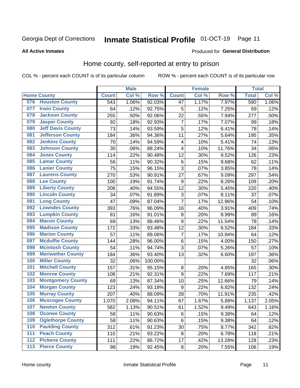### Inmate Statistical Profile 01-OCT-19 Page 11

**All Active Inmates** 

#### **Produced for General Distribution**

#### Home county, self-reported at entry to prison

COL % - percent each COUNT is of its particular column

|                  |                          |              | <b>Male</b> |                  |                | <b>Female</b> |                  | <b>Total</b> |       |
|------------------|--------------------------|--------------|-------------|------------------|----------------|---------------|------------------|--------------|-------|
|                  | <b>Home County</b>       | <b>Count</b> | Col %       | Row <sup>%</sup> | <b>Count</b>   | Col %         | Row <sup>%</sup> | <b>Total</b> | Col % |
| 076              | <b>Houston County</b>    | 543          | 1.06%       | 92.03%           | 47             | 1.17%         | 7.97%            | 590          | 1.06% |
| 077              | <b>Irwin County</b>      | 64           | .12%        | 92.75%           | 5              | .12%          | 7.25%            | 69           | .12%  |
| 078              | <b>Jackson County</b>    | 255          | .50%        | 92.06%           | 22             | .55%          | 7.94%            | 277          | .50%  |
| 079              | <b>Jasper County</b>     | 92           | .18%        | 92.93%           | $\overline{7}$ | .17%          | 7.07%            | 99           | .18%  |
| 080              | <b>Jeff Davis County</b> | 73           | .14%        | 93.59%           | 5              | .12%          | 6.41%            | 78           | .14%  |
| 081              | <b>Jefferson County</b>  | 184          | .36%        | 94.36%           | 11             | .27%          | 5.64%            | 195          | .35%  |
| 082              | <b>Jenkins County</b>    | 70           | .14%        | 94.59%           | 4              | .10%          | 5.41%            | 74           | .13%  |
| 083              | <b>Johnson County</b>    | 30           | .06%        | 88.24%           | 4              | .10%          | 11.76%           | 34           | .06%  |
| 084              | <b>Jones County</b>      | 114          | .22%        | 90.48%           | 12             | .30%          | 9.52%            | 126          | .23%  |
| 085              | <b>Lamar County</b>      | 56           | .11%        | 90.32%           | $\,6$          | .15%          | 9.68%            | 62           | .11%  |
| 086              | <b>Lanier County</b>     | 75           | .15%        | 96.15%           | $\overline{3}$ | .07%          | 3.85%            | 78           | .14%  |
| 087              | <b>Laurens County</b>    | 270          | .53%        | 90.91%           | 27             | .67%          | 9.09%            | 297          | .54%  |
| 088              | <b>Lee County</b>        | 100          | .19%        | 91.74%           | 9              | .22%          | 8.26%            | 109          | .20%  |
| 089              | <b>Liberty County</b>    | 208          | .40%        | 94.55%           | 12             | .30%          | 5.45%            | 220          | .40%  |
| 090              | <b>Lincoln County</b>    | 34           | .07%        | 91.89%           | $\mathbf{3}$   | .07%          | 8.11%            | 37           | .07%  |
| 091              | <b>Long County</b>       | 47           | .09%        | 87.04%           | $\overline{7}$ | .17%          | 12.96%           | 54           | .10%  |
| 092              | <b>Lowndes County</b>    | 393          | .76%        | 96.09%           | 16             | .40%          | 3.91%            | 409          | .74%  |
| 093              | <b>Lumpkin County</b>    | 81           | .16%        | 91.01%           | 8              | .20%          | 8.99%            | 89           | .16%  |
| 094              | <b>Macon County</b>      | 69           | .13%        | 88.46%           | 9              | .22%          | 11.54%           | 78           | .14%  |
| 095              | <b>Madison County</b>    | 172          | .33%        | 93.48%           | 12             | .30%          | 6.52%            | 184          | .33%  |
| 096              | <b>Marion County</b>     | 57           | .11%        | 89.06%           | $\overline{7}$ | .17%          | 10.94%           | 64           | .12%  |
| 097              | <b>Mcduffie County</b>   | 144          | .28%        | 96.00%           | $\,6$          | .15%          | 4.00%            | 150          | .27%  |
| 098              | <b>Mcintosh County</b>   | 54           | .11%        | 94.74%           | $\overline{3}$ | .07%          | 5.26%            | 57           | .10%  |
| 099              | <b>Meriwether County</b> | 184          | .36%        | 93.40%           | 13             | .32%          | 6.60%            | 197          | .36%  |
| 100              | <b>Miller County</b>     | 32           | .06%        | 100.00%          |                |               |                  | 32           | .06%  |
| 101              | <b>Mitchell County</b>   | 157          | .31%        | 95.15%           | 8              | .20%          | 4.85%            | 165          | .30%  |
| 102              | <b>Monroe County</b>     | 108          | .21%        | 92.31%           | 9              | .22%          | 7.69%            | 117          | .21%  |
| 103              | <b>Montgomery County</b> | 69           | .13%        | 87.34%           | 10             | .25%          | 12.66%           | 79           | .14%  |
| 104              | <b>Morgan County</b>     | 123          | .24%        | 93.18%           | 9              | .22%          | 6.82%            | 132          | .24%  |
| 105              | <b>Murray County</b>     | 207          | .40%        | 88.09%           | 28             | .70%          | 11.91%           | 235          | .42%  |
| 106              | <b>Muscogee County</b>   | 1,070        | 2.08%       | 94.11%           | 67             | 1.67%         | 5.89%            | 1,137        | 2.05% |
| 107              | <b>Newton County</b>     | 582          | 1.13%       | 90.51%           | 61             | 1.52%         | 9.49%            | 643          | 1.16% |
| 108              | <b>Oconee County</b>     | 58           | .11%        | 90.63%           | 6              | .15%          | 9.38%            | 64           | .12%  |
| 109              | <b>Oglethorpe County</b> | 58           | .11%        | 90.63%           | $\,6$          | .15%          | 9.38%            | 64           | .12%  |
| 110              | <b>Paulding County</b>   | 312          | .61%        | 91.23%           | 30             | .75%          | 8.77%            | 342          | .62%  |
| 111              | <b>Peach County</b>      | 110          | .21%        | 93.22%           | 8              | .20%          | 6.78%            | 118          | .21%  |
| $\overline{112}$ | <b>Pickens County</b>    | 111          | .22%        | 86.72%           | 17             | .42%          | 13.28%           | 128          | .23%  |
| 113              | <b>Pierce County</b>     | 98           | .19%        | 92.45%           | $\bf 8$        | .20%          | 7.55%            | 106          | .19%  |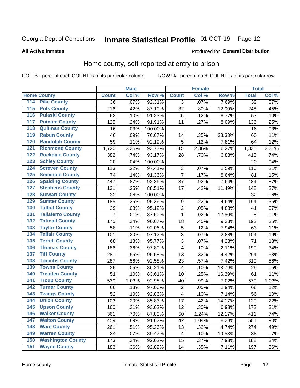### Inmate Statistical Profile 01-OCT-19 Page 12

#### **All Active Inmates**

#### Produced for General Distribution

#### Home county, self-reported at entry to prison

COL % - percent each COUNT is of its particular column

|                  |                          |                | <b>Male</b> |                  |                | <b>Female</b> |        | <b>Total</b>    |         |
|------------------|--------------------------|----------------|-------------|------------------|----------------|---------------|--------|-----------------|---------|
|                  | <b>Home County</b>       | <b>Count</b>   | Col %       | Row <sup>%</sup> | <b>Count</b>   | Col %         | Row %  | <b>Total</b>    | Col %   |
| 114              | <b>Pike County</b>       | 36             | .07%        | 92.31%           | 3              | .07%          | 7.69%  | $\overline{39}$ | .07%    |
| 115              | <b>Polk County</b>       | 216            | .42%        | 87.10%           | 32             | .80%          | 12.90% | 248             | .45%    |
| 116              | <b>Pulaski County</b>    | 52             | .10%        | 91.23%           | 5              | .12%          | 8.77%  | 57              | .10%    |
| 117              | <b>Putnam County</b>     | 125            | .24%        | 91.91%           | 11             | .27%          | 8.09%  | 136             | .25%    |
| 118              | <b>Quitman County</b>    | 16             | .03%        | 100.00%          |                |               |        | 16              | .03%    |
| 119              | <b>Rabun County</b>      | 46             | .09%        | 76.67%           | 14             | .35%          | 23.33% | 60              | .11%    |
| 120              | <b>Randolph County</b>   | 59             | .11%        | 92.19%           | 5              | .12%          | 7.81%  | 64              | .12%    |
| 121              | <b>Richmond County</b>   | 1,720          | 3.35%       | 93.73%           | 115            | 2.86%         | 6.27%  | 1,835           | 3.31%   |
| 122              | <b>Rockdale County</b>   | 382            | .74%        | 93.17%           | 28             | .70%          | 6.83%  | 410             | .74%    |
| 123              | <b>Schley County</b>     | 20             | .04%        | 100.00%          |                |               |        | 20              | .04%    |
| 124              | <b>Screven County</b>    | 113            | .22%        | 97.41%           | $\sqrt{3}$     | .07%          | 2.59%  | 116             | .21%    |
| 125              | <b>Seminole County</b>   | 74             | .14%        | 91.36%           | $\overline{7}$ | .17%          | 8.64%  | 81              | .15%    |
| 126              | <b>Spalding County</b>   | 447            | .87%        | 92.36%           | 37             | .92%          | 7.64%  | 484             | .87%    |
| 127              | <b>Stephens County</b>   | 131            | .25%        | 88.51%           | 17             | .42%          | 11.49% | 148             | .27%    |
| 128              | <b>Stewart County</b>    | 32             | .06%        | 100.00%          |                |               |        | 32              | .06%    |
| 129              | <b>Sumter County</b>     | 185            | .36%        | 95.36%           | 9              | .22%          | 4.64%  | 194             | .35%    |
| 130              | <b>Talbot County</b>     | 39             | .08%        | 95.12%           | $\overline{2}$ | .05%          | 4.88%  | 41              | .07%    |
| 131              | <b>Taliaferro County</b> | $\overline{7}$ | .01%        | 87.50%           | $\mathbf{1}$   | .02%          | 12.50% | 8               | .01%    |
| 132              | <b>Tattnall County</b>   | 175            | .34%        | 90.67%           | 18             | .45%          | 9.33%  | 193             | .35%    |
| 133              | <b>Taylor County</b>     | 58             | .11%        | 92.06%           | 5              | .12%          | 7.94%  | 63              | .11%    |
| 134              | <b>Telfair County</b>    | 101            | .20%        | 97.12%           | $\mathbf{3}$   | .07%          | 2.88%  | 104             | .19%    |
| $\overline{135}$ | <b>Terrell County</b>    | 68             | .13%        | 95.77%           | 3              | .07%          | 4.23%  | 71              | .13%    |
| 136              | <b>Thomas County</b>     | 186            | .36%        | 97.89%           | $\overline{4}$ | .10%          | 2.11%  | 190             | .34%    |
| 137              | <b>Tift County</b>       | 281            | .55%        | 95.58%           | 13             | .32%          | 4.42%  | 294             | .53%    |
| 138              | <b>Toombs County</b>     | 287            | .56%        | 92.58%           | 23             | .57%          | 7.42%  | 310             | .56%    |
| 139              | <b>Towns County</b>      | 25             | .05%        | 86.21%           | 4              | .10%          | 13.79% | 29              | .05%    |
| 140              | <b>Treutlen County</b>   | 51             | .10%        | 83.61%           | 10             | .25%          | 16.39% | 61              | .11%    |
| 141              | <b>Troup County</b>      | 530            | 1.03%       | 92.98%           | 40             | .99%          | 7.02%  | 570             | 1.03%   |
| 142              | <b>Turner County</b>     | 66             | .13%        | 97.06%           | $\overline{c}$ | .05%          | 2.94%  | 68              | .12%    |
| 143              | <b>Twiggs County</b>     | 52             | .10%        | 92.86%           | 4              | .10%          | 7.14%  | 56              | .10%    |
| 144              | <b>Union County</b>      | 103            | .20%        | 85.83%           | 17             | .42%          | 14.17% | 120             | .22%    |
| 145              | <b>Upson County</b>      | 160            | .31%        | 93.02%           | 12             | .30%          | 6.98%  | 172             | .31%    |
| 146              | <b>Walker County</b>     | 361            | .70%        | 87.83%           | 50             | 1.24%         | 12.17% | 411             | .74%    |
| 147              | <b>Walton County</b>     | 459            | .89%        | 91.62%           | 42             | 1.04%         | 8.38%  | 501             | .90%    |
| 148              | <b>Ware County</b>       | 261            | .51%        | 95.26%           | 13             | .32%          | 4.74%  | 274             | .49%    |
| 149              | <b>Warren County</b>     | 34             | .07%        | 89.47%           | 4              | .10%          | 10.53% | 38              | .07%    |
| 150              | <b>Washington County</b> | 173            | .34%        | 92.02%           | 15             | .37%          | 7.98%  | 188             | .34%    |
| 151              | <b>Wayne County</b>      | 183            | .36%        | 92.89%           | 14             | .35%          | 7.11%  | 197             | $.36\%$ |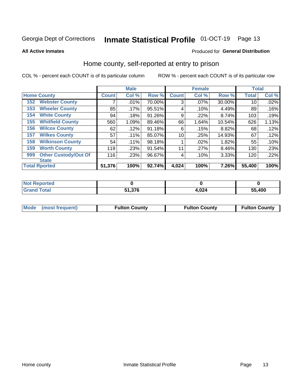### Inmate Statistical Profile 01-OCT-19 Page 13

**All Active Inmates** 

#### Produced for General Distribution

#### Home county, self-reported at entry to prison

COL % - percent each COUNT is of its particular column

|     |                             |              | <b>Male</b> |        |              | <b>Female</b> |        | <b>Total</b> |       |
|-----|-----------------------------|--------------|-------------|--------|--------------|---------------|--------|--------------|-------|
|     | <b>Home County</b>          | <b>Count</b> | Col %       | Row %  | <b>Count</b> | Col %         | Row %  | <b>Total</b> | Col % |
| 152 | <b>Webster County</b>       |              | .01%        | 70.00% | 3            | .07%          | 30.00% | 10           | .02%  |
| 153 | <b>Wheeler County</b>       | 85           | .17%        | 95.51% | 4            | .10%          | 4.49%  | 89           | .16%  |
| 154 | <b>White County</b>         | 94           | .18%        | 91.26% | 9            | .22%          | 8.74%  | 103          | .19%  |
| 155 | <b>Whitfield County</b>     | 560          | 1.09%       | 89.46% | 66           | 1.64%         | 10.54% | 626          | 1.13% |
| 156 | <b>Wilcox County</b>        | 62           | .12%        | 91.18% | 6            | .15%          | 8.82%  | 68           | .12%  |
| 157 | <b>Wilkes County</b>        | 57           | .11%        | 85.07% | 10           | .25%          | 14.93% | 67           | .12%  |
| 158 | <b>Wilkinson County</b>     | 54           | $.11\%$     | 98.18% |              | .02%          | 1.82%  | 55           | .10%  |
| 159 | <b>Worth County</b>         | 119          | .23%        | 91.54% | 11           | .27%          | 8.46%  | 130          | .23%  |
| 999 | <b>Other Custody/Out Of</b> | 116          | .23%        | 96.67% | 4            | .10%          | 3.33%  | 120          | .22%  |
|     | <b>State</b>                |              |             |        |              |               |        |              |       |
|     | <b>Total Rported</b>        | 51,376       | 100%        | 92.74% | 4,024        | 100%          | 7.26%  | 55,400       | 100%  |

| <b>Not</b><br>Reported |                       |       |        |
|------------------------|-----------------------|-------|--------|
| <b>Total</b>           | 27C<br>E4.<br>ס וכ.וכ | 4,024 | 55,400 |

| Mode (most frequent) | <b>Fulton County</b> | <b>Fulton County</b> | <b>Fulton County</b> |
|----------------------|----------------------|----------------------|----------------------|
|                      |                      |                      |                      |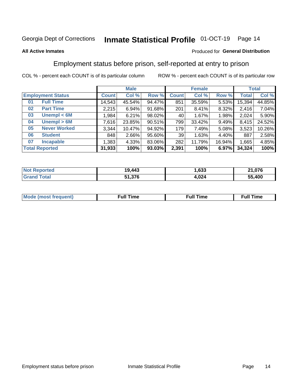#### Inmate Statistical Profile 01-OCT-19 Page 14

#### **All Active Inmates**

#### Produced for General Distribution

### Employment status before prison, self-reported at entry to prison

COL % - percent each COUNT is of its particular column

|                           |              | <b>Male</b> |        |              | <b>Female</b> |        | <b>Total</b> |        |
|---------------------------|--------------|-------------|--------|--------------|---------------|--------|--------------|--------|
| <b>Employment Status</b>  | <b>Count</b> | Col %       | Row %  | <b>Count</b> | Col %         | Row %  | <b>Total</b> | Col %  |
| <b>Full Time</b><br>01    | 14,543       | 45.54%      | 94.47% | 851          | 35.59%        | 5.53%  | 15,394       | 44.85% |
| <b>Part Time</b><br>02    | 2,215        | 6.94%       | 91.68% | 201          | 8.41%         | 8.32%  | 2,416        | 7.04%  |
| Unempl $<$ 6M<br>03       | ∣ 1,984.     | 6.21%       | 98.02% | 40           | 1.67%         | 1.98%  | 2,024        | 5.90%  |
| Unempl > 6M<br>04         | 7,616        | 23.85%      | 90.51% | 799          | 33.42%        | 9.49%  | 8,415        | 24.52% |
| <b>Never Worked</b><br>05 | 3,344        | 10.47%      | 94.92% | 179          | 7.49%         | 5.08%  | 3,523        | 10.26% |
| <b>Student</b><br>06      | 848          | $2.66\%$    | 95.60% | 39           | 1.63%         | 4.40%  | 887          | 2.58%  |
| <b>Incapable</b><br>07    | 1,383        | 4.33%       | 83.06% | 282          | 11.79%        | 16.94% | 1,665        | 4.85%  |
| <b>Total Reported</b>     | 31,933       | 100%        | 93.03% | 2,391        | 100%          | 6.97%  | 34,324       | 100%   |

| <b>Not Reported</b> | 19.443 | con.<br>.633 | . 1,076<br>O4. |
|---------------------|--------|--------------|----------------|
| `otal<br>Gra        | 51,376 | 4,024        | 55,400         |

| Mc | ----<br>me<br>ш | nc<br>. |
|----|-----------------|---------|
|    |                 |         |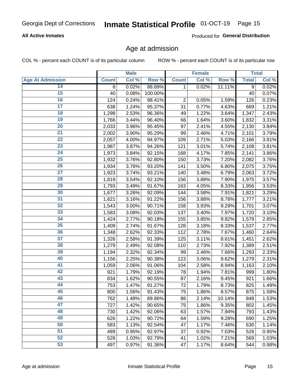# Inmate Statistical Profile 01-OCT-19 Page 15

#### **All Active Inmates**

Produced for General Distribution

#### Age at admission

COL % - percent each COUNT is of its particular column

|                         |              | <b>Male</b> |         |              | <b>Female</b> |        |              | <b>Total</b> |
|-------------------------|--------------|-------------|---------|--------------|---------------|--------|--------------|--------------|
| <b>Age At Admission</b> | <b>Count</b> | Col %       | Row %   | <b>Count</b> | Col %         | Row %  | <b>Total</b> | Col %        |
| 14                      | 8            | 0.02%       | 88.89%  | 1            | 0.02%         | 11.11% | 9            | 0.02%        |
| 15                      | 40           | 0.08%       | 100.00% |              |               |        | 40           | 0.07%        |
| 16                      | 124          | 0.24%       | 98.41%  | $\mathbf 2$  | 0.05%         | 1.59%  | 126          | 0.23%        |
| $\overline{17}$         | 638          | 1.24%       | 95.37%  | 31           | 0.77%         | 4.63%  | 669          | 1.21%        |
| $\overline{18}$         | 1,298        | 2.53%       | 96.36%  | 49           | 1.22%         | 3.64%  | 1,347        | 2.43%        |
| 19                      | 1,766        | 3.44%       | 96.40%  | 66           | 1.64%         | 3.60%  | 1,832        | 3.31%        |
| 20                      | 2,033        | 3.96%       | 95.45%  | 97           | 2.41%         | 4.55%  | 2,130        | 3.84%        |
| $\overline{21}$         | 2,002        | 3.90%       | 95.29%  | 99           | 2.46%         | 4.71%  | 2,101        | 3.79%        |
| $\overline{22}$         | 2,057        | 4.00%       | 94.97%  | 109          | 2.71%         | 5.03%  | 2,166        | 3.91%        |
| 23                      | 1,987        | 3.87%       | 94.26%  | 121          | 3.01%         | 5.74%  | 2,108        | 3.81%        |
| 24                      | 1,973        | 3.84%       | 92.15%  | 168          | 4.17%         | 7.85%  | 2,141        | 3.86%        |
| $\overline{25}$         | 1,932        | 3.76%       | 92.80%  | 150          | 3.73%         | 7.20%  | 2,082        | 3.76%        |
| 26                      | 1,934        | 3.76%       | 93.20%  | 141          | 3.50%         | 6.80%  | 2,075        | 3.75%        |
| $\overline{27}$         | 1,923        | 3.74%       | 93.21%  | 140          | 3.48%         | 6.79%  | 2,063        | 3.72%        |
| 28                      | 1,819        | 3.54%       | 92.10%  | 156          | 3.88%         | 7.90%  | 1,975        | 3.57%        |
| 29                      | 1,793        | 3.49%       | 91.67%  | 163          | 4.05%         | 8.33%  | 1,956        | 3.53%        |
| 30                      | 1,677        | 3.26%       | 92.09%  | 144          | 3.58%         | 7.91%  | 1,821        | 3.29%        |
| 31                      | 1,621        | 3.16%       | 91.22%  | 156          | 3.88%         | 8.78%  | 1,777        | 3.21%        |
| 32                      | 1,543        | 3.00%       | 90.71%  | 158          | 3.93%         | 9.29%  | 1,701        | 3.07%        |
| 33                      | 1,583        | 3.08%       | 92.03%  | 137          | 3.40%         | 7.97%  | 1,720        | 3.10%        |
| 34                      | 1,424        | 2.77%       | 90.18%  | 155          | 3.85%         | 9.82%  | 1,579        | 2.85%        |
| 35                      | 1,409        | 2.74%       | 91.67%  | 128          | 3.18%         | 8.33%  | 1,537        | 2.77%        |
| 36                      | 1,348        | 2.62%       | 92.33%  | 112          | 2.78%         | 7.67%  | 1,460        | 2.64%        |
| $\overline{37}$         | 1,326        | 2.58%       | 91.39%  | 125          | 3.11%         | 8.61%  | 1,451        | 2.62%        |
| 38                      | 1,279        | 2.49%       | 92.08%  | 110          | 2.73%         | 7.92%  | 1,389        | 2.51%        |
| 39                      | 1,194        | 2.32%       | 92.34%  | 99           | 2.46%         | 7.66%  | 1,293        | 2.33%        |
| 40                      | 1,156        | 2.25%       | 90.38%  | 123          | 3.06%         | 9.62%  | 1,279        | 2.31%        |
| 41                      | 1,059        | 2.06%       | 91.06%  | 104          | 2.58%         | 8.94%  | 1,163        | 2.10%        |
| 42                      | 921          | 1.79%       | 92.19%  | 78           | 1.94%         | 7.81%  | 999          | 1.80%        |
| 43                      | 834          | 1.62%       | 90.55%  | 87           | 2.16%         | 9.45%  | 921          | 1.66%        |
| 44                      | 753          | 1.47%       | 91.27%  | 72           | 1.79%         | 8.73%  | 825          | 1.49%        |
| 45                      | 800          | 1.56%       | 91.43%  | 75           | 1.86%         | 8.57%  | 875          | 1.58%        |
| 46                      | 762          | 1.48%       | 89.86%  | 86           | 2.14%         | 10.14% | 848          | 1.53%        |
| 47                      | 727          | 1.42%       | 90.65%  | 75           | 1.86%         | 9.35%  | 802          | 1.45%        |
| 48                      | 730          | 1.42%       | 92.06%  | 63           | 1.57%         | 7.94%  | 793          | 1.43%        |
| 49                      | 626          | 1.22%       | 90.72%  | 64           | 1.59%         | 9.28%  | 690          | 1.25%        |
| 50                      | 583          | 1.13%       | 92.54%  | 47           | 1.17%         | 7.46%  | 630          | 1.14%        |
| 51                      | 489          | 0.95%       | 92.97%  | 37           | 0.92%         | 7.03%  | 526          | 0.95%        |
| 52                      | 528          | 1.03%       | 92.79%  | 41           | 1.02%         | 7.21%  | 569          | 1.03%        |
| 53                      | 497          | 0.97%       | 91.36%  | 47           | 1.17%         | 8.64%  | 544          | 0.98%        |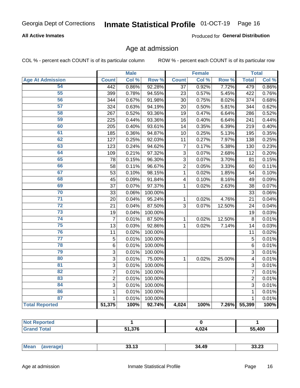# Inmate Statistical Profile 01-OCT-19 Page 16

#### **All Active Inmates**

Produced for General Distribution

#### Age at admission

COL % - percent each COUNT is of its particular column

|                         |                | <b>Male</b> |         |                | <b>Female</b> |        |                | <b>Total</b> |
|-------------------------|----------------|-------------|---------|----------------|---------------|--------|----------------|--------------|
| <b>Age At Admission</b> | <b>Count</b>   | Col %       | Row %   | <b>Count</b>   | Col %         | Row %  | <b>Total</b>   | Col %        |
| 54                      | 442            | 0.86%       | 92.28%  | 37             | 0.92%         | 7.72%  | 479            | 0.86%        |
| $\overline{55}$         | 399            | 0.78%       | 94.55%  | 23             | 0.57%         | 5.45%  | 422            | 0.76%        |
| 56                      | 344            | 0.67%       | 91.98%  | 30             | 0.75%         | 8.02%  | 374            | 0.68%        |
| $\overline{57}$         | 324            | 0.63%       | 94.19%  | 20             | 0.50%         | 5.81%  | 344            | 0.62%        |
| 58                      | 267            | 0.52%       | 93.36%  | 19             | 0.47%         | 6.64%  | 286            | 0.52%        |
| 59                      | 225            | 0.44%       | 93.36%  | 16             | 0.40%         | 6.64%  | 241            | 0.44%        |
| 60                      | 205            | 0.40%       | 93.61%  | 14             | 0.35%         | 6.39%  | 219            | 0.40%        |
| 61                      | 185            | 0.36%       | 94.87%  | 10             | 0.25%         | 5.13%  | 195            | 0.35%        |
| 62                      | 127            | 0.25%       | 92.03%  | 11             | 0.27%         | 7.97%  | 138            | 0.25%        |
| 63                      | 123            | 0.24%       | 94.62%  | $\overline{7}$ | 0.17%         | 5.38%  | 130            | 0.23%        |
| 64                      | 109            | 0.21%       | 97.32%  | 3              | 0.07%         | 2.68%  | 112            | 0.20%        |
| 65                      | 78             | 0.15%       | 96.30%  | $\overline{3}$ | 0.07%         | 3.70%  | 81             | 0.15%        |
| 66                      | 58             | 0.11%       | 96.67%  | $\overline{2}$ | 0.05%         | 3.33%  | 60             | 0.11%        |
| 67                      | 53             | 0.10%       | 98.15%  | $\mathbf{1}$   | 0.02%         | 1.85%  | 54             | 0.10%        |
| 68                      | 45             | 0.09%       | 91.84%  | 4              | 0.10%         | 8.16%  | 49             | 0.09%        |
| 69                      | 37             | 0.07%       | 97.37%  | 1              | 0.02%         | 2.63%  | 38             | 0.07%        |
| 70                      | 33             | 0.06%       | 100.00% |                |               |        | 33             | 0.06%        |
| $\overline{71}$         | 20             | 0.04%       | 95.24%  | $\mathbf{1}$   | 0.02%         | 4.76%  | 21             | 0.04%        |
| $\overline{72}$         | 21             | 0.04%       | 87.50%  | 3              | 0.07%         | 12.50% | 24             | 0.04%        |
| $\overline{73}$         | 19             | 0.04%       | 100.00% |                |               |        | 19             | 0.03%        |
| $\overline{74}$         | $\overline{7}$ | 0.01%       | 87.50%  | $\mathbf{1}$   | 0.02%         | 12.50% | 8              | 0.01%        |
| 75                      | 13             | 0.03%       | 92.86%  | 1              | 0.02%         | 7.14%  | 14             | 0.03%        |
| 76                      | 11             | 0.02%       | 100.00% |                |               |        | 11             | 0.02%        |
| $\overline{77}$         | $\overline{5}$ | 0.01%       | 100.00% |                |               |        | $\overline{5}$ | 0.01%        |
| 78                      | $\overline{6}$ | 0.01%       | 100.00% |                |               |        | $\overline{6}$ | 0.01%        |
| 79                      | $\overline{3}$ | 0.01%       | 100.00% |                |               |        | $\overline{3}$ | 0.01%        |
| 80                      | 3              | 0.01%       | 75.00%  | 1              | 0.02%         | 25.00% | 4              | 0.01%        |
| $\overline{81}$         | $\overline{3}$ | 0.01%       | 100.00% |                |               |        | 3              | 0.01%        |
| 82                      | $\overline{7}$ | 0.01%       | 100.00% |                |               |        | 7              | 0.01%        |
| 83                      | $\overline{2}$ | 0.01%       | 100.00% |                |               |        | $\overline{2}$ | 0.01%        |
| 84                      | 3              | 0.01%       | 100.00% |                |               |        | 3              | 0.01%        |
| 86                      | $\mathbf 1$    | 0.01%       | 100.00% |                |               |        | 1              | 0.01%        |
| 87                      | $\mathbf{1}$   | 0.01%       | 100.00% |                |               |        | $\mathbf{1}$   | 0.01%        |
| <b>Total Reported</b>   | 51,375         | 100%        | 92.74%  | 4,024          | 100%          | 7.26%  | 55,399         | 100%         |

| тео<br> |        |                 |        |
|---------|--------|-----------------|--------|
|         | 51 376 | 4,024<br>$\sim$ | 55,400 |

| .<br>ن 2.دد<br>აა. I ა<br>$\cdots$ | Mear | nn 10 | 34.49 | $\sim$ |
|------------------------------------|------|-------|-------|--------|
|------------------------------------|------|-------|-------|--------|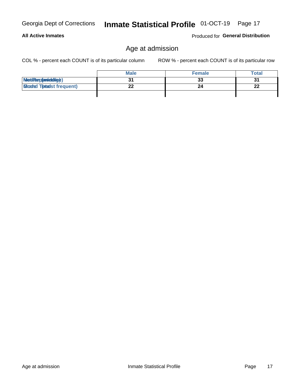#### **All Active Inmates**

Produced for General Distribution

### Age at admission

COL % - percent each COUNT is of its particular column

|                                  | <b>Male</b> | <b>Female</b> | Total    |
|----------------------------------|-------------|---------------|----------|
| MetiRap(aniektig)                |             | 33            | 31       |
| <b>Gloaded Tomadst frequent)</b> | --          | 24            | n.<br>44 |
|                                  |             |               |          |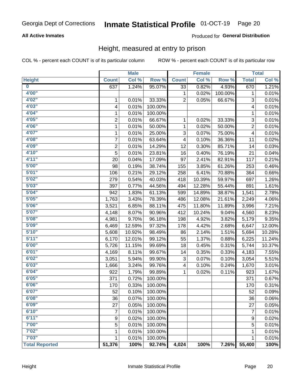# Inmate Statistical Profile 01-OCT-19 Page 20

#### **All Active Inmates**

#### Produced for General Distribution

#### Height, measured at entry to prison

COL % - percent each COUNT is of its particular column

|                         |                | <b>Male</b> |         |              | <b>Female</b> |         |                | <b>Total</b> |
|-------------------------|----------------|-------------|---------|--------------|---------------|---------|----------------|--------------|
| <b>Height</b>           | <b>Count</b>   | Col %       | Row %   | <b>Count</b> | Col %         | Row %   | <b>Total</b>   | Col %        |
| $\overline{\mathbf{0}}$ | 637            | 1.24%       | 95.07%  | 33           | 0.82%         | 4.93%   | 670            | 1.21%        |
| 4'00"                   |                |             |         | 1            | 0.02%         | 100.00% | 1              | 0.01%        |
| 4'02''                  | 1              | 0.01%       | 33.33%  | 2            | 0.05%         | 66.67%  | 3              | 0.01%        |
| 4'03''                  | 4              | 0.01%       | 100.00% |              |               |         | 4              | 0.01%        |
| 4'04"                   | 1              | 0.01%       | 100.00% |              |               |         | 1              | 0.01%        |
| 4'05"                   | $\overline{2}$ | 0.01%       | 66.67%  | 1            | 0.02%         | 33.33%  | 3              | 0.01%        |
| 4'06"                   | $\mathbf 1$    | 0.01%       | 50.00%  | 1            | 0.02%         | 50.00%  | $\overline{2}$ | 0.01%        |
| 4'07"                   | 1              | 0.01%       | 25.00%  | 3            | 0.07%         | 75.00%  | 4              | 0.01%        |
| 4'08"                   | 7              | 0.01%       | 63.64%  | 4            | 0.10%         | 36.36%  | 11             | 0.02%        |
| 4'09"                   | $\overline{2}$ | 0.01%       | 14.29%  | 12           | 0.30%         | 85.71%  | 14             | 0.03%        |
| 4'10"                   | 5              | 0.01%       | 23.81%  | 16           | 0.40%         | 76.19%  | 21             | 0.04%        |
| 4'11''                  | 20             | 0.04%       | 17.09%  | 97           | 2.41%         | 82.91%  | 117            | 0.21%        |
| 5'00''                  | 98             | 0.19%       | 38.74%  | 155          | 3.85%         | 61.26%  | 253            | 0.46%        |
| 5'01"                   | 106            | 0.21%       | 29.12%  | 258          | 6.41%         | 70.88%  | 364            | 0.66%        |
| 5'02"                   | 279            | 0.54%       | 40.03%  | 418          | 10.39%        | 59.97%  | 697            | 1.26%        |
| 5'03''                  | 397            | 0.77%       | 44.56%  | 494          | 12.28%        | 55.44%  | 891            | 1.61%        |
| 5'04"                   | 942            | 1.83%       | 61.13%  | 599          | 14.89%        | 38.87%  | 1,541          | 2.78%        |
| 5'05"                   | 1,763          | 3.43%       | 78.39%  | 486          | 12.08%        | 21.61%  | 2,249          | 4.06%        |
| 5'06''                  | 3,521          | 6.85%       | 88.11%  | 475          | 11.80%        | 11.89%  | 3,996          | 7.21%        |
| 5'07''                  | 4,148          | 8.07%       | 90.96%  | 412          | 10.24%        | 9.04%   | 4,560          | 8.23%        |
| 5'08''                  | 4,981          | 9.70%       | 96.18%  | 198          | 4.92%         | 3.82%   | 5,179          | 9.35%        |
| 5'09''                  | 6,469          | 12.59%      | 97.32%  | 178          | 4.42%         | 2.68%   | 6,647          | 12.00%       |
| 5'10''                  | 5,608          | 10.92%      | 98.49%  | 86           | 2.14%         | 1.51%   | 5,694          | 10.28%       |
| 5'11"                   | 6,170          | 12.01%      | 99.12%  | 55           | 1.37%         | 0.88%   | 6,225          | 11.24%       |
| 6'00''                  | 5,726          | 11.15%      | 99.69%  | 18           | 0.45%         | 0.31%   | 5,744          | 10.37%       |
| 6'01''                  | 4,169          | 8.11%       | 99.67%  | 14           | 0.35%         | 0.33%   | 4,183          | 7.55%        |
| 6'02"                   | 3,051          | 5.94%       | 99.90%  | 3            | 0.07%         | 0.10%   | 3,054          | 5.51%        |
| 6'03''                  | 1,666          | 3.24%       | 99.76%  | 4            | 0.10%         | 0.24%   | 1,670          | 3.01%        |
| 6'04"                   | 922            | 1.79%       | 99.89%  | $\mathbf{1}$ | 0.02%         | 0.11%   | 923            | 1.67%        |
| 6'05"                   | 371            | 0.72%       | 100.00% |              |               |         | 371            | 0.67%        |
| 6'06''                  | 170            | 0.33%       | 100.00% |              |               |         | 170            | 0.31%        |
| 6'07"                   | 52             | 0.10%       | 100.00% |              |               |         | 52             | 0.09%        |
| 6'08"                   | 36             | 0.07%       | 100.00% |              |               |         | 36             | 0.06%        |
| 6'09''                  | 27             | 0.05%       | 100.00% |              |               |         | 27             | 0.05%        |
| 6'10''                  | 7              | 0.01%       | 100.00% |              |               |         | $\overline{7}$ | 0.01%        |
| 6'11''                  | 9              | 0.02%       | 100.00% |              |               |         | 9              | 0.02%        |
| 7'00"                   | 5              | 0.01%       | 100.00% |              |               |         | 5              | 0.01%        |
| 7'02"                   | 1              | 0.01%       | 100.00% |              |               |         | 1              | 0.01%        |
| 7'03''                  | 1              | 0.01%       | 100.00% |              |               |         | 1              | 0.01%        |
| <b>Total Reported</b>   | 51,376         | 100%        | 92.74%  | 4,024        | 100%          | 7.26%   | 55,400         | 100%         |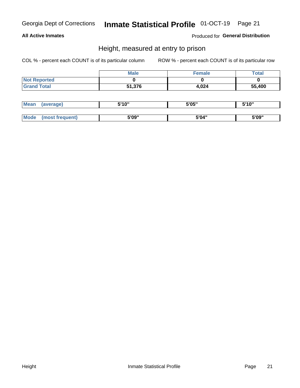# Inmate Statistical Profile 01-OCT-19 Page 21

#### **All Active Inmates**

Produced for General Distribution

#### Height, measured at entry to prison

COL % - percent each COUNT is of its particular column

|                     | <b>Male</b> | Female | <b>Total</b> |
|---------------------|-------------|--------|--------------|
| <b>Not Reported</b> |             |        |              |
| <b>Grand Total</b>  | 51,376      | 4,024  | 55,400       |

| <b>Mean</b> | 'average) | <b>5'10"</b><br>1 V | 5'05" | <b>CIA AIL</b><br>1 U |
|-------------|-----------|---------------------|-------|-----------------------|
|             |           |                     |       |                       |
| $M_{\odot}$ | auent)    | 5'09"               | 5'04" | 5'09"                 |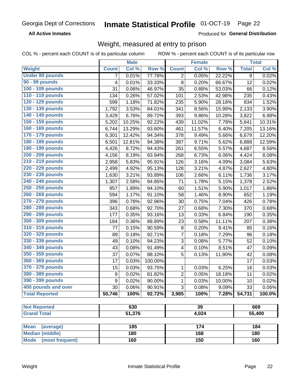#### Inmate Statistical Profile 01-OCT-19 Page 22

**All Active Inmates** 

Produced for General Distribution

### Weight, measured at entry to prison

COL % - percent each COUNT is of its particular column ROW % - percent each COUNT is of its particular row

|                                           |                  | <b>Male</b>   |         |                | <b>Female</b> |        |              | <b>Total</b> |
|-------------------------------------------|------------------|---------------|---------|----------------|---------------|--------|--------------|--------------|
| Weight                                    | <b>Count</b>     | Col %         | Row %   | <b>Count</b>   | Col %         | Row %  | <b>Total</b> | Col %        |
| <b>Under 80 pounds</b>                    | $\overline{7}$   | 0.01%         | 77.78%  | 2              | 0.05%         | 22.22% | 9            | 0.02%        |
| 90 - 99 pounds                            | 4                | 0.01%         | 33.33%  | 8              | 0.20%         | 66.67% | 12           | 0.02%        |
| 100 - 109 pounds                          | 31               | 0.06%         | 46.97%  | 35             | 0.88%         | 53.03% | 66           | 0.12%        |
| 110 - 119 pounds                          | 134              | 0.26%         | 57.02%  | 101            | 2.53%         | 42.98% | 235          | 0.43%        |
| 120 - 129 pounds                          | 599              | 1.18%         | 71.82%  | 235            | 5.90%         | 28.18% | 834          | 1.52%        |
| 130 - 139 pounds                          | 1,792            | 3.53%         | 84.01%  | 341            | 8.56%         | 15.99% | 2,133        | 3.90%        |
| 140 - 149 pounds                          | 3,429            | 6.76%         | 89.72%  | 393            | 9.86%         | 10.28% | 3,822        | 6.98%        |
| 150 - 159 pounds                          | 5,202            | 10.25%        | 92.22%  | 439            | 11.02%        | 7.78%  | 5,641        | 10.31%       |
| 160 - 169 pounds                          | 6,744            | 13.29%        | 93.60%  | 461            | 11.57%        | 6.40%  | 7,205        | 13.16%       |
| 170 - 179 pounds                          | 6,301            | 12.42%        | 94.34%  | 378            | 9.49%         | 5.66%  | 6,679        | 12.20%       |
| 180 - 189 pounds                          | 6,501            | 12.81%        | 94.38%  | 387            | 9.71%         | 5.62%  | 6,888        | 12.59%       |
| 190 - 199 pounds                          | 4,426            | 8.72%         | 94.43%  | 261            | 6.55%         | 5.57%  | 4,687        | 8.56%        |
| 200 - 209 pounds                          | 4,156            | 8.19%         | 93.94%  | 268            | 6.73%         | 6.06%  | 4,424        | 8.08%        |
| 210 - 219 pounds                          | 2,958            | 5.83%         | 95.91%  | 126            | 3.16%         | 4.09%  | 3,084        | 5.63%        |
| 220 - 229 pounds                          | 2,499            | 4.92%         | 95.13%  | 128            | 3.21%         | 4.87%  | 2,627        | 4.80%        |
| 230 - 239 pounds                          | 1,630            | 3.21%         | 93.89%  | 106            | 2.66%         | 6.11%  | 1,736        | 3.17%        |
| 240 - 249 pounds                          | 1,307            | 2.58%         | 94.85%  | 71             | 1.78%         | 5.15%  | 1,378        | 2.52%        |
| 250 - 259 pounds                          | 957              | 1.89%         | 94.10%  | 60             | 1.51%         | 5.90%  | 1,017        | 1.86%        |
| 260 - 269 pounds                          | 594              | 1.17%         | 91.10%  | 58             | 1.46%         | 8.90%  | 652          | 1.19%        |
| 270 - 279 pounds                          | 396              | 0.78%         | 92.96%  | 30             | 0.75%         | 7.04%  | 426          | 0.78%        |
| 280 - 289 pounds                          | 343              | 0.68%         | 92.70%  | 27             | 0.68%         | 7.30%  | 370          | 0.68%        |
| 290 - 299 pounds                          | 177              | 0.35%         | 93.16%  | 13             | 0.33%         | 6.84%  | 190          | 0.35%        |
| 300 - 309 pounds                          | 184              | 0.36%         | 88.89%  | 23             | 0.58%         | 11.11% | 207          | 0.38%        |
| 310 - 319 pounds                          | 77               | 0.15%         | 90.59%  | 8              | 0.20%         | 9.41%  | 85           | 0.16%        |
| 320 - 329 pounds                          | 89               | 0.18%         | 92.71%  | $\overline{7}$ | 0.18%         | 7.29%  | 96           | 0.18%        |
| 330 - 339 pounds                          | 49               | 0.10%         | 94.23%  | 3              | 0.08%         | 5.77%  | 52           | 0.10%        |
| 340 - 349 pounds                          | 43               | 0.08%         | 91.49%  | 4              | 0.10%         | 8.51%  | 47           | 0.09%        |
| 350 - 359 pounds                          | 37               | 0.07%         | 88.10%  | 5              | 0.13%         | 11.90% | 42           | 0.08%        |
| 360 - 369 pounds                          | 17               | 0.03%         | 100.00% |                |               |        | 17           | 0.03%        |
| 370 - 379 pounds                          | 15               | 0.03%         | 93.75%  | $\mathbf 1$    | 0.03%         | 6.25%  | 16           | 0.03%        |
| 380 - 389 pounds                          | $\boldsymbol{9}$ | 0.02%         | 81.82%  | $\overline{2}$ | 0.05%         | 18.18% | 11           | 0.02%        |
| 390 - 399 pounds                          | 9                | 0.02%         | 90.00%  | 1              | 0.03%         | 10.00% | 10           | 0.02%        |
| 400 pounds and over                       | 30               | 0.06%         | 90.91%  | 3              | 0.08%         | 9.09%  | 33           | 0.06%        |
| <b>Total Reported</b>                     | 50,746           | 100%          | 92.72%  | 3,985          | 100%          | 7.28%  | 54,731       | 100.0%       |
|                                           |                  |               |         |                | 39            |        |              |              |
| <b>Not Reported</b><br><b>Grand Total</b> |                  | 630<br>51,376 |         |                |               |        |              | 669          |
|                                           |                  |               |         |                | 4,024         |        |              | 55,400       |
| <b>Mean</b><br>(average)                  |                  | 185           |         |                | 174           |        |              | 184          |
| <b>Median (middle)</b>                    |                  | 180           |         |                | 168           |        |              | 180          |
| <b>Mode</b><br>(most frequent)            |                  | 160           |         |                | 150           |        |              | 160          |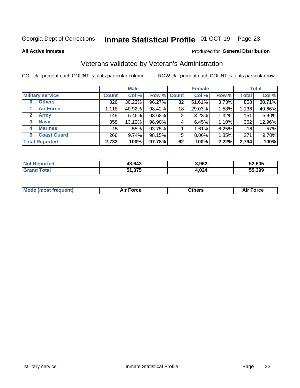#### Inmate Statistical Profile 01-OCT-19 Page 23

**All Active Inmates** 

#### Produced for General Distribution

### Veterans validated by Veteran's Administration

COL % - percent each COUNT is of its particular column

|                          |              | <b>Male</b> |        |             | <b>Female</b> |       |              | <b>Total</b> |
|--------------------------|--------------|-------------|--------|-------------|---------------|-------|--------------|--------------|
| <b>Military service</b>  | <b>Count</b> | Col %       |        | Row % Count | Col %         | Row % | <b>Total</b> | Col %        |
| <b>Others</b><br>0       | 826          | 30.23%      | 96.27% | 32          | 51.61%        | 3.73% | 858          | 30.71%       |
| <b>Air Force</b>         | 1,118        | 40.92%      | 98.42% | 18          | 29.03%        | 1.58% | 1,136        | 40.66%       |
| 2<br><b>Army</b>         | 149          | 5.45%       | 98.68% | 2           | 3.23%         | 1.32% | 151          | 5.40%        |
| <b>Navy</b><br>3         | 358          | 13.10%      | 98.90% | 4           | 6.45%         | 1.10% | 362          | 12.96%       |
| <b>Marines</b><br>4      | 15           | .55%        | 93.75% |             | 1.61%         | 6.25% | 16           | $.57\%$      |
| <b>Coast Guard</b><br>5. | 266          | 9.74%       | 98.15% | 5           | 8.06%         | 1.85% | 271          | 9.70%        |
| <b>Total Reported</b>    | 2,732        | 100%        | 97.78% | 62          | 100%          | 2.22% | 2,794        | 100%         |

| <b>Not</b><br>Reported | 48,643 | 3,962 | 52,605 |
|------------------------|--------|-------|--------|
| ⊺otai                  | 51,375 | 4,024 | 55,399 |

|  |  | <b>Mode (most frequent)</b> | <b>Force</b><br>Aır | วthers | orce |
|--|--|-----------------------------|---------------------|--------|------|
|--|--|-----------------------------|---------------------|--------|------|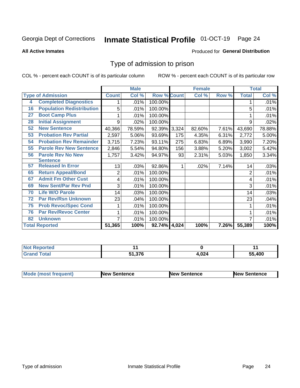#### Inmate Statistical Profile 01-OCT-19 Page 24

#### **All Active Inmates**

#### Produced for General Distribution

#### Type of admission to prison

COL % - percent each COUNT is of its particular column

|    |                                  |                | <b>Male</b> |                    |       | <b>Female</b> |          |              | <b>Total</b> |
|----|----------------------------------|----------------|-------------|--------------------|-------|---------------|----------|--------------|--------------|
|    | <b>Type of Admission</b>         | <b>Count</b>   | Col %       | <b>Row % Count</b> |       | Col %         | Row %    | <b>Total</b> | Col %        |
| 4  | <b>Completed Diagnostics</b>     | 1              | .01%        | 100.00%            |       |               |          |              | .01%         |
| 16 | <b>Population Redistribution</b> | 5              | .01%        | 100.00%            |       |               |          | 5            | .01%         |
| 27 | <b>Boot Camp Plus</b>            | 1.             | .01%        | 100.00%            |       |               |          |              | .01%         |
| 28 | <b>Initial Assignment</b>        | 9              | .02%        | 100.00%            |       |               |          | 9            | .02%         |
| 52 | <b>New Sentence</b>              | 40,366         | 78.59%      | 92.39%             | 3,324 | 82.60%        | 7.61%    | 43,690       | 78.88%       |
| 53 | <b>Probation Rev Partial</b>     | 2,597          | 5.06%       | 93.69%             | 175   | 4.35%         | 6.31%    | 2,772        | 5.00%        |
| 54 | <b>Probation Rev Remainder</b>   | 3,715          | 7.23%       | 93.11%             | 275   | 6.83%         | 6.89%    | 3,990        | 7.20%        |
| 55 | <b>Parole Rev New Sentence</b>   | 2,846          | 5.54%       | 94.80%             | 156   | 3.88%         | 5.20%    | 3,002        | 5.42%        |
| 56 | <b>Parole Rev No New</b>         | 1,757          | 3.42%       | 94.97%             | 93    | 2.31%         | 5.03%    | 1,850        | 3.34%        |
|    | <b>Sentence</b>                  |                |             |                    |       |               |          |              |              |
| 57 | <b>Released In Error</b>         | 13             | .03%        | 92.86%             |       | .02%          | 7.14%    | 14           | .03%         |
| 65 | <b>Return Appeal/Bond</b>        | $\overline{c}$ | .01%        | 100.00%            |       |               |          | 2            | .01%         |
| 67 | <b>Admit Fm Other Cust</b>       | 4              | .01%        | 100.00%            |       |               |          | 4            | .01%         |
| 69 | <b>New Sent/Par Rev Pnd</b>      | 3              | .01%        | 100.00%            |       |               |          | 3            | .01%         |
| 70 | <b>Life W/O Parole</b>           | 14             | .03%        | 100.00%            |       |               |          | 14           | .03%         |
| 72 | <b>Par Rev/Rsn Unknown</b>       | 23             | .04%        | 100.00%            |       |               |          | 23           | .04%         |
| 75 | <b>Prob Revoc/Spec Cond</b>      | 1              | .01%        | 100.00%            |       |               |          |              | .01%         |
| 76 | <b>Par Rev/Revoc Center</b>      | 1              | .01%        | 100.00%            |       |               |          |              | .01%         |
| 82 | <b>Unknown</b>                   | 7              | .01%        | 100.00%            |       |               |          |              | .01%         |
|    | <b>Total Reported</b>            | 51,365         | 100%        | 92.74% 4,024       |       | 100%          | $7.26\%$ | 55,389       | 100%         |

| <b>Not Reported</b>  |                      |      | . .    |
|----------------------|----------------------|------|--------|
| <b>Total</b><br>Cror | 51 376<br>0 I G, I C | ິດາ⊿ | 55,400 |

| Mode (most frequent) | <b>New Sentence</b> | <b>New Sentence</b> | <b>New Sentence</b> |
|----------------------|---------------------|---------------------|---------------------|
|                      |                     |                     |                     |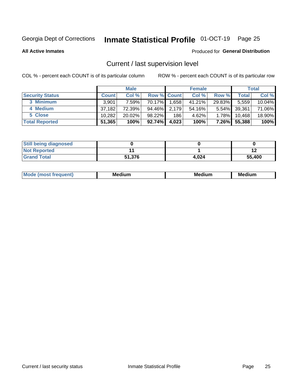### Inmate Statistical Profile 01-OCT-19 Page 25

**All Active Inmates** 

#### Produced for General Distribution

### Current / last supervision level

COL % - percent each COUNT is of its particular column

|                        |              | <b>Male</b> |                    |       | <b>Female</b> |          |        | <b>Total</b> |
|------------------------|--------------|-------------|--------------------|-------|---------------|----------|--------|--------------|
| <b>Security Status</b> | <b>Count</b> | Col %       | <b>Row % Count</b> |       | Col %         | Row %    | Total  | Col %        |
| 3 Minimum              | 3.901        | 7.59%l      | 70.17%             | 1,658 | 41.21%        | 29.83%   | 5,559  | 10.04%       |
| 4 Medium               | 37,182       | 72.39%      | 94.46%             | 2,179 | 54.16%        | $5.54\%$ | 39,361 | 71.06%       |
| 5 Close                | 10,282       | $20.02\%$   | 98.22%             | 186   | 4.62%         | 1.78%    | 10,468 | 18.90%       |
| <b>Total Reported</b>  | 51,365       | 100%        | 92.74%             | 4,023 | 100%          | $7.26\%$ | 55,388 | 100%         |

| <b>Still being diagnosed</b> |        |       |        |
|------------------------------|--------|-------|--------|
| <b>Not Reported</b>          |        |       |        |
| <b>Grand Total</b>           | 51,376 | 4.024 | 55,400 |

| M | M | . . |
|---|---|-----|
|   |   |     |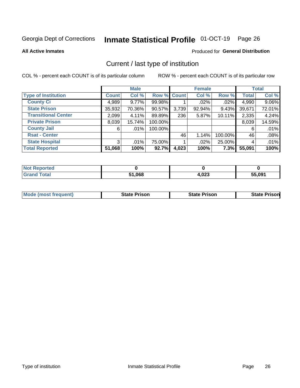# Inmate Statistical Profile 01-OCT-19 Page 26

**All Active Inmates** 

#### Produced for General Distribution

### Current / last type of institution

COL % - percent each COUNT is of its particular column

|                            |                | <b>Male</b> |             |       | <b>Female</b> |         |              | <b>Total</b> |
|----------------------------|----------------|-------------|-------------|-------|---------------|---------|--------------|--------------|
| <b>Type of Institution</b> | <b>Count</b>   | Col %       | Row % Count |       | Col %         | Row %   | <b>Total</b> | Col %        |
| <b>County Ci</b>           | 4,989          | $9.77\%$    | 99.98%      |       | .02%          | .02%    | 4,990        | 9.06%        |
| <b>State Prison</b>        | 35,932         | 70.36%      | 90.57%      | 3,739 | 92.94%        | 9.43%   | 39,671       | 72.01%       |
| <b>Transitional Center</b> | 2,099          | 4.11%       | 89.89%      | 236   | 5.87%         | 10.11%  | 2,335        | 4.24%        |
| <b>Private Prison</b>      | 8,039          | 15.74%      | 100.00%     |       |               |         | 8,039        | 14.59%       |
| <b>County Jail</b>         | 6              | $.01\%$     | 100.00%     |       |               |         | 6            | .01%         |
| <b>Rsat - Center</b>       |                |             |             | 46    | 1.14%         | 100.00% | 46           | .08%         |
| <b>State Hospital</b>      | 3 <sup>1</sup> | $.01\%$     | 75.00%      |       | $.02\%$       | 25.00%  | 4            | .01%         |
| <b>Total Reported</b>      | 51,068         | 100%        | 92.7%       | 4,023 | 100%          | 7.3%    | 55,091       | 100%         |

| <b>Reported</b><br><b>NOT</b> F |      |       |        |
|---------------------------------|------|-------|--------|
| <b>Total</b>                    | ,068 | 1,023 | 55,091 |

| <b>Mode (most frequent)</b> | <b>State Prison</b> | <b>State Prison</b> | <b>State Prison</b> |
|-----------------------------|---------------------|---------------------|---------------------|
|                             |                     |                     |                     |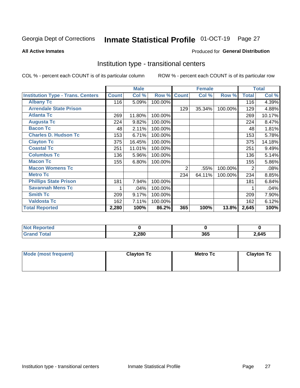## Inmate Statistical Profile 01-OCT-19 Page 27

#### **All Active Inmates**

#### Produced for General Distribution

#### Institution type - transitional centers

COL % - percent each COUNT is of its particular column

|                                          |              | <b>Male</b> |         |                | <b>Female</b> |         |              | <b>Total</b> |
|------------------------------------------|--------------|-------------|---------|----------------|---------------|---------|--------------|--------------|
| <b>Institution Type - Trans. Centers</b> | <b>Count</b> | Col %       | Row %   | <b>Count</b>   | Col %         | Row %   | <b>Total</b> | Col %        |
| <b>Albany Tc</b>                         | 116          | 5.09%       | 100.00% |                |               |         | 116          | 4.39%        |
| <b>Arrendale State Prison</b>            |              |             |         | 129            | 35.34%        | 100.00% | 129          | 4.88%        |
| <b>Atlanta Tc</b>                        | 269          | 11.80%      | 100.00% |                |               |         | 269          | 10.17%       |
| <b>Augusta Tc</b>                        | 224          | 9.82%       | 100.00% |                |               |         | 224          | 8.47%        |
| <b>Bacon Tc</b>                          | 48           | 2.11%       | 100.00% |                |               |         | 48           | 1.81%        |
| <b>Charles D. Hudson Tc</b>              | 153          | 6.71%       | 100.00% |                |               |         | 153          | 5.78%        |
| <b>Clayton Tc</b>                        | 375          | 16.45%      | 100.00% |                |               |         | 375          | 14.18%       |
| <b>Coastal Tc</b>                        | 251          | 11.01%      | 100.00% |                |               |         | 251          | 9.49%        |
| <b>Columbus Tc</b>                       | 136          | 5.96%       | 100.00% |                |               |         | 136          | 5.14%        |
| <b>Macon Tc</b>                          | 155          | 6.80%       | 100.00% |                |               |         | 155          | 5.86%        |
| <b>Macon Womens Tc</b>                   |              |             |         | $\overline{2}$ | .55%          | 100.00% | 2            | .08%         |
| <b>Metro Tc</b>                          |              |             |         | 234            | 64.11%        | 100.00% | 234          | 8.85%        |
| <b>Phillips State Prison</b>             | 181          | 7.94%       | 100.00% |                |               |         | 181          | 6.84%        |
| <b>Savannah Mens Tc</b>                  | 1            | .04%        | 100.00% |                |               |         |              | .04%         |
| <b>Smith Tc</b>                          | 209          | 9.17%       | 100.00% |                |               |         | 209          | 7.90%        |
| <b>Valdosta Tc</b>                       | 162          | 7.11%       | 100.00% |                |               |         | 162          | 6.12%        |
| <b>Total Reported</b>                    | 2,280        | 100%        | 86.2%   | 365            | 100%          | 13.8%   | 2,645        | 100%         |

| <b>Not Reported</b> |       |     |       |
|---------------------|-------|-----|-------|
| Total               | 2,280 | 365 | 2,645 |

| Mode (most frequent) | <b>Clayton Tc</b> | Metro Tc | <b>Clayton Tc</b> |
|----------------------|-------------------|----------|-------------------|
|                      |                   |          |                   |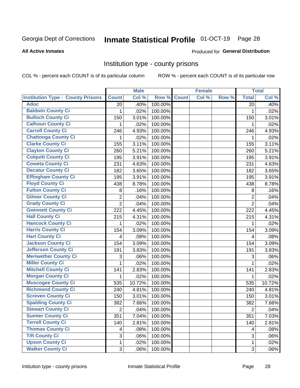# Inmate Statistical Profile 01-OCT-19 Page 28

#### **All Active Inmates**

#### Produced for General Distribution

#### Institution type - county prisons

COL % - percent each COUNT is of its particular column

|                                          |                | <b>Male</b> |         |              | <b>Female</b> |       |                | <b>Total</b> |
|------------------------------------------|----------------|-------------|---------|--------------|---------------|-------|----------------|--------------|
| <b>Institution Type - County Prisons</b> | <b>Count</b>   | Col %       | Row %   | <b>Count</b> | Col %         | Row % | <b>Total</b>   | Col %        |
| <b>Adoc</b>                              | 20             | .40%        | 100.00% |              |               |       | 20             | .40%         |
| <b>Baldwin County Ci</b>                 | 1              | .02%        | 100.00% |              |               |       | 1              | .02%         |
| <b>Bulloch County Ci</b>                 | 150            | 3.01%       | 100.00% |              |               |       | 150            | 3.01%        |
| <b>Calhoun County Ci</b>                 | 1              | .02%        | 100.00% |              |               |       | 1              | .02%         |
| <b>Carroll County Ci</b>                 | 246            | 4.93%       | 100.00% |              |               |       | 246            | 4.93%        |
| <b>Chattooga County Ci</b>               | 1              | .02%        | 100.00% |              |               |       | 1              | .02%         |
| <b>Clarke County Ci</b>                  | 155            | 3.11%       | 100.00% |              |               |       | 155            | 3.11%        |
| <b>Clayton County Ci</b>                 | 260            | 5.21%       | 100.00% |              |               |       | 260            | 5.21%        |
| <b>Colquitt County Ci</b>                | 195            | 3.91%       | 100.00% |              |               |       | 195            | 3.91%        |
| <b>Coweta County Ci</b>                  | 231            | 4.63%       | 100.00% |              |               |       | 231            | 4.63%        |
| <b>Decatur County Ci</b>                 | 182            | 3.65%       | 100.00% |              |               |       | 182            | 3.65%        |
| <b>Effingham County Ci</b>               | 195            | 3.91%       | 100.00% |              |               |       | 195            | 3.91%        |
| <b>Floyd County Ci</b>                   | 438            | 8.78%       | 100.00% |              |               |       | 438            | 8.78%        |
| <b>Fulton County Ci</b>                  | 8              | .16%        | 100.00% |              |               |       | 8              | .16%         |
| <b>Gilmer County Ci</b>                  | $\overline{2}$ | .04%        | 100.00% |              |               |       | $\overline{2}$ | .04%         |
| <b>Grady County Ci</b>                   | $\overline{2}$ | .04%        | 100.00% |              |               |       | $\overline{2}$ | .04%         |
| <b>Gwinnett County Ci</b>                | 222            | 4.45%       | 100.00% |              |               |       | 222            | 4.45%        |
| <b>Hall County Ci</b>                    | 215            | 4.31%       | 100.00% |              |               |       | 215            | 4.31%        |
| <b>Hancock County Ci</b>                 | 1              | .02%        | 100.00% |              |               |       | 1              | .02%         |
| <b>Harris County Ci</b>                  | 154            | 3.09%       | 100.00% |              |               |       | 154            | 3.09%        |
| <b>Hart County Ci</b>                    | 4              | .08%        | 100.00% |              |               |       | 4              | .08%         |
| <b>Jackson County Ci</b>                 | 154            | 3.09%       | 100.00% |              |               |       | 154            | 3.09%        |
| Jefferson County Ci                      | 191            | 3.83%       | 100.00% |              |               |       | 191            | 3.83%        |
| <b>Meriwether County Ci</b>              | 3              | .06%        | 100.00% |              |               |       | 3              | .06%         |
| <b>Miller County Ci</b>                  | 1              | .02%        | 100.00% |              |               |       | $\mathbf{1}$   | .02%         |
| <b>Mitchell County Ci</b>                | 141            | 2.83%       | 100.00% |              |               |       | 141            | 2.83%        |
| <b>Morgan County Ci</b>                  | 1              | .02%        | 100.00% |              |               |       | 1              | .02%         |
| <b>Muscogee County Ci</b>                | 535            | 10.72%      | 100.00% |              |               |       | 535            | 10.72%       |
| <b>Richmond County Ci</b>                | 240            | 4.81%       | 100.00% |              |               |       | 240            | 4.81%        |
| <b>Screven County Ci</b>                 | 150            | 3.01%       | 100.00% |              |               |       | 150            | 3.01%        |
| <b>Spalding County Ci</b>                | 382            | 7.66%       | 100.00% |              |               |       | 382            | 7.66%        |
| <b>Stewart County Ci</b>                 | $\overline{2}$ | .04%        | 100.00% |              |               |       | $\overline{2}$ | .04%         |
| <b>Sumter County Ci</b>                  | 351            | 7.04%       | 100.00% |              |               |       | 351            | 7.03%        |
| <b>Terrell County Ci</b>                 | 140            | 2.81%       | 100.00% |              |               |       | 140            | 2.81%        |
| <b>Thomas County Ci</b>                  | 4              | .08%        | 100.00% |              |               |       | 4              | .08%         |
| <b>Tift County Ci</b>                    | 3              | .06%        | 100.00% |              |               |       | 3              | .06%         |
| <b>Upson County Ci</b>                   | 1              | .02%        | 100.00% |              |               |       | $\mathbf 1$    | .02%         |
| <b>Walker County Ci</b>                  | 3              | .06%        | 100.00% |              |               |       | $\sqrt{3}$     | .06%         |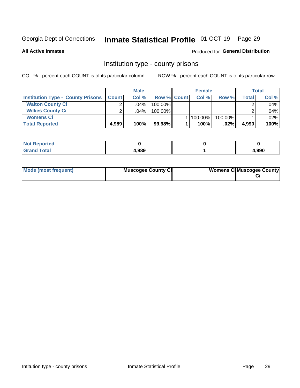### Inmate Statistical Profile 01-OCT-19 Page 29

**All Active Inmates** 

#### Produced for General Distribution

#### Institution type - county prisons

COL % - percent each COUNT is of its particular column

|                                          |              | <b>Male</b> |                    | <b>Female</b> |         |       | <b>Total</b> |
|------------------------------------------|--------------|-------------|--------------------|---------------|---------|-------|--------------|
| <b>Institution Type - County Prisons</b> | <b>Count</b> | Col%        | <b>Row % Count</b> | Col%          | Row %   | Total | Col %        |
| <b>Walton County Ci</b>                  | ⌒            | $.04\%$     | 100.00%            |               |         |       | .04%         |
| <b>Wilkes County Ci</b>                  |              | $.04\%$     | 100.00%            |               |         |       | .04%         |
| <b>Womens Ci</b>                         |              |             |                    | 100.00%       | 100.00% |       | .02%         |
| <b>Total Reported</b>                    | 4,989        | 100%        | 99.98%             | 100%          | $.02\%$ | 4,990 | 100%         |

| rtea<br>.<br>$\cdots$ |       |       |
|-----------------------|-------|-------|
|                       | 4,989 | 990,ا |

| Mode (most frequent) | <b>Muscogee County Ci</b> | <b>Womens CilMuscogee County</b> |
|----------------------|---------------------------|----------------------------------|
|----------------------|---------------------------|----------------------------------|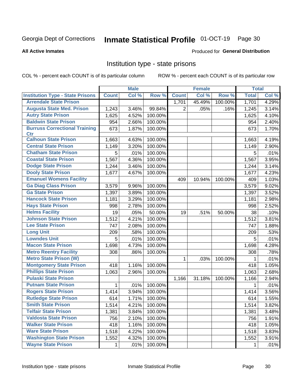# Inmate Statistical Profile 01-OCT-19 Page 30

#### **All Active Inmates**

#### Produced for General Distribution

#### Institution type - state prisons

COL % - percent each COUNT is of its particular column

|                                         |              | <b>Male</b> |         |              | <b>Female</b> |         | <b>Total</b> |       |
|-----------------------------------------|--------------|-------------|---------|--------------|---------------|---------|--------------|-------|
| <b>Institution Type - State Prisons</b> | <b>Count</b> | Col %       | Row %   | <b>Count</b> | Col %         | Row %   | <b>Total</b> | Col % |
| <b>Arrendale State Prison</b>           |              |             |         | 1,701        | 45.49%        | 100.00% | 1,701        | 4.29% |
| <b>Augusta State Med. Prison</b>        | 1,243        | 3.46%       | 99.84%  | 2            | .05%          | .16%    | 1,245        | 3.14% |
| <b>Autry State Prison</b>               | 1,625        | 4.52%       | 100.00% |              |               |         | 1,625        | 4.10% |
| <b>Baldwin State Prison</b>             | 954          | 2.66%       | 100.00% |              |               |         | 954          | 2.40% |
| <b>Burruss Correctional Training</b>    | 673          | 1.87%       | 100.00% |              |               |         | 673          | 1.70% |
| <b>Ctr</b>                              |              |             |         |              |               |         |              |       |
| <b>Calhoun State Prison</b>             | 1,663        | 4.63%       | 100.00% |              |               |         | 1,663        | 4.19% |
| <b>Central State Prison</b>             | 1,149        | 3.20%       | 100.00% |              |               |         | 1,149        | 2.90% |
| <b>Chatham State Prison</b>             | 5            | .01%        | 100.00% |              |               |         | 5            | .01%  |
| <b>Coastal State Prison</b>             | 1,567        | 4.36%       | 100.00% |              |               |         | 1,567        | 3.95% |
| <b>Dodge State Prison</b>               | 1,244        | 3.46%       | 100.00% |              |               |         | 1,244        | 3.14% |
| <b>Dooly State Prison</b>               | 1,677        | 4.67%       | 100.00% |              |               |         | 1,677        | 4.23% |
| <b>Emanuel Womens Facility</b>          |              |             |         | 409          | 10.94%        | 100.00% | 409          | 1.03% |
| <b>Ga Diag Class Prison</b>             | 3,579        | 9.96%       | 100.00% |              |               |         | 3,579        | 9.02% |
| <b>Ga State Prison</b>                  | 1,397        | 3.89%       | 100.00% |              |               |         | 1,397        | 3.52% |
| <b>Hancock State Prison</b>             | 1,181        | 3.29%       | 100.00% |              |               |         | 1,181        | 2.98% |
| <b>Hays State Prison</b>                | 998          | 2.78%       | 100.00% |              |               |         | 998          | 2.52% |
| <b>Helms Facility</b>                   | 19           | .05%        | 50.00%  | 19           | .51%          | 50.00%  | 38           | .10%  |
| <b>Johnson State Prison</b>             | 1,512        | 4.21%       | 100.00% |              |               |         | 1,512        | 3.81% |
| <b>Lee State Prison</b>                 | 747          | 2.08%       | 100.00% |              |               |         | 747          | 1.88% |
| <b>Long Unit</b>                        | 209          | .58%        | 100.00% |              |               |         | 209          | .53%  |
| <b>Lowndes Unit</b>                     | 5            | .01%        | 100.00% |              |               |         | 5            | .01%  |
| <b>Macon State Prison</b>               | 1,698        | 4.73%       | 100.00% |              |               |         | 1,698        | 4.28% |
| <b>Metro Reentry Facility</b>           | 308          | .86%        | 100.00% |              |               |         | 308          | .78%  |
| <b>Metro State Prison (W)</b>           |              |             |         | 1            | .03%          | 100.00% | 1            | .01%  |
| <b>Montgomery State Prison</b>          | 418          | 1.16%       | 100.00% |              |               |         | 418          | 1.05% |
| <b>Phillips State Prison</b>            | 1,063        | 2.96%       | 100.00% |              |               |         | 1,063        | 2.68% |
| <b>Pulaski State Prison</b>             |              |             |         | 1,166        | 31.18%        | 100.00% | 1,166        | 2.94% |
| <b>Putnam State Prison</b>              | 1            | .01%        | 100.00% |              |               |         | 1            | .01%  |
| <b>Rogers State Prison</b>              | 1,414        | 3.94%       | 100.00% |              |               |         | 1,414        | 3.56% |
| <b>Rutledge State Prison</b>            | 614          | 1.71%       | 100.00% |              |               |         | 614          | 1.55% |
| <b>Smith State Prison</b>               | 1,514        | 4.21%       | 100.00% |              |               |         | 1,514        | 3.82% |
| <b>Telfair State Prison</b>             | 1,381        | 3.84%       | 100.00% |              |               |         | 1,381        | 3.48% |
| <b>Valdosta State Prison</b>            | 756          | 2.10%       | 100.00% |              |               |         | 756          | 1.91% |
| <b>Walker State Prison</b>              | 418          | 1.16%       | 100.00% |              |               |         | 418          | 1.05% |
| <b>Ware State Prison</b>                | 1,518        | 4.22%       | 100.00% |              |               |         | 1,518        | 3.83% |
| <b>Washington State Prison</b>          | 1,552        | 4.32%       | 100.00% |              |               |         | 1,552        | 3.91% |
| <b>Wayne State Prison</b>               | 1            | .01%        | 100.00% |              |               |         | 1            | .01%  |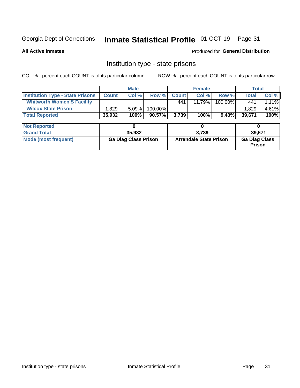# Inmate Statistical Profile 01-OCT-19 Page 31

**All Active Inmates** 

Produced for General Distribution

### Institution type - state prisons

COL % - percent each COUNT is of its particular column

|                                         |                             | <b>Male</b> |                               |              | <b>Female</b> | <b>Total</b>                   |              |        |  |
|-----------------------------------------|-----------------------------|-------------|-------------------------------|--------------|---------------|--------------------------------|--------------|--------|--|
| <b>Institution Type - State Prisons</b> | <b>Count</b>                | Col %       | Row %                         | <b>Count</b> | Col %         | Row %                          | <b>Total</b> | Col %  |  |
| <b>Whitworth Women'S Facility</b>       |                             |             |                               | 441          | 11.79%        | 100.00%                        | 441          | 1.11%  |  |
| <b>Wilcox State Prison</b>              | 1,829                       | 5.09%       | 100.00%                       |              |               |                                | 1,829        | 4.61%  |  |
| <b>Total Reported</b>                   | 35,932                      | 100%        | $90.57\%$                     | 3,739        | 100%          | 9.43%                          | 39,671       | 100%   |  |
|                                         |                             |             |                               |              |               |                                |              |        |  |
| <b>Not Reported</b>                     |                             | 0           |                               |              | 0             |                                | 0            |        |  |
| <b>Grand Total</b>                      |                             | 35,932      |                               |              | 3,739         |                                |              | 39,671 |  |
| <b>Mode (most frequent)</b>             | <b>Ga Diag Class Prison</b> |             | <b>Arrendale State Prison</b> |              |               | <b>Ga Diag Class</b><br>Prison |              |        |  |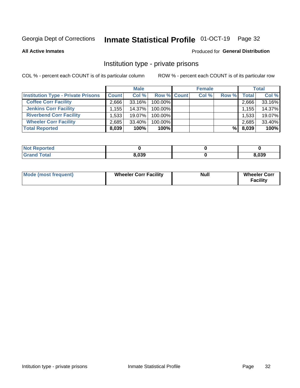## Inmate Statistical Profile 01-OCT-19 Page 32

**All Active Inmates** 

#### Produced for General Distribution

#### Institution type - private prisons

COL % - percent each COUNT is of its particular column

|                                           |                    | <b>Male</b> |                    | <b>Female</b> |       |       | <b>Total</b> |
|-------------------------------------------|--------------------|-------------|--------------------|---------------|-------|-------|--------------|
| <b>Institution Type - Private Prisons</b> | <b>Count</b>       | Col %       | <b>Row % Count</b> | Col %         | Row % | Total | Col %        |
| <b>Coffee Corr Facility</b>               | 2.666              | $33.16\%$   | 100.00%            |               |       | 2,666 | 33.16%       |
| <b>Jenkins Corr Facility</b>              | $.155$ $^{\prime}$ | 14.37%      | $100.00\%$         |               |       | 1,155 | 14.37%       |
| <b>Riverbend Corr Facility</b>            | 1.533              | 19.07%      | 100.00%            |               |       | 1,533 | 19.07%       |
| <b>Wheeler Corr Facility</b>              | 2,685              | 33.40%      | 100.00%            |               |       | 2,685 | 33.40%       |
| <b>Total Reported</b>                     | 8,039              | 100%        | $100\%$            |               | %Ⅰ    | 8,039 | 100%         |

| <b>Not Reported</b> |       |       |
|---------------------|-------|-------|
| <b>Total</b>        | 8,039 | 3,039 |

| <b>Mode (most frequent)</b> | <b>Wheeler Corr Facility</b> | <b>Null</b> | <b>Wheeler Corr</b><br><b>Facility</b> |
|-----------------------------|------------------------------|-------------|----------------------------------------|
|-----------------------------|------------------------------|-------------|----------------------------------------|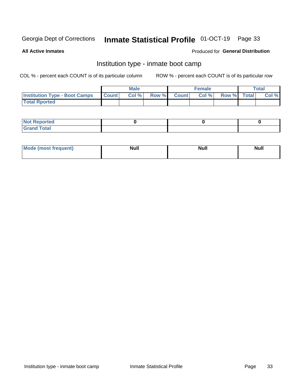#### Inmate Statistical Profile 01-OCT-19 Page 33

**All Active Inmates** 

#### Produced for General Distribution

### Institution type - inmate boot camp

COL % - percent each COUNT is of its particular column

|                                      |              | <b>Male</b> |               |              | <b>Female</b> |             | <b>Total</b> |
|--------------------------------------|--------------|-------------|---------------|--------------|---------------|-------------|--------------|
| <b>Institution Type - Boot Camps</b> | <b>Count</b> | Col %       | <b>Row %I</b> | <b>Count</b> | Col %         | Row % Total | Col %        |
| <b>Total Rported</b>                 |              |             |               |              |               |             |              |

| <b>Not Reported</b>            |  |  |
|--------------------------------|--|--|
| <b>Total</b><br>C <sub>r</sub> |  |  |

| Mod<br>uamo | Nul.<br>$- - - - - -$ | <b>Null</b> | <br>uu.<br>------ |
|-------------|-----------------------|-------------|-------------------|
|             |                       |             |                   |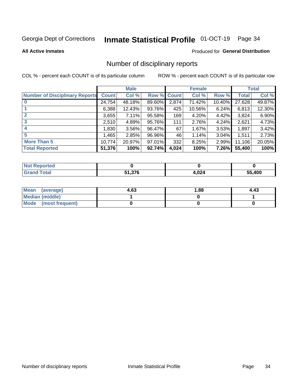# Inmate Statistical Profile 01-OCT-19 Page 34

#### **All Active Inmates**

#### Produced for General Distribution

#### Number of disciplinary reports

COL % - percent each COUNT is of its particular column

|                                       |              | <b>Male</b> |        |              | <b>Female</b> |          |              | <b>Total</b> |
|---------------------------------------|--------------|-------------|--------|--------------|---------------|----------|--------------|--------------|
| <b>Number of Disciplinary Reports</b> | <b>Count</b> | Col %       | Row %  | <b>Count</b> | Col %         | Row %    | <b>Total</b> | Col %        |
|                                       | 24,754       | 48.18%      | 89.60% | 2,874        | 71.42%        | 10.40%   | 27,628       | 49.87%       |
|                                       | 6,388        | 12.43%      | 93.76% | 425          | 10.56%        | 6.24%    | 6,813        | 12.30%       |
|                                       | 3,655        | 7.11%       | 95.58% | 169          | 4.20%         | $4.42\%$ | 3,824        | 6.90%        |
| 3                                     | 2.510        | 4.89%       | 95.76% | 111          | 2.76%         | 4.24%    | 2,621        | 4.73%        |
| 4                                     | 1,830        | $3.56\%$    | 96.47% | 67           | 1.67%         | 3.53%    | 1,897        | 3.42%        |
| 5                                     | 1,465        | 2.85%       | 96.96% | 46           | 1.14%         | $3.04\%$ | 1,511        | 2.73%        |
| <b>More Than 5</b>                    | 10,774       | 20.97%      | 97.01% | 332          | 8.25%         | $2.99\%$ | 11,106       | 20.05%       |
| <b>Total Reported</b>                 | 51,376       | 100%        | 92.74% | 4,024        | 100%          | 7.26%    | 55,400       | 100%         |

| Reported<br><b>NOT</b> |        |       |        |
|------------------------|--------|-------|--------|
| Total                  | 51,376 | 4.024 | 55.400 |

| Mean (average)       | 4.63 | 1.88 | 4.43 |
|----------------------|------|------|------|
| Median (middle)      |      |      |      |
| Mode (most frequent) |      |      |      |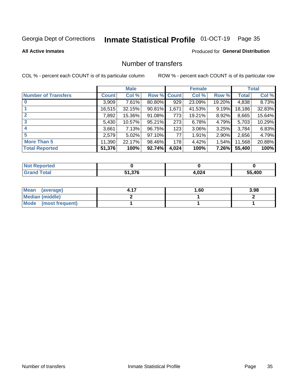# Inmate Statistical Profile 01-OCT-19 Page 35

#### **All Active Inmates**

#### **Produced for General Distribution**

### Number of transfers

COL % - percent each COUNT is of its particular column

|                            |         | <b>Male</b> |             |       | <b>Female</b> |          |              | <b>Total</b> |
|----------------------------|---------|-------------|-------------|-------|---------------|----------|--------------|--------------|
| <b>Number of Transfers</b> | Count l | Col %       | Row % Count |       | Col %         | Row %    | <b>Total</b> | Col %        |
|                            | 3,909   | 7.61%       | 80.80%      | 929   | 23.09%        | 19.20%   | 4,838        | 8.73%        |
|                            | 16,515  | 32.15%      | 90.81%      | 1,671 | 41.53%        | 9.19%    | 18,186       | 32.83%       |
|                            | 7,892   | 15.36%      | 91.08%      | 773   | 19.21%        | 8.92%    | 8,665        | 15.64%       |
| 3                          | 5,430   | 10.57%      | 95.21%      | 273   | 6.78%         | 4.79%    | 5,703        | 10.29%       |
|                            | 3,661   | 7.13%       | 96.75%      | 123   | 3.06%         | 3.25%    | 3,784        | 6.83%        |
| 5                          | 2,579   | $5.02\%$    | 97.10%      | 77    | 1.91%         | $2.90\%$ | 2,656        | 4.79%        |
| <b>More Than 5</b>         | 11,390  | 22.17%      | 98.46%      | 178   | 4.42%         | $1.54\%$ | 11,568       | 20.88%       |
| <b>Total Reported</b>      | 51,376  | 100%        | 92.74%      | 4,024 | 100%          | 7.26%    | 55,400       | 100%         |

| <b>Not Reported</b> |        |       |        |
|---------------------|--------|-------|--------|
| <b>Total</b>        | 51,376 | 4,024 | 55.400 |

| Mean (average)       | 1.60 | 3.98 |
|----------------------|------|------|
| Median (middle)      |      |      |
| Mode (most frequent) |      |      |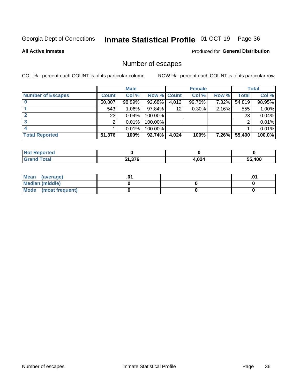# Inmate Statistical Profile 01-OCT-19 Page 36

**All Active Inmates** 

#### Produced for General Distribution

### Number of escapes

COL % - percent each COUNT is of its particular column

|                          |              | <b>Male</b> |                    |       | <b>Female</b> |              |        | <b>Total</b> |
|--------------------------|--------------|-------------|--------------------|-------|---------------|--------------|--------|--------------|
| <b>Number of Escapes</b> | <b>Count</b> | Col %       | <b>Row % Count</b> |       | Col %         | Row %        | Total  | Col %        |
|                          | 50,807       | 98.89%      | 92.68%             | 4,012 | 99.70%        | 7.32%        | 54,819 | 98.95%       |
|                          | 543          | 1.06%       | 97.84%             | 12    | $0.30\%$      | 2.16%        | 555    | 1.00%        |
|                          | 23           | 0.04%       | 100.00%            |       |               |              | 23     | 0.04%        |
|                          | ົ            | 0.01%       | $100.00\%$         |       |               |              |        | 0.01%        |
|                          |              | 0.01%       | 100.00%            |       |               |              |        | 0.01%        |
| <b>Total Reported</b>    | 51,376       | 100%        | $92.74\%$          | 4,024 | 100%          | <b>7.26%</b> | 55,400 | 100.0%       |

| <b>Not Reported</b> |        |       |        |
|---------------------|--------|-------|--------|
| Total               | 51,376 | 1,024 | 55.400 |

| Mean (average)       |  | .0 <sup>1</sup> |
|----------------------|--|-----------------|
| Median (middle)      |  |                 |
| Mode (most frequent) |  |                 |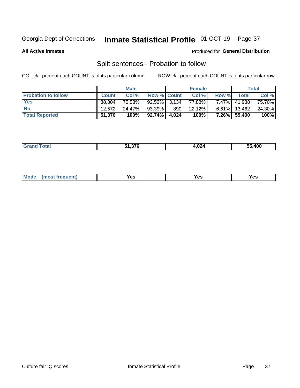#### **Inmate Statistical Profile 01-OCT-19** Page 37

**All Active Inmates** 

#### Produced for General Distribution

### Split sentences - Probation to follow

COL % - percent each COUNT is of its particular column

|                            |              | <b>Male</b> |                 |       | <b>Female</b> |          |              | <b>Total</b> |
|----------------------------|--------------|-------------|-----------------|-------|---------------|----------|--------------|--------------|
| <b>Probation to follow</b> | <b>Count</b> | Col%        | Row % Count     |       | Col %         | Row %    | Total        | Col %        |
| <b>Yes</b>                 | 38.804       | 75.53%      | $92.53\%$ 3.134 |       | 77.88%        | $7.47\%$ | 41,938       | 75.70%       |
| <b>No</b>                  | 12.572       | 24.47%      | $93.39\%$       | 890   | 22.12%        | $6.61\%$ | 13,462       | 24.30%       |
| <b>Total Reported</b>      | 51,376       | 100%        | 92.74%          | 4.024 | 100%          |          | 7.26% 55,400 | 100%         |

|  | . | -4.070 E<br>1.J/U | 1,024 | .400<br>--<br>55. |
|--|---|-------------------|-------|-------------------|
|--|---|-------------------|-------|-------------------|

| M<br>reauent)<br>/٥<br>$\sim$<br>v.,<br>.<br>w<br>$\cdot$ - $\cdot$ |  |  |  |  |  |
|---------------------------------------------------------------------|--|--|--|--|--|
|---------------------------------------------------------------------|--|--|--|--|--|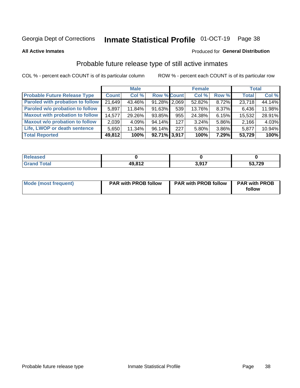# Inmate Statistical Profile 01-OCT-19 Page 38

**All Active Inmates** 

## Produced for General Distribution

# Probable future release type of still active inmates

COL % - percent each COUNT is of its particular column

|                                         |              | <b>Male</b> |                    |     | <b>Female</b> |       | <b>Total</b> |        |
|-----------------------------------------|--------------|-------------|--------------------|-----|---------------|-------|--------------|--------|
| <b>Probable Future Release Type</b>     | <b>Count</b> | Col %       | <b>Row % Count</b> |     | Col %         | Row % | <b>Total</b> | Col %  |
| <b>Paroled with probation to follow</b> | 21,649       | 43.46%      | $91.28\%$ 2,069    |     | 52.82%        | 8.72% | 23,718       | 44.14% |
| Paroled w/o probation to follow         | 5,897        | 11.84%      | 91.63%             | 539 | 13.76%        | 8.37% | 6,436        | 11.98% |
| <b>Maxout with probation to follow</b>  | 14,577       | 29.26%      | 93.85%             | 955 | 24.38%        | 6.15% | 15,532       | 28.91% |
| <b>Maxout w/o probation to follow</b>   | 2,039        | 4.09%       | 94.14%             | 127 | 3.24%         | 5.86% | 2,166        | 4.03%  |
| Life, LWOP or death sentence            | 5,650        | 11.34%      | 96.14%             | 227 | 5.80%         | 3.86% | 5,877        | 10.94% |
| <b>Total Reported</b>                   | 49,812       | 100%        | $92.71\%$ 3,917    |     | 100%          | 7.29% | 53,729       | 100%   |

| $C = 4 - 7$ | <b>49812</b> | 2017 | ,729<br>-^<br>ວວ |
|-------------|--------------|------|------------------|

| <b>Mode (most frequent)</b> | <b>PAR with PROB follow</b> | <b>PAR with PROB follow</b> | <b>PAR with PROB</b> |
|-----------------------------|-----------------------------|-----------------------------|----------------------|
|                             |                             |                             | follow               |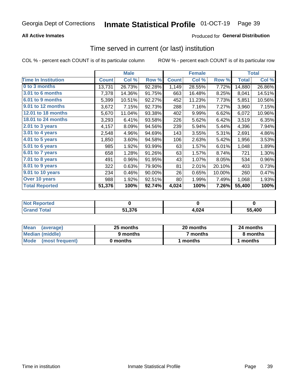# **All Active Inmates**

# **Produced for General Distribution**

# Time served in current (or last) institution

COL % - percent each COUNT is of its particular column

|                            |              | <b>Male</b> |        | <b>Female</b> |        |        | <b>Total</b> |        |
|----------------------------|--------------|-------------|--------|---------------|--------|--------|--------------|--------|
| <b>Time In Institution</b> | <b>Count</b> | Col %       | Row %  | <b>Count</b>  | Col %  | Row %  | <b>Total</b> | Col %  |
| 0 to 3 months              | 13,731       | 26.73%      | 92.28% | 1,149         | 28.55% | 7.72%  | 14,880       | 26.86% |
| 3.01 to 6 months           | 7,378        | 14.36%      | 91.75% | 663           | 16.48% | 8.25%  | 8,041        | 14.51% |
| 6.01 to 9 months           | 5,399        | 10.51%      | 92.27% | 452           | 11.23% | 7.73%  | 5,851        | 10.56% |
| 9.01 to 12 months          | 3,672        | 7.15%       | 92.73% | 288           | 7.16%  | 7.27%  | 3,960        | 7.15%  |
| <b>12.01 to 18 months</b>  | 5,670        | 11.04%      | 93.38% | 402           | 9.99%  | 6.62%  | 6,072        | 10.96% |
| <b>18.01 to 24 months</b>  | 3,293        | 6.41%       | 93.58% | 226           | 5.62%  | 6.42%  | 3,519        | 6.35%  |
| 2.01 to 3 years            | 4,157        | 8.09%       | 94.56% | 239           | 5.94%  | 5.44%  | 4,396        | 7.94%  |
| $3.01$ to 4 years          | 2,548        | 4.96%       | 94.69% | 143           | 3.55%  | 5.31%  | 2,691        | 4.86%  |
| $4.01$ to 5 years          | 1,850        | 3.60%       | 94.58% | 106           | 2.63%  | 5.42%  | 1,956        | 3.53%  |
| 5.01 to 6 years            | 985          | 1.92%       | 93.99% | 63            | 1.57%  | 6.01%  | 1,048        | 1.89%  |
| 6.01 to 7 years            | 658          | 1.28%       | 91.26% | 63            | 1.57%  | 8.74%  | 721          | 1.30%  |
| 7.01 to 8 years            | 491          | 0.96%       | 91.95% | 43            | 1.07%  | 8.05%  | 534          | 0.96%  |
| 8.01 to 9 years            | 322          | 0.63%       | 79.90% | 81            | 2.01%  | 20.10% | 403          | 0.73%  |
| 9.01 to 10 years           | 234          | 0.46%       | 90.00% | 26            | 0.65%  | 10.00% | 260          | 0.47%  |
| Over 10 years              | 988          | 1.92%       | 92.51% | 80            | 1.99%  | 7.49%  | 1,068        | 1.93%  |
| <b>Total Reported</b>      | 51,376       | 100%        | 92.74% | 4,024         | 100%   | 7.26%  | 55,400       | 100%   |

| orted<br><b>Not</b> |                   |       |        |
|---------------------|-------------------|-------|--------|
| <b>otal</b>         | E4 97C<br>1.J / 0 | 4,024 | 55.400 |

| <b>Mean</b><br>(average) | 25 months | 20 months | 24 months |
|--------------------------|-----------|-----------|-----------|
| Median (middle)          | 9 months  | 7 months  | 8 months  |
| Mode (most frequent)     | 0 months  | months    | l months  |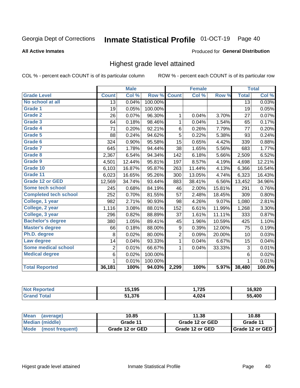#### Inmate Statistical Profile 01-OCT-19 Page 40

### **All Active Inmates**

## Produced for General Distribution

# Highest grade level attained

COL % - percent each COUNT is of its particular column

|                              |                 | <b>Male</b> |         |                         | <b>Female</b> |        |                 | <b>Total</b> |
|------------------------------|-----------------|-------------|---------|-------------------------|---------------|--------|-----------------|--------------|
| <b>Grade Level</b>           | <b>Count</b>    | Col %       | Row %   | <b>Count</b>            | Col%          | Row %  | <b>Total</b>    | Col %        |
| No school at all             | $\overline{13}$ | 0.04%       | 100.00% |                         |               |        | $\overline{13}$ | 0.03%        |
| <b>Grade 1</b>               | 19              | 0.05%       | 100.00% |                         |               |        | 19              | 0.05%        |
| <b>Grade 2</b>               | 26              | 0.07%       | 96.30%  | 1                       | 0.04%         | 3.70%  | 27              | 0.07%        |
| Grade 3                      | 64              | 0.18%       | 98.46%  | $\mathbf{1}$            | 0.04%         | 1.54%  | 65              | 0.17%        |
| Grade 4                      | 71              | 0.20%       | 92.21%  | 6                       | 0.26%         | 7.79%  | 77              | 0.20%        |
| Grade 5                      | 88              | 0.24%       | 94.62%  | 5                       | 0.22%         | 5.38%  | 93              | 0.24%        |
| Grade 6                      | 324             | 0.90%       | 95.58%  | 15                      | 0.65%         | 4.42%  | 339             | 0.88%        |
| <b>Grade 7</b>               | 645             | 1.78%       | 94.44%  | 38                      | 1.65%         | 5.56%  | 683             | 1.77%        |
| Grade 8                      | 2,367           | 6.54%       | 94.34%  | 142                     | 6.18%         | 5.66%  | 2,509           | 6.52%        |
| Grade 9                      | 4,501           | 12.44%      | 95.81%  | 197                     | 8.57%         | 4.19%  | 4,698           | 12.21%       |
| Grade 10                     | 6,103           | 16.87%      | 95.87%  | 263                     | 11.44%        | 4.13%  | 6,366           | 16.54%       |
| Grade 11                     | 6,023           | 16.65%      | 95.26%  | 300                     | 13.05%        | 4.74%  | 6,323           | 16.43%       |
| <b>Grade 12 or GED</b>       | 12,569          | 34.74%      | 93.44%  | 883                     | 38.41%        | 6.56%  | 13,452          | 34.96%       |
| <b>Some tech school</b>      | 245             | 0.68%       | 84.19%  | 46                      | 2.00%         | 15.81% | 291             | 0.76%        |
| <b>Completed tech school</b> | 252             | 0.70%       | 81.55%  | 57                      | 2.48%         | 18.45% | 309             | 0.80%        |
| College, 1 year              | 982             | 2.71%       | 90.93%  | 98                      | 4.26%         | 9.07%  | 1,080           | 2.81%        |
| College, 2 year              | 1,116           | 3.08%       | 88.01%  | 152                     | 6.61%         | 11.99% | 1,268           | 3.30%        |
| College, 3 year              | 296             | 0.82%       | 88.89%  | 37                      | 1.61%         | 11.11% | 333             | 0.87%        |
| <b>Bachelor's degree</b>     | 380             | 1.05%       | 89.41%  | 45                      | 1.96%         | 10.59% | 425             | 1.10%        |
| <b>Master's degree</b>       | 66              | 0.18%       | 88.00%  | 9                       | 0.39%         | 12.00% | 75              | 0.19%        |
| Ph.D. degree                 | 8               | 0.02%       | 80.00%  | $\overline{\mathbf{c}}$ | 0.09%         | 20.00% | 10              | 0.03%        |
| Law degree                   | 14              | 0.04%       | 93.33%  | $\mathbf{1}$            | 0.04%         | 6.67%  | 15              | 0.04%        |
| <b>Some medical school</b>   | $\overline{2}$  | 0.01%       | 66.67%  | 1                       | 0.04%         | 33.33% | 3               | 0.01%        |
| <b>Medical degree</b>        | 6               | 0.02%       | 100.00% |                         |               |        | 6               | 0.02%        |
|                              | $\mathbf 1$     | 0.01%       | 100.00% |                         |               |        | 1               | 0.01%        |
| <b>Total Reported</b>        | 36,181          | 100%        | 94.03%  | 2,299                   | 100%          | 5.97%  | 38,480          | 100.0%       |

| 195<br>1 J J<br>ıJ. | ,725      | 6.920            |
|---------------------|-----------|------------------|
| 51,376              | በጋለ<br>__ | <b>AND</b><br>66 |

| <b>Mean</b><br>(average) | 10.85           | 11.38           | 10.88           |  |
|--------------------------|-----------------|-----------------|-----------------|--|
| Median (middle)          | Grade 11        | Grade 12 or GED | Grade 11        |  |
| Mode (most frequent)     | Grade 12 or GED | Grade 12 or GED | Grade 12 or GED |  |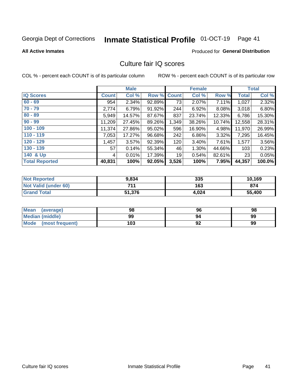# Inmate Statistical Profile 01-OCT-19 Page 41

### **All Active Inmates**

## **Produced for General Distribution**

# Culture fair IQ scores

COL % - percent each COUNT is of its particular column

|                       |              | <b>Male</b> |             |       | <b>Female</b> |        |              | <b>Total</b> |
|-----------------------|--------------|-------------|-------------|-------|---------------|--------|--------------|--------------|
| <b>IQ Scores</b>      | <b>Count</b> | Col %       | Row % Count |       | Col %         | Row %  | <b>Total</b> | Col %        |
| $60 - 69$             | 954          | 2.34%       | 92.89%      | 73    | 2.07%         | 7.11%  | 1,027        | 2.32%        |
| $70 - 79$             | 2,774        | 6.79%       | $91.92\%$   | 244   | 6.92%         | 8.08%  | 3,018        | 6.80%        |
| $80 - 89$             | 5,949        | 14.57%      | 87.67%      | 837   | 23.74%        | 12.33% | 6,786        | 15.30%       |
| $90 - 99$             | 11,209       | 27.45%      | 89.26%      | 1,349 | 38.26%        | 10.74% | 12,558       | 28.31%       |
| $100 - 109$           | 11,374       | 27.86%      | $95.02\%$   | 596   | 16.90%        | 4.98%  | 11,970       | 26.99%       |
| $110 - 119$           | 7,053        | 17.27%      | 96.68%      | 242   | 6.86%         | 3.32%  | 7,295        | 16.45%       |
| $120 - 129$           | 1,457        | 3.57%       | 92.39%      | 120   | 3.40%         | 7.61%  | 1,577        | 3.56%        |
| $130 - 139$           | 57           | 0.14%       | 55.34%      | 46    | 1.30%         | 44.66% | 103          | 0.23%        |
| 140 & Up              | 4            | 0.01%       | 17.39%      | 19    | 0.54%         | 82.61% | 23           | 0.05%        |
| <b>Total Reported</b> | 40,831       | 100%        | 92.05%      | 3,526 | 100%          | 7.95%  | 44,357       | 100.0%       |

| <b>Not Reported</b>         | 9,834  | 335   | 10,169 |
|-----------------------------|--------|-------|--------|
| <b>Not Valid (under 60)</b> | 711    | 163   | 874    |
| <b>Grand Total</b>          | 51,376 | 4,024 | 55,400 |

| <b>Mean</b><br>(average) | 98  | 96 | 98 |
|--------------------------|-----|----|----|
| <b>Median (middle)</b>   | 99  | 94 | 99 |
| Mode<br>(most frequent)  | 103 | 92 | 99 |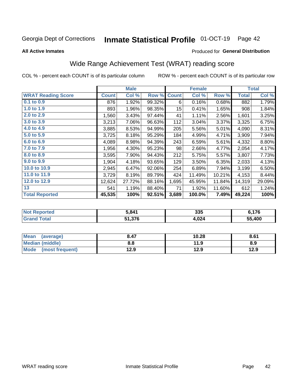#### Inmate Statistical Profile 01-OCT-19 Page 42

## **All Active Inmates**

# Produced for General Distribution

# Wide Range Achievement Test (WRAT) reading score

COL % - percent each COUNT is of its particular column

|                           |              | <b>Male</b> |        |                  | <b>Female</b> |        |              | <b>Total</b> |
|---------------------------|--------------|-------------|--------|------------------|---------------|--------|--------------|--------------|
| <b>WRAT Reading Score</b> | <b>Count</b> | Col %       | Row %  | <b>Count</b>     | Col %         | Row %  | <b>Total</b> | Col %        |
| 0.1 to 0.9                | 876          | 1.92%       | 99.32% | 6                | 0.16%         | 0.68%  | 882          | 1.79%        |
| 1.0 to 1.9                | 893          | 1.96%       | 98.35% | 15 <sub>15</sub> | 0.41%         | 1.65%  | 908          | 1.84%        |
| 2.0 to 2.9                | 1,560        | 3.43%       | 97.44% | 41               | 1.11%         | 2.56%  | 1,601        | 3.25%        |
| 3.0 to 3.9                | 3,213        | 7.06%       | 96.63% | 112              | 3.04%         | 3.37%  | 3,325        | 6.75%        |
| 4.0 to 4.9                | 3,885        | 8.53%       | 94.99% | 205              | 5.56%         | 5.01%  | 4,090        | 8.31%        |
| 5.0 to 5.9                | 3,725        | 8.18%       | 95.29% | 184              | 4.99%         | 4.71%  | 3,909        | 7.94%        |
| 6.0 to 6.9                | 4,089        | 8.98%       | 94.39% | 243              | 6.59%         | 5.61%  | 4,332        | 8.80%        |
| 7.0 to 7.9                | 1,956        | 4.30%       | 95.23% | 98               | 2.66%         | 4.77%  | 2,054        | 4.17%        |
| 8.0 to 8.9                | 3,595        | 7.90%       | 94.43% | 212              | 5.75%         | 5.57%  | 3,807        | 7.73%        |
| 9.0 to 9.9                | 1,904        | 4.18%       | 93.65% | 129              | 3.50%         | 6.35%  | 2,033        | 4.13%        |
| 10.0 to 10.9              | 2,945        | 6.47%       | 92.06% | 254              | 6.89%         | 7.94%  | 3,199        | 6.50%        |
| 11.0 to 11.9              | 3,729        | 8.19%       | 89.79% | 424              | 11.49%        | 10.21% | 4,153        | 8.44%        |
| 12.0 to 12.9              | 12,624       | 27.72%      | 88.16% | 1,695            | 45.95%        | 11.84% | 14,319       | 29.09%       |
| 13                        | 541          | 1.19%       | 88.40% | 71               | 1.92%         | 11.60% | 612          | 1.24%        |
| <b>Total Reported</b>     | 45,535       | 100%        | 92.51% | 3,689            | 100.0%        | 7.49%  | 49,224       | 100%         |

| Reported<br>' NOT | 5.841  | 335   | .176   |
|-------------------|--------|-------|--------|
| <b>Total</b>      | 51,376 | 4,024 | 55.400 |

| <b>Mean</b><br>(average)       | 8.47 | 10.28 | 8.61 |
|--------------------------------|------|-------|------|
| Median (middle)                | 8.8  | 11.9  | 8.9  |
| <b>Mode</b><br>(most frequent) | 12.9 | 12.9  | 12.9 |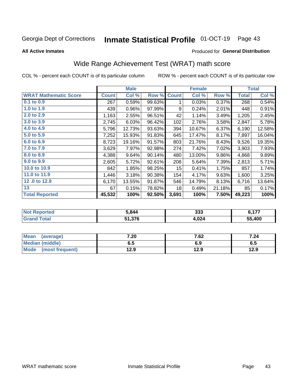#### Inmate Statistical Profile 01-OCT-19 Page 43

**All Active Inmates** 

## Produced for General Distribution

# Wide Range Achievement Test (WRAT) math score

COL % - percent each COUNT is of its particular column

|                              |         | <b>Male</b> |        |                  | <b>Female</b> |        |              | <b>Total</b> |
|------------------------------|---------|-------------|--------|------------------|---------------|--------|--------------|--------------|
| <b>WRAT Mathematic Score</b> | Count l | Col %       | Row %  | <b>Count</b>     | Col %         | Row %  | <b>Total</b> | Col %        |
| $0.1$ to $0.9$               | 267     | 0.59%       | 99.63% | 1                | 0.03%         | 0.37%  | 268          | 0.54%        |
| 1.0 to 1.9                   | 439     | 0.96%       | 97.99% | 9                | 0.24%         | 2.01%  | 448          | 0.91%        |
| 2.0 to 2.9                   | 1,163   | 2.55%       | 96.51% | 42               | 1.14%         | 3.49%  | 1,205        | 2.45%        |
| 3.0 to 3.9                   | 2,745   | 6.03%       | 96.42% | 102              | 2.76%         | 3.58%  | 2,847        | 5.78%        |
| 4.0 to 4.9                   | 5,796   | 12.73%      | 93.63% | 394              | 10.67%        | 6.37%  | 6,190        | 12.58%       |
| 5.0 to 5.9                   | 7,252   | 15.93%      | 91.83% | 645              | 17.47%        | 8.17%  | 7,897        | 16.04%       |
| 6.0 to 6.9                   | 8,723   | 19.16%      | 91.57% | 803              | 21.76%        | 8.43%  | 9,526        | 19.35%       |
| 7.0 to 7.9                   | 3,629   | 7.97%       | 92.98% | 274              | 7.42%         | 7.02%  | 3,903        | 7.93%        |
| 8.0 to 8.9                   | 4,388   | 9.64%       | 90.14% | 480              | 13.00%        | 9.86%  | 4,868        | 9.89%        |
| 9.0 to 9.9                   | 2,605   | 5.72%       | 92.61% | 208              | 5.64%         | 7.39%  | 2,813        | 5.71%        |
| 10.0 to 10.9                 | 842     | 1.85%       | 98.25% | 15 <sub>15</sub> | 0.41%         | 1.75%  | 857          | 1.74%        |
| 11.0 to 11.9                 | 1,446   | 3.18%       | 90.38% | 154              | 4.17%         | 9.63%  | 1,600        | 3.25%        |
| 12.0 to 12.9                 | 6,170   | 13.55%      | 91.87% | 546              | 14.79%        | 8.13%  | 6,716        | 13.64%       |
| 13                           | 67      | 0.15%       | 78.82% | 18               | 0.49%         | 21.18% | 85           | 0.17%        |
| <b>Total Reported</b>        | 45,532  | 100%        | 92.50% | 3,691            | 100%          | 7.50%  | 49,223       | 100%         |

| Reported<br>' NOT | 5.844  | つつつ<br>ააა | 477    |
|-------------------|--------|------------|--------|
| <b>Total</b>      | 51,376 | 4,024      | 55.400 |

| <b>Mean</b><br>(average) | 7.20 | 7.62 | 7.24 |
|--------------------------|------|------|------|
| Median (middle)          | כ.ס  | 6.9  | ხ.მ  |
| Mode<br>(most frequent)  | 12.9 | 12.9 | 12.9 |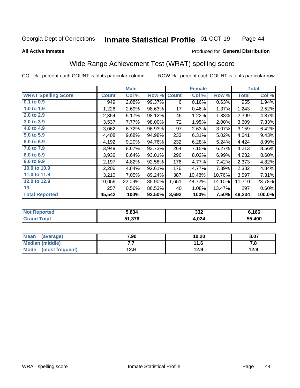#### **Inmate Statistical Profile 01-OCT-19** Page 44

Produced for General Distribution

### **All Active Inmates**

# Wide Range Achievement Test (WRAT) spelling score

COL % - percent each COUNT is of its particular column

|                            |              | <b>Male</b> |        |              | <b>Female</b> |        |              | <b>Total</b> |
|----------------------------|--------------|-------------|--------|--------------|---------------|--------|--------------|--------------|
| <b>WRAT Spelling Score</b> | <b>Count</b> | Col %       | Row %  | <b>Count</b> | Col %         | Row %  | <b>Total</b> | Col %        |
| 0.1 to 0.9                 | 949          | 2.08%       | 99.37% | 6            | 0.16%         | 0.63%  | 955          | 1.94%        |
| 1.0 to 1.9                 | 1,226        | 2.69%       | 98.63% | 17           | 0.46%         | 1.37%  | 1,243        | 2.52%        |
| 2.0 to 2.9                 | 2,354        | 5.17%       | 98.12% | 45           | 1.22%         | 1.88%  | 2,399        | 4.87%        |
| 3.0 to 3.9                 | 3,537        | 7.77%       | 98.00% | 72           | 1.95%         | 2.00%  | 3,609        | 7.33%        |
| 4.0 to 4.9                 | 3,062        | 6.72%       | 96.93% | 97           | 2.63%         | 3.07%  | 3,159        | 6.42%        |
| 5.0 to 5.9                 | 4,408        | 9.68%       | 94.98% | 233          | 6.31%         | 5.02%  | 4,641        | 9.43%        |
| 6.0 to 6.9                 | 4,192        | 9.20%       | 94.76% | 232          | 6.28%         | 5.24%  | 4,424        | 8.99%        |
| 7.0 to 7.9                 | 3,949        | 8.67%       | 93.73% | 264          | 7.15%         | 6.27%  | 4,213        | 8.56%        |
| 8.0 to 8.9                 | 3,936        | 8.64%       | 93.01% | 296          | 8.02%         | 6.99%  | 4,232        | 8.60%        |
| 9.0 to 9.9                 | 2,197        | 4.82%       | 92.58% | 176          | 4.77%         | 7.42%  | 2,373        | 4.82%        |
| 10.0 to 10.9               | 2,206        | 4.84%       | 92.61% | 176          | 4.77%         | 7.39%  | 2,382        | 4.84%        |
| 11.0 to 11.9               | 3,210        | 7.05%       | 89.24% | 387          | 10.48%        | 10.76% | 3,597        | 7.31%        |
| 12.0 to 12.9               | 10,059       | 22.09%      | 85.90% | 1,651        | 44.72%        | 14.10% | 11,710       | 23.78%       |
| 13                         | 257          | 0.56%       | 86.53% | 40           | 1.08%         | 13.47% | 297          | 0.60%        |
| <b>Total Reported</b>      | 45,542       | 100%        | 92.50% | 3,692        | 100%          | 7.50%  | 49,234       | 100.0%       |

| prted<br>NO       | 5.834  | 332   | 6,166  |
|-------------------|--------|-------|--------|
| $T \sim$ follows: | 51,376 | 4,024 | 55,400 |

| <b>Mean</b><br>(average) | 7.90 | 10.20 | 8.07 |
|--------------------------|------|-------|------|
| Median (middle)          | . .  | 11.6  | 7. O |
| Mode<br>(most frequent)  | 12.9 | 12.9  | 12.9 |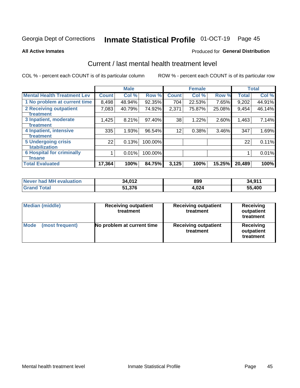# Inmate Statistical Profile 01-OCT-19 Page 45

### **All Active Inmates**

## Produced for General Distribution

# Current / last mental health treatment level

COL % - percent each COUNT is of its particular column

|                                    |              | <b>Male</b> |         |              | <b>Female</b> |        |              | <b>Total</b> |
|------------------------------------|--------------|-------------|---------|--------------|---------------|--------|--------------|--------------|
| <b>Mental Health Treatment Lev</b> | <b>Count</b> | Col %       | Row %   | <b>Count</b> | Col %         | Row %  | <b>Total</b> | Col %        |
| 1 No problem at current time       | 8,498        | 48.94%      | 92.35%  | 704          | 22.53%        | 7.65%  | 9,202        | 44.91%       |
| 2 Receiving outpatient             | 7,083        | 40.79%      | 74.92%  | 2,371        | 75.87%        | 25.08% | 9,454        | 46.14%       |
| <b>Treatment</b>                   |              |             |         |              |               |        |              |              |
| 3 Inpatient, moderate              | 1,425        | 8.21%       | 97.40%  | 38           | 1.22%         | 2.60%  | 1,463        | 7.14%        |
| <b>Treatment</b>                   |              |             |         |              |               |        |              |              |
| 4 Inpatient, intensive             | 335          | 1.93%       | 96.54%  | 12           | 0.38%         | 3.46%  | 347          | 1.69%        |
| Treatment                          |              |             |         |              |               |        |              |              |
| 5 Undergoing crisis                | 22           | 0.13%       | 100.00% |              |               |        | 22           | 0.11%        |
| <b>stabilization</b>               |              |             |         |              |               |        |              |              |
| <b>6 Hospital for criminally</b>   |              | 0.01%       | 100.00% |              |               |        |              | 0.01%        |
| <b>Tinsane</b>                     |              |             |         |              |               |        |              |              |
| <b>Total Evaluated</b>             | 17,364       | 100%        | 84.75%  | 3,125        | 100%          | 15.25% | 20,489       | 100%         |

| Never had MH evaluation | 34,012 | 899   | 34,911 |
|-------------------------|--------|-------|--------|
| <b>Grand Total</b>      | 51,376 | 4.024 | 55,400 |

| <b>Median (middle)</b>         | <b>Receiving outpatient</b><br>treatment | <b>Receiving outpatient</b><br>treatment | <b>Receiving</b><br>outpatient<br>treatment |  |  |
|--------------------------------|------------------------------------------|------------------------------------------|---------------------------------------------|--|--|
| <b>Mode</b><br>(most frequent) | No problem at current time               | <b>Receiving outpatient</b><br>treatment | Receiving<br>outpatient<br>treatment        |  |  |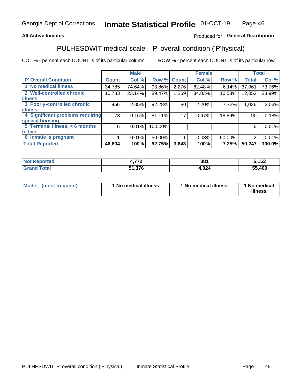## **All Active Inmates**

# Produced for General Distribution

# PULHESDWIT medical scale - 'P' overall condition ('P'hysical)

COL % - percent each COUNT is of its particular column

|                                  |              | <b>Male</b> |         |              | <b>Female</b> |        |              | <b>Total</b> |
|----------------------------------|--------------|-------------|---------|--------------|---------------|--------|--------------|--------------|
| <b>'P' Overall Condition</b>     | <b>Count</b> | Col %       | Row %   | <b>Count</b> | Col %         | Row %  | <b>Total</b> | Col %        |
| 1 No medical illness             | 34,785       | 74.64%      | 93.86%  | 2,276        | 62.48%        | 6.14%  | 37,061       | 73.76%       |
| 2 Well-controlled chronic        | 10,783       | 23.14%      | 89.47%  | 1,269        | 34.83%        | 10.53% | 12,052       | 23.99%       |
| <b>illness</b>                   |              |             |         |              |               |        |              |              |
| 3 Poorly-controlled chronic      | 956          | 2.05%       | 92.28%  | 80           | 2.20%         | 7.72%  | 1,036        | 2.06%        |
| <b>illness</b>                   |              |             |         |              |               |        |              |              |
| 4 Significant problems requiring | 73           | 0.16%       | 81.11%  | 17           | 0.47%         | 18.89% | 90           | 0.18%        |
| special housing                  |              |             |         |              |               |        |              |              |
| 5 Terminal illness, < 6 months   | 6            | 0.01%       | 100.00% |              |               |        | 6            | 0.01%        |
| to live                          |              |             |         |              |               |        |              |              |
| 6 Inmate is pregnant             |              | $0.01\%$    | 50.00%  |              | 0.03%         | 50.00% | 2            | 0.01%        |
| <b>Total Reported</b>            | 46,604       | 100%        | 92.75%  | 3,643        | 100%          | 7.25%  | 50,247       | 100.0%       |

| 'teo | 770 | 381  | こ イベマ<br>יש |
|------|-----|------|-------------|
|      | 27c | ,024 | 55.400      |

| Mode | (most frequent) | 1 No medical illness | 1 No medical illness | 1 No medical<br>illness |
|------|-----------------|----------------------|----------------------|-------------------------|
|------|-----------------|----------------------|----------------------|-------------------------|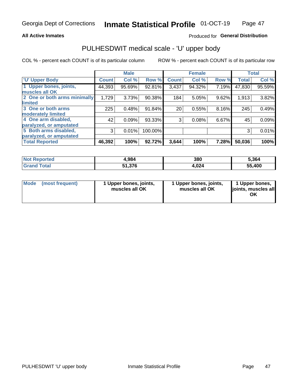## **All Active Inmates**

# Produced for General Distribution

# PULHESDWIT medical scale - 'U' upper body

COL % - percent each COUNT is of its particular column

|                              |              | <b>Male</b> |         |              | <b>Female</b> |       |              | <b>Total</b> |
|------------------------------|--------------|-------------|---------|--------------|---------------|-------|--------------|--------------|
| <b>U' Upper Body</b>         | <b>Count</b> | Col %       | Row %   | <b>Count</b> | Col %         | Row % | <b>Total</b> | Col %        |
| 1 Upper bones, joints,       | 44,393       | 95.69%      | 92.81%  | 3,437        | 94.32%        | 7.19% | 47,830       | 95.59%       |
| muscles all OK               |              |             |         |              |               |       |              |              |
| 2 One or both arms minimally | 1,729        | 3.73%       | 90.38%  | 184          | 5.05%         | 9.62% | 1,913        | 3.82%        |
| limited                      |              |             |         |              |               |       |              |              |
| 3 One or both arms           | 225          | 0.48%       | 91.84%  | 20           | 0.55%         | 8.16% | 245          | 0.49%        |
| <b>moderately limited</b>    |              |             |         |              |               |       |              |              |
| 4 One arm disabled,          | 42           | 0.09%       | 93.33%  | 3            | 0.08%         | 6.67% | 45           | 0.09%        |
| paralyzed, or amputated      |              |             |         |              |               |       |              |              |
| 5 Both arms disabled,        | 3            | 0.01%       | 100.00% |              |               |       | 3            | 0.01%        |
| paralyzed, or amputated      |              |             |         |              |               |       |              |              |
| <b>Total Reported</b>        | 46,392       | 100%        | 92.72%  | 3,644        | 100%          | 7.28% | 50,036       | 100%         |

| <b>Not Reported</b> | 4,984  | 380   | 5,364  |
|---------------------|--------|-------|--------|
| <b>Grand Total</b>  | 51,376 | 4,024 | 55,400 |

| Mode<br>(most frequent) | 1 Upper bones, joints,<br>muscles all OK | 1 Upper bones, joints,<br>muscles all OK | 1 Upper bones,<br>joints, muscles all<br>ΟK |
|-------------------------|------------------------------------------|------------------------------------------|---------------------------------------------|
|-------------------------|------------------------------------------|------------------------------------------|---------------------------------------------|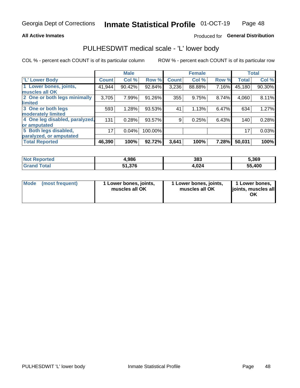## **All Active Inmates**

# Produced for General Distribution

# PULHESDWIT medical scale - 'L' lower body

COL % - percent each COUNT is of its particular column

|                                |              | <b>Male</b> |         |              | <b>Female</b> |       |              | <b>Total</b> |
|--------------------------------|--------------|-------------|---------|--------------|---------------|-------|--------------|--------------|
| 'L' Lower Body                 | <b>Count</b> | Col %       | Row %   | <b>Count</b> | Col %         | Row % | <b>Total</b> | Col %        |
| 1 Lower bones, joints,         | 41,944       | 90.42%      | 92.84%  | 3,236        | 88.88%        | 7.16% | 45,180       | 90.30%       |
| muscles all OK                 |              |             |         |              |               |       |              |              |
| 2 One or both legs minimally   | 3,705        | 7.99%       | 91.26%  | 355          | 9.75%         | 8.74% | 4,060        | 8.11%        |
| limited                        |              |             |         |              |               |       |              |              |
| 3 One or both legs             | 593          | 1.28%       | 93.53%  | 41           | 1.13%         | 6.47% | 634          | 1.27%        |
| moderately limited             |              |             |         |              |               |       |              |              |
| 4 One leg disabled, paralyzed, | 131          | 0.28%       | 93.57%  | 9            | 0.25%         | 6.43% | 140          | 0.28%        |
| or amputated                   |              |             |         |              |               |       |              |              |
| 5 Both legs disabled,          | 17           | 0.04%       | 100.00% |              |               |       | 17           | 0.03%        |
| paralyzed, or amputated        |              |             |         |              |               |       |              |              |
| <b>Total Reported</b>          | 46,390       | 100%        | 92.72%  | 3,641        | 100%          | 7.28% | 50,031       | 100%         |

| <b>Not Reported</b>   | 4,986  | 383   | 5,369  |
|-----------------------|--------|-------|--------|
| <b>Total</b><br>Grand | 51,376 | 4,024 | 55,400 |

|  | Mode (most frequent) | 1 Lower bones, joints,<br>muscles all OK | 1 Lower bones, joints,<br>muscles all OK | 1 Lower bones,<br>joints, muscles all<br>ΟK |
|--|----------------------|------------------------------------------|------------------------------------------|---------------------------------------------|
|--|----------------------|------------------------------------------|------------------------------------------|---------------------------------------------|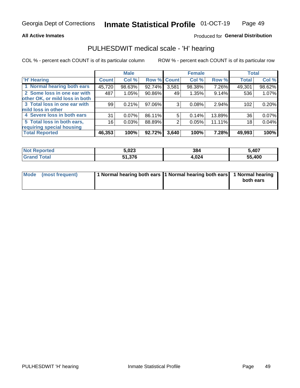## **All Active Inmates**

# Produced for General Distribution

# PULHESDWIT medical scale - 'H' hearing

COL % - percent each COUNT is of its particular column

|                                |              | <b>Male</b> |        |             | <b>Female</b> |        | <b>Total</b> |        |
|--------------------------------|--------------|-------------|--------|-------------|---------------|--------|--------------|--------|
| <b>H' Hearing</b>              | <b>Count</b> | Col %       |        | Row % Count | Col %         | Row %  | <b>Total</b> | Col %  |
| 1 Normal hearing both ears     | 45,720       | 98.63%      | 92.74% | 3,581       | 98.38%        | 7.26%  | 49,301       | 98.62% |
| 2 Some loss in one ear with    | 487          | 1.05%       | 90.86% | 49          | 1.35%         | 9.14%  | 536          | 1.07%  |
| other OK, or mild loss in both |              |             |        |             |               |        |              |        |
| 3 Total loss in one ear with   | 99           | 0.21%       | 97.06% | 3           | 0.08%         | 2.94%  | 102          | 0.20%  |
| mild loss in other             |              |             |        |             |               |        |              |        |
| 4 Severe loss in both ears     | 31           | 0.07%       | 86.11% | 5           | 0.14%         | 13.89% | 36           | 0.07%  |
| 5 Total loss in both ears,     | 16           | 0.03%       | 88.89% | 2           | 0.05%         | 11.11% | 18           | 0.04%  |
| requiring special housing      |              |             |        |             |               |        |              |        |
| <b>Total Reported</b>          | 46,353       | 100%        | 92.72% | 3,640       | 100%          | 7.28%  | 49,993       | 100%   |

| <b>Not Renc</b><br>ాorted | 5,023  | 384   | 5,407  |
|---------------------------|--------|-------|--------|
| Total                     | 51,376 | 024.ا | 55,400 |

| Mode (most frequent) | 1 Normal hearing both ears 11 Normal hearing both ears 1 Normal hearing | both ears |
|----------------------|-------------------------------------------------------------------------|-----------|
|                      |                                                                         |           |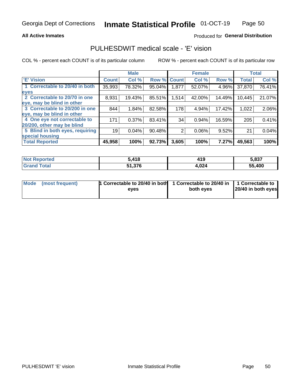## **All Active Inmates**

# Produced for General Distribution

# PULHESDWIT medical scale - 'E' vision

COL % - percent each COUNT is of its particular column

|                                 |              | <b>Male</b> |        |              | <b>Female</b> |        |              | <b>Total</b> |
|---------------------------------|--------------|-------------|--------|--------------|---------------|--------|--------------|--------------|
| 'E' Vision                      | <b>Count</b> | Col %       | Row %  | <b>Count</b> | Col %         | Row %  | <b>Total</b> | Col %        |
| 1 Correctable to 20/40 in both  | 35,993       | 78.32%      | 95.04% | 1,877        | 52.07%        | 4.96%  | 37,870       | 76.41%       |
| eyes                            |              |             |        |              |               |        |              |              |
| 2 Correctable to 20/70 in one   | 8,931        | 19.43%      | 85.51% | 1,514        | 42.00%        | 14.49% | 10,445       | 21.07%       |
| eye, may be blind in other      |              |             |        |              |               |        |              |              |
| 3 Correctable to 20/200 in one  | 844          | 1.84%       | 82.58% | 178          | 4.94%         | 17.42% | 1,022        | 2.06%        |
| eye, may be blind in other      |              |             |        |              |               |        |              |              |
| 4 One eye not correctable to    | 171          | 0.37%       | 83.41% | 34           | 0.94%         | 16.59% | 205          | 0.41%        |
| 20/200, other may be blind      |              |             |        |              |               |        |              |              |
| 5 Blind in both eyes, requiring | 19           | 0.04%       | 90.48% | 2            | 0.06%         | 9.52%  | 21           | 0.04%        |
| special housing                 |              |             |        |              |               |        |              |              |
| <b>Total Reported</b>           | 45,958       | 100%        | 92.73% | 3,605        | 100%          | 7.27%  | 49,563       | 100%         |

| <b>Not Reported</b> | 418,   | 419   | 5,837  |
|---------------------|--------|-------|--------|
| ™∩tal               | 51.376 | 4,024 | 55,400 |

| Mode (most frequent) | 1 Correctable to 20/40 in both<br>eves | 1 Correctable to 20/40 in   1 Correctable to  <br>both eves | 20/40 in both eyes |
|----------------------|----------------------------------------|-------------------------------------------------------------|--------------------|
|                      |                                        |                                                             |                    |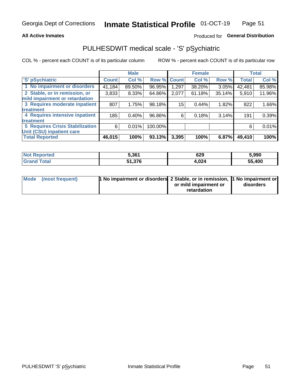## **All Active Inmates**

# Produced for General Distribution

# PULHESDWIT medical scale - 'S' pSychiatric

COL % - percent each COUNT is of its particular column

|                                        |              | <b>Male</b> |         |             | <b>Female</b> |          |              | <b>Total</b> |
|----------------------------------------|--------------|-------------|---------|-------------|---------------|----------|--------------|--------------|
| 'S' pSychiatric                        | <b>Count</b> | Col %       |         | Row % Count | Col %         | Row %    | <b>Total</b> | Col %        |
| 1 No impairment or disorders           | 41,184       | 89.50%      | 96.95%  | 1,297       | 38.20%        | $3.05\%$ | 42,481       | 85.98%       |
| 2 Stable, or in remission, or          | 3,833        | 8.33%       | 64.86%  | 2,077       | 61.18%        | 35.14%   | 5,910        | 11.96%       |
| mild impairment or retardation         |              |             |         |             |               |          |              |              |
| 3 Requires moderate inpatient          | 807          | 1.75%       | 98.18%  | 15          | 0.44%         | 1.82%    | 822          | 1.66%        |
| treatment                              |              |             |         |             |               |          |              |              |
| 4 Requires intensive inpatient         | 185          | 0.40%       | 96.86%  | 6           | 0.18%         | 3.14%    | 191          | 0.39%        |
| treatment                              |              |             |         |             |               |          |              |              |
| <b>5 Requires Crisis Stabilization</b> | 6            | 0.01%       | 100.00% |             |               |          | 6            | 0.01%        |
| Unit (CSU) inpatient care              |              |             |         |             |               |          |              |              |
| <b>Total Reported</b>                  | 46,015       | 100%        | 93.13%  | 3,395       | 100%          | 6.87%    | 49,410       | 100%         |

| <b>Not Reported</b>          | 5,361  | 629   | 5,990  |
|------------------------------|--------|-------|--------|
| <b>Grand</b><br><b>Total</b> | 51,376 | 4,024 | 55,400 |

| Mode (most frequent) | <b>t No impairment or disorders 2 Stable, or in remission, 1 No impairment or</b> |                       |           |
|----------------------|-----------------------------------------------------------------------------------|-----------------------|-----------|
|                      |                                                                                   | or mild impairment or | disorders |
|                      |                                                                                   | retardation           |           |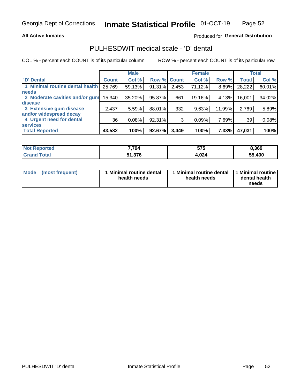## **All Active Inmates**

# Produced for General Distribution

# PULHESDWIT medical scale - 'D' dental

COL % - percent each COUNT is of its particular column

|                                 |              | <b>Male</b> |        |              | <b>Female</b> |          |              | <b>Total</b> |
|---------------------------------|--------------|-------------|--------|--------------|---------------|----------|--------------|--------------|
| <b>D'</b> Dental                | <b>Count</b> | Col %       | Row %  | <b>Count</b> | Col %         | Row %    | <b>Total</b> | Col %        |
| 1 Minimal routine dental health | 25,769       | 59.13%      | 91.31% | 2,453        | 71.12%        | $8.69\%$ | 28,222       | 60.01%       |
| <b>needs</b>                    |              |             |        |              |               |          |              |              |
| 2 Moderate cavities and/or gum  | 15,340       | 35.20%      | 95.87% | 661          | 19.16%        | 4.13%    | 16,001       | 34.02%       |
| disease                         |              |             |        |              |               |          |              |              |
| 3 Extensive gum disease         | 2,437        | 5.59%       | 88.01% | 332          | 9.63%         | 11.99%   | 2,769        | 5.89%        |
| and/or widespread decay         |              |             |        |              |               |          |              |              |
| 4 Urgent need for dental        | 36           | 0.08%       | 92.31% | 3            | 0.09%         | 7.69%    | 39           | 0.08%        |
| <b>services</b>                 |              |             |        |              |               |          |              |              |
| <b>Total Reported</b>           | 43,582       | 100%        | 92.67% | 3,449        | 100%          | 7.33%    | 47,031       | 100%         |

| <b>Not Reported</b> | 7,794 | こつこ<br>,,<br>ว เ ว | 8,369  |
|---------------------|-------|--------------------|--------|
| Total<br>Grand      | 1,376 | 4,024              | 55,400 |

| <b>Mode</b> | (most frequent) | <b>Minimal routine dental</b><br>health needs | 1 Minimal routine dental   1 Minimal routine  <br>health needs | dental health<br>needs |
|-------------|-----------------|-----------------------------------------------|----------------------------------------------------------------|------------------------|
|-------------|-----------------|-----------------------------------------------|----------------------------------------------------------------|------------------------|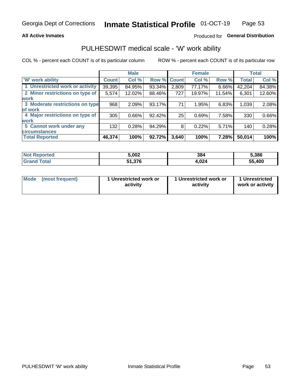## **All Active Inmates**

# Produced for General Distribution

# PULHESDWIT medical scale - 'W' work ability

COL % - percent each COUNT is of its particular column

|                                 |              | <b>Male</b> |        |             | <b>Female</b> |          |              | <b>Total</b> |
|---------------------------------|--------------|-------------|--------|-------------|---------------|----------|--------------|--------------|
| <b>W' work ability</b>          | <b>Count</b> | Col %       |        | Row % Count | Col %         | Row %    | <b>Total</b> | Col %        |
| 1 Unrestricted work or activity | 39,395       | 84.95%      | 93.34% | 2,809       | 77.17%        | $6.66\%$ | 42,204       | 84.38%       |
| 2 Minor restrictions on type of | 5,574        | 12.02%      | 88.46% | 727         | 19.97%        | 11.54%   | 6,301        | 12.60%       |
| <b>work</b>                     |              |             |        |             |               |          |              |              |
| 3 Moderate restrictions on type | 968          | 2.09%       | 93.17% | 71          | 1.95%         | 6.83%    | 1,039        | 2.08%        |
| lof work                        |              |             |        |             |               |          |              |              |
| 4 Major restrictions on type of | 305          | 0.66%       | 92.42% | 25          | 0.69%         | 7.58%    | 330          | 0.66%        |
| <b>work</b>                     |              |             |        |             |               |          |              |              |
| 5 Cannot work under any         | 132          | 0.28%       | 94.29% | 8           | 0.22%         | 5.71%    | 140          | 0.28%        |
| <b>circumstances</b>            |              |             |        |             |               |          |              |              |
| <b>Total Reported</b>           | 46,374       | 100%        | 92.72% | 3,640       | 100%          | 7.28%    | 50,014       | 100%         |

| <b>Not Reported</b>   | 5,002  | 384   | 5,386  |
|-----------------------|--------|-------|--------|
| Total<br><b>Grand</b> | 51,376 | 4,024 | 55,400 |

| Mode            | 1 Unrestricted work or | 1 Unrestricted work or | 1 Unrestricted   |
|-----------------|------------------------|------------------------|------------------|
| (most frequent) | activity               | activity               | work or activity |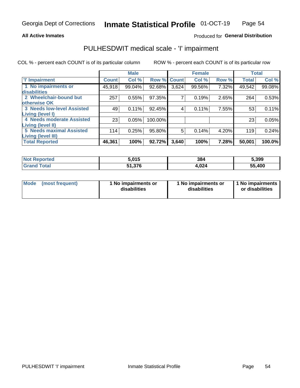## **All Active Inmates**

# Produced for General Distribution

# PULHESDWIT medical scale - 'I' impairment

COL % - percent each COUNT is of its particular column ROW % - percent each COUNT is of its particular row

|                                   |         | <b>Male</b> |         |              | <b>Female</b> |       |              | <b>Total</b> |
|-----------------------------------|---------|-------------|---------|--------------|---------------|-------|--------------|--------------|
| 'l' Impairment                    | Count l | Col %       | Row %   | <b>Count</b> | Col %         | Row % | <b>Total</b> | Col %        |
| 1 No impairments or               | 45,918  | 99.04%      | 92.68%  | 3,624        | 99.56%        | 7.32% | 49,542       | 99.08%       |
| disabilities                      |         |             |         |              |               |       |              |              |
| 2 Wheelchair-bound but            | 257     | 0.55%       | 97.35%  | 7            | 0.19%         | 2.65% | 264          | 0.53%        |
| otherwise OK                      |         |             |         |              |               |       |              |              |
| <b>3 Needs low-level Assisted</b> | 49      | 0.11%       | 92.45%  | 4            | 0.11%         | 7.55% | 53           | 0.11%        |
| Living (level I)                  |         |             |         |              |               |       |              |              |
| 4 Needs moderate Assisted         | 23      | 0.05%       | 100.00% |              |               |       | 23           | 0.05%        |
| Living (level II)                 |         |             |         |              |               |       |              |              |
| <b>5 Needs maximal Assisted</b>   | 114     | 0.25%       | 95.80%  | 5            | 0.14%         | 4.20% | 119          | 0.24%        |
| <b>Living (level III)</b>         |         |             |         |              |               |       |              |              |
| <b>Total Reported</b>             | 46,361  | 100%        | 92.72%  | 3,640        | 100%          | 7.28% | 50,001       | 100.0%       |

| <b>Reported</b><br>I NOT | 5,015  | 384   | 5,399  |
|--------------------------|--------|-------|--------|
| $n+n$                    | 51,376 | 1,024 | 55,400 |

| Mode | (most frequent) | 1 No impairments or<br>disabilities | 1 No impairments or<br>disabilities | 1 No impairments<br>or disabilities |
|------|-----------------|-------------------------------------|-------------------------------------|-------------------------------------|
|------|-----------------|-------------------------------------|-------------------------------------|-------------------------------------|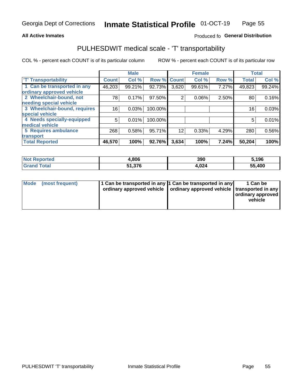## **All Active Inmates**

# Produced fo General Distribution

# PULHESDWIT medical scale - 'T' transportability

COL % - percent each COUNT is of its particular column

|                              |              | <b>Male</b> |         |              | <b>Female</b> |       |              | <b>Total</b> |
|------------------------------|--------------|-------------|---------|--------------|---------------|-------|--------------|--------------|
| <b>T' Transportability</b>   | <b>Count</b> | Col %       | Row %   | <b>Count</b> | Col %         | Row % | <b>Total</b> | Col %        |
| 1 Can be transported in any  | 46,203       | 99.21%      | 92.73%  | 3,620        | 99.61%        | 7.27% | 49,823       | 99.24%       |
| ordinary approved vehicle    |              |             |         |              |               |       |              |              |
| 2 Wheelchair-bound, not      | 78           | 0.17%       | 97.50%  | 2            | 0.06%         | 2.50% | 80           | 0.16%        |
| needing special vehicle      |              |             |         |              |               |       |              |              |
| 3 Wheelchair-bound, requires | 16           | 0.03%       | 100.00% |              |               |       | 16           | 0.03%        |
| special vehicle              |              |             |         |              |               |       |              |              |
| 4 Needs specially-equipped   | 5            | 0.01%       | 100.00% |              |               |       | 5            | 0.01%        |
| medical vehicle              |              |             |         |              |               |       |              |              |
| <b>5 Requires ambulance</b>  | 268          | 0.58%       | 95.71%  | 12           | 0.33%         | 4.29% | 280          | 0.56%        |
| transport                    |              |             |         |              |               |       |              |              |
| <b>Total Reported</b>        | 46,570       | 100%        | 92.76%  | 3,634        | 100%          | 7.24% | 50,204       | 100%         |

| orted | .806   | 390           | 5,196  |
|-------|--------|---------------|--------|
|       | 51,376 | 02 A<br>4,VZ4 | 55,400 |

|  | Mode (most frequent) | 1 Can be transported in any 1 Can be transported in any<br>ordinary approved vehicle   ordinary approved vehicle   transported in any |  | 1 Can be<br>  ordinary approved  <br>vehicle |
|--|----------------------|---------------------------------------------------------------------------------------------------------------------------------------|--|----------------------------------------------|
|--|----------------------|---------------------------------------------------------------------------------------------------------------------------------------|--|----------------------------------------------|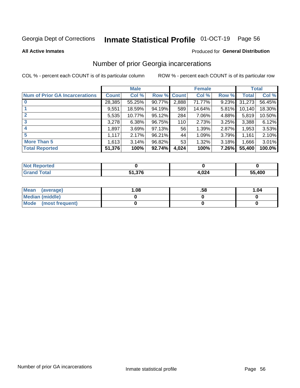#### Inmate Statistical Profile 01-OCT-19 Page 56

**All Active Inmates** 

## Produced for General Distribution

# Number of prior Georgia incarcerations

COL % - percent each COUNT is of its particular column

|                                       |              | <b>Male</b> |             |       | <b>Female</b> |       |        | <b>Total</b> |
|---------------------------------------|--------------|-------------|-------------|-------|---------------|-------|--------|--------------|
| <b>Num of Prior GA Incarcerations</b> | <b>Count</b> | Col %       | Row % Count |       | Col %         | Row % | Total  | Col %        |
| $\bf{0}$                              | 28,385       | 55.25%      | 90.77%      | 2,888 | 71.77%        | 9.23% | 31,273 | 56.45%       |
|                                       | 9,551        | 18.59%      | 94.19%      | 589   | 14.64%        | 5.81% | 10,140 | 18.30%       |
| $\overline{2}$                        | 5,535        | 10.77%      | 95.12%      | 284   | 7.06%         | 4.88% | 5,819  | 10.50%       |
| 3                                     | 3,278        | 6.38%       | 96.75%      | 110   | 2.73%         | 3.25% | 3,388  | 6.12%        |
| $\boldsymbol{4}$                      | 1,897        | 3.69%       | 97.13%      | 56    | 1.39%         | 2.87% | 1,953  | 3.53%        |
| 5                                     | 1,117        | 2.17%       | 96.21%      | 44    | 1.09%         | 3.79% | 1,161  | 2.10%        |
| <b>More Than 5</b>                    | 1,613        | 3.14%       | 96.82%      | 53    | 1.32%         | 3.18% | 1,666  | 3.01%        |
| <b>Total Reported</b>                 | 51,376       | 100%        | 92.74%      | 4,024 | 100%          | 7.26% | 55,400 | 100.0%       |

| <b>Not</b><br>Reported  |                   |       |        |
|-------------------------|-------------------|-------|--------|
| Total<br><b>'</b> Gran∟ | E4 97C<br>ס וכ.וכ | 1,024 | 55,400 |

| Mean (average)       | .08 | .58 | 1.04 |
|----------------------|-----|-----|------|
| Median (middle)      |     |     |      |
| Mode (most frequent) |     |     |      |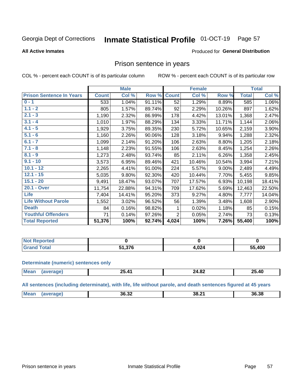#### Inmate Statistical Profile 01-OCT-19 Page 57

### **All Active Inmates**

## Produced for General Distribution

# Prison sentence in years

COL % - percent each COUNT is of its particular column

ROW % - percent each COUNT is of its particular row

|                                 |              | <b>Male</b> |        |                | <b>Female</b> |          |              | <b>Total</b> |
|---------------------------------|--------------|-------------|--------|----------------|---------------|----------|--------------|--------------|
| <b>Prison Sentence In Years</b> | <b>Count</b> | Col %       | Row %  | <b>Count</b>   | Col %         | Row %    | <b>Total</b> | Col %        |
| $0 - 1$                         | 533          | 1.04%       | 91.11% | 52             | 1.29%         | 8.89%    | 585          | 1.06%        |
| $1.1 - 2$                       | 805          | 1.57%       | 89.74% | 92             | 2.29%         | 10.26%   | 897          | 1.62%        |
| $2.1 - 3$                       | 1,190        | 2.32%       | 86.99% | 178            | 4.42%         | 13.01%   | 1,368        | 2.47%        |
| $3.1 - 4$                       | 1,010        | 1.97%       | 88.29% | 134            | 3.33%         | 11.71%   | 1,144        | 2.06%        |
| $4.1 - 5$                       | 1,929        | 3.75%       | 89.35% | 230            | 5.72%         | 10.65%   | 2,159        | 3.90%        |
| $5.1 - 6$                       | 1,160        | 2.26%       | 90.06% | 128            | 3.18%         | 9.94%    | 1,288        | 2.32%        |
| $6.1 - 7$                       | 1,099        | 2.14%       | 91.20% | 106            | 2.63%         | 8.80%    | 1,205        | 2.18%        |
| $7.1 - 8$                       | 1,148        | 2.23%       | 91.55% | 106            | 2.63%         | 8.45%    | 1,254        | 2.26%        |
| $8.1 - 9$                       | 1,273        | 2.48%       | 93.74% | 85             | 2.11%         | 6.26%    | 1,358        | 2.45%        |
| $9.1 - 10$                      | 3,573        | 6.95%       | 89.46% | 421            | 10.46%        | 10.54%   | 3,994        | 7.21%        |
| $10.1 - 12$                     | 2,265        | 4.41%       | 91.00% | 224            | 5.57%         | $9.00\%$ | 2,489        | 4.49%        |
| $12.1 - 15$                     | 5,035        | 9.80%       | 92.30% | 420            | 10.44%        | 7.70%    | 5,455        | 9.85%        |
| $15.1 - 20$                     | 9,491        | 18.47%      | 93.07% | 707            | 17.57%        | 6.93%    | 10,198       | 18.41%       |
| 20.1 - Over                     | 11,754       | 22.88%      | 94.31% | 709            | 17.62%        | 5.69%    | 12,463       | 22.50%       |
| <b>Life</b>                     | 7,404        | 14.41%      | 95.20% | 373            | 9.27%         | 4.80%    | 7,777        | 14.04%       |
| <b>Life Without Parole</b>      | 1,552        | 3.02%       | 96.52% | 56             | 1.39%         | 3.48%    | 1,608        | 2.90%        |
| <b>Death</b>                    | 84           | 0.16%       | 98.82% | 1              | 0.02%         | 1.18%    | 85           | 0.15%        |
| <b>Youthful Offenders</b>       | 71           | 0.14%       | 97.26% | $\overline{2}$ | 0.05%         | 2.74%    | 73           | 0.13%        |
| <b>Total Reported</b>           | 51,376       | 100%        | 92.74% | 4,024          | 100%          | 7.26%    | 55,400       | 100%         |

| <b>Not Reported</b> |        |     |        |
|---------------------|--------|-----|--------|
| <b>otal</b>         | 51.376 | በ24 | 55,400 |

### **Determinate (numeric) sentences only**

| Mos | D | $\sim$<br>44.OZ | Λſ<br><u>те</u><br>.J.4U<br>__ |
|-----|---|-----------------|--------------------------------|
|     |   |                 |                                |

All sentences (including determinate), with life, life without parole, and death sentences figured at 45 years

| Me: | 36.32 | $\cdots$<br>88.∠<br>$ -$ | 36.38 |
|-----|-------|--------------------------|-------|
|     |       |                          |       |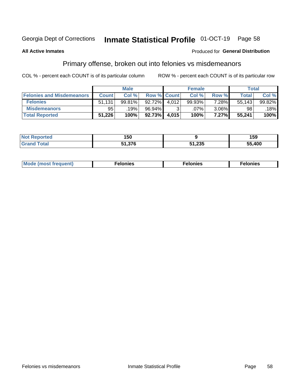#### **Inmate Statistical Profile 01-OCT-19** Page 58

## **All Active Inmates**

## Produced for General Distribution

# Primary offense, broken out into felonies vs misdemeanors

COL % - percent each COUNT is of its particular column

|                                  |              | <b>Male</b> |           |                    | <b>Female</b> |          | Total  |        |
|----------------------------------|--------------|-------------|-----------|--------------------|---------------|----------|--------|--------|
| <b>Felonies and Misdemeanors</b> | <b>Count</b> | Col %       |           | <b>Row % Count</b> | Col %         | Row %    | Total  | Col %  |
| <b>Felonies</b>                  | 51.131       | 99.81%      | $92.72\%$ | 4.012              | 99.93%        | 7.28%    | 55,143 | 99.82% |
| <b>Misdemeanors</b>              | 95           | 19%         | 96.94%    |                    | .07%          | $3.06\%$ | 98     | 18%    |
| <b>Total Reported</b>            | 51,226       | 100%        | $92.73\%$ | 4,015              | 100%          | 7.27%    | 55,241 | 100%   |

| <b>Not Reported</b> | טכו    |            | 159    |
|---------------------|--------|------------|--------|
| Grand               | $\sim$ | າລະ        | 55,400 |
| Total               |        | د تد∠, ا ر |        |

| Mo | ____ | 11 C.S<br>. | onies<br>. |
|----|------|-------------|------------|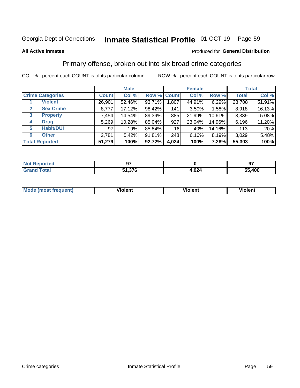#### Inmate Statistical Profile 01-OCT-19 Page 59

### **All Active Inmates**

# **Produced for General Distribution**

# Primary offense, broken out into six broad crime categories

COL % - percent each COUNT is of its particular column

|                                 | <b>Male</b>  |        |        | <b>Female</b> |          |        | <b>Total</b> |        |
|---------------------------------|--------------|--------|--------|---------------|----------|--------|--------------|--------|
| <b>Crime Categories</b>         | <b>Count</b> | Col %  |        | Row % Count   | Col %    | Row %  | <b>Total</b> | Col %  |
| <b>Violent</b>                  | 26,901       | 52.46% | 93.71% | 1,807         | 44.91%   | 6.29%  | 28,708       | 51.91% |
| <b>Sex Crime</b><br>2           | 8,777        | 17.12% | 98.42% | 141           | $3.50\%$ | 1.58%  | 8,918        | 16.13% |
| $\mathbf{3}$<br><b>Property</b> | 7,454        | 14.54% | 89.39% | 885           | 21.99%   | 10.61% | 8,339        | 15.08% |
| <b>Drug</b><br>4                | 5,269        | 10.28% | 85.04% | 927           | 23.04%   | 14.96% | 6,196        | 11.20% |
| <b>Habit/DUI</b><br>5           | 97           | .19%   | 85.84% | 16            | .40%     | 14.16% | 113          | .20%   |
| <b>Other</b><br>6               | 2,781        | 5.42%  | 91.81% | 248           | 6.16%    | 8.19%  | 3,029        | 5.48%  |
| <b>Total Reported</b>           | 51,279       | 100%   | 92.72% | 4,024         | 100%     | 7.28%  | 55,303       | 100%   |

| <b>orteg</b><br>NO      | ~-                   |               | כח          |
|-------------------------|----------------------|---------------|-------------|
| $T$ atal $\blacksquare$ | 27C<br>E4<br>ט וט וי | .001<br>4.VZ4 | ,400<br>56. |

| Mo<br>uent)<br>nos | .<br>/iolent | <br>Violent | - --<br><b>Tiolent</b> |
|--------------------|--------------|-------------|------------------------|
|                    |              |             |                        |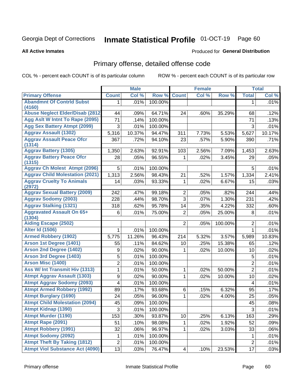#### Inmate Statistical Profile 01-OCT-19 Page 60

### **All Active Inmates**

## Produced for General Distribution

# Primary offense, detailed offense code

COL % - percent each COUNT is of its particular column

|                                                   | <b>Male</b>             |        | <b>Female</b> |                 |       | <b>Total</b> |                |        |
|---------------------------------------------------|-------------------------|--------|---------------|-----------------|-------|--------------|----------------|--------|
| <b>Primary Offense</b>                            | <b>Count</b>            | Col %  | Row %         | <b>Count</b>    | Col % | Row %        | <b>Total</b>   | Col %  |
| <b>Abandmnt Of Contrid Subst</b>                  | 1.                      | .01%   | 100.00%       |                 |       |              | 1              | .01%   |
| (4160)<br><b>Abuse Neglect Elder/Disab (2812)</b> | 44                      | .09%   | 64.71%        | 24              | .60%  | 35.29%       | 68             | .12%   |
| Agg Aslt W Intnt To Rape (2095)                   | 71                      | .14%   | 100.00%       |                 |       |              | 71             | .13%   |
| <b>Agg Sex Battery Atmpt (2099)</b>               | 3                       | .01%   | 100.00%       |                 |       |              | 3              | .01%   |
| <b>Aggrav Assault (1302)</b>                      | 5,316                   | 10.37% | 94.47%        | 311             | 7.73% | 5.53%        | 5,627          | 10.17% |
| <b>Aggrav Assault Peace Ofcr</b>                  | 367                     | .72%   | 94.10%        | 23              | .57%  | 5.90%        | 390            | .71%   |
| (1314)                                            |                         |        |               |                 |       |              |                |        |
| <b>Aggrav Battery (1305)</b>                      | 1,350                   | 2.63%  | 92.91%        | 103             | 2.56% | 7.09%        | 1,453          | 2.63%  |
| <b>Aggrav Battery Peace Ofcr</b><br>(1315)        | 28                      | .05%   | 96.55%        | 1               | .02%  | 3.45%        | 29             | .05%   |
| <b>Aggrav Ch Molest Atmpt (2096)</b>              | 5                       | .01%   | 100.00%       |                 |       |              | 5              | .01%   |
| <b>Aggrav Child Molestation (2021)</b>            | 1,313                   | 2.56%  | 98.43%        | 21              | .52%  | 1.57%        | 1,334          | 2.41%  |
| <b>Aggrav Cruelty To Animals</b>                  | 14                      | .03%   | 93.33%        | $\mathbf 1$     | .02%  | 6.67%        | 15             | .03%   |
| (2972)                                            |                         |        |               |                 |       |              |                |        |
| <b>Aggrav Sexual Battery (2009)</b>               | 242                     | .47%   | 99.18%        | $\overline{2}$  | .05%  | .82%         | 244            | .44%   |
| <b>Aggrav Sodomy (2003)</b>                       | 228                     | .44%   | 98.70%        | $\overline{3}$  | .07%  | 1.30%        | 231            | .42%   |
| <b>Aggrav Stalking (1321)</b>                     | 318                     | .62%   | 95.78%        | 14              | .35%  | 4.22%        | 332            | .60%   |
| <b>Aggravated Assault On 65+</b><br>(1304)        | 6                       | .01%   | 75.00%        | $\overline{2}$  | .05%  | 25.00%       | 8              | .01%   |
| <b>Aiding Escape (2502)</b>                       |                         |        |               | $\overline{2}$  | .05%  | 100.00%      | $\overline{2}$ | .01%   |
| <b>Alter Id (1506)</b>                            | 1                       | .01%   | 100.00%       |                 |       |              | $\mathbf{1}$   | .01%   |
| <b>Armed Robbery (1902)</b>                       | 5,775                   | 11.26% | 96.43%        | 214             | 5.32% | 3.57%        | 5,989          | 10.83% |
| Arson 1st Degree (1401)                           | 55                      | .11%   | 84.62%        | 10              | .25%  | 15.38%       | 65             | .12%   |
| <b>Arson 2nd Degree (1402)</b>                    | 9                       | .02%   | 90.00%        | 1               | .02%  | 10.00%       | 10             | .02%   |
| <b>Arson 3rd Degree (1403)</b>                    | 5                       | .01%   | 100.00%       |                 |       |              | 5              | .01%   |
| <b>Arson Misc (1400)</b>                          | $\boldsymbol{2}$        | .01%   | 100.00%       |                 |       |              | $\mathbf 2$    | .01%   |
| Ass W/ Int Transmit Hiv (1313)                    | 1                       | .01%   | 50.00%        | $\mathbf{1}$    | .02%  | 50.00%       | $\overline{2}$ | .01%   |
| <b>Atmpt Aggrav Assault (1303)</b>                | $\boldsymbol{9}$        | .02%   | 90.00%        | 1               | .02%  | 10.00%       | 10             | .02%   |
| <b>Atmpt Aggrav Sodomy (2093)</b>                 | $\overline{\mathbf{4}}$ | .01%   | 100.00%       |                 |       |              | 4              | .01%   |
| <b>Atmpt Armed Robbery (1992)</b>                 | 89                      | .17%   | 93.68%        | 6               | .15%  | 6.32%        | 95             | .17%   |
| <b>Atmpt Burglary (1690)</b>                      | 24                      | .05%   | 96.00%        | 1               | .02%  | 4.00%        | 25             | .05%   |
| <b>Atmpt Child Molestation (2094)</b>             | 45                      | .09%   | 100.00%       |                 |       |              | 45             | .08%   |
| <b>Atmpt Kidnap (1390)</b>                        | 3                       | .01%   | 100.00%       |                 |       |              | $\sqrt{3}$     | .01%   |
| <b>Atmpt Murder (1190)</b>                        | 153                     | .30%   | 93.87%        | 10              | .25%  | 6.13%        | 163            | .29%   |
| Atmpt Rape (2091)                                 | 51                      | .10%   | 98.08%        | $\mathbf{1}$    | .02%  | 1.92%        | 52             | .09%   |
| <b>Atmpt Robbery (1991)</b>                       | 32                      | .06%   | 96.97%        | 1               | .02%  | 3.03%        | 33             | .06%   |
| <b>Atmpt Sodomy (2092)</b>                        | 1                       | .01%   | 100.00%       |                 |       |              | 1              | .01%   |
| <b>Atmpt Theft By Taking (1812)</b>               | $\overline{c}$          | .01%   | 100.00%       |                 |       |              | $\overline{2}$ | .01%   |
| <b>Atmpt Viol Substance Act (4090)</b>            | 13                      | .03%   | 76.47%        | $\vert 4 \vert$ | .10%  | 23.53%       | 17             | .03%   |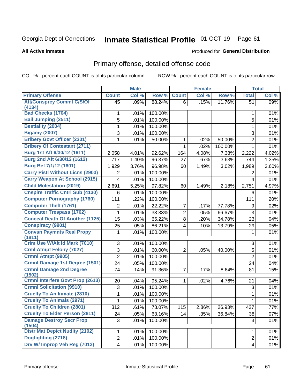# Inmate Statistical Profile 01-OCT-19 Page 61

**All Active Inmates** 

### Produced for General Distribution

# Primary offense, detailed offense code

COL % - percent each COUNT is of its particular column

|                                           |                | <b>Male</b> |         |                | <b>Female</b> |         |                | <b>Total</b> |
|-------------------------------------------|----------------|-------------|---------|----------------|---------------|---------|----------------|--------------|
| <b>Primary Offense</b>                    | <b>Count</b>   | Col %       | Row %   | <b>Count</b>   | Col %         | Row %   | <b>Total</b>   | Col %        |
| <b>Att/Consprcy Commt C/S/Of</b>          | 45             | .09%        | 88.24%  | 6              | .15%          | 11.76%  | 51             | .09%         |
| (4134)<br><b>Bad Checks (1704)</b>        |                |             |         |                |               |         |                |              |
|                                           | 1              | .01%        | 100.00% |                |               |         | 1              | .01%         |
| <b>Bail Jumping (2511)</b>                | 5              | .01%        | 100.00% |                |               |         | 5              | .01%         |
| <b>Bestiality (2004)</b>                  | 1              | .01%        | 100.00% |                |               |         | 1              | .01%         |
| <b>Bigamy (2007)</b>                      | 3              | .01%        | 100.00% |                |               |         | 3              | .01%         |
| <b>Bribery Govt Officer (2301)</b>        | 1              | .01%        | 50.00%  | 1              | .02%          | 50.00%  | $\overline{2}$ | .01%         |
| <b>Bribery Of Contestant (2711)</b>       |                |             |         | 1              | .02%          | 100.00% | $\mathbf 1$    | .01%         |
| Burg 1st Aft 6/30/12 (1611)               | 2,058          | 4.01%       | 92.62%  | 164            | 4.08%         | 7.38%   | 2,222          | 4.02%        |
| Burg 2nd Aft 6/30/12 (1612)               | 717            | 1.40%       | 96.37%  | 27             | .67%          | 3.63%   | 744            | 1.35%        |
| Burg Bef 7/1/12 (1601)                    | 1,929          | 3.76%       | 96.98%  | 60             | 1.49%         | 3.02%   | 1,989          | 3.60%        |
| <b>Carry Pistl Without Licns (2903)</b>   | 2              | .01%        | 100.00% |                |               |         | 2              | .01%         |
| <b>Carry Weapon At School (2915)</b>      | $\overline{4}$ | .01%        | 100.00% |                |               |         | 4              | .01%         |
| <b>Child Molestation (2019)</b>           | 2,691          | 5.25%       | 97.82%  | 60             | 1.49%         | 2.18%   | 2,751          | 4.97%        |
| <b>Cnspire Traffic Cntrl Sub (4130)</b>   | 6              | .01%        | 100.00% |                |               |         | 6              | .01%         |
| <b>Computer Pornography (1760)</b>        | 111            | .22%        | 100.00% |                |               |         | 111            | .20%         |
| <b>Computer Theft (1761)</b>              | 2              | .01%        | 22.22%  | $\overline{7}$ | .17%          | 77.78%  | 9              | .02%         |
| <b>Computer Trespass (1762)</b>           | 1              | .01%        | 33.33%  | $\overline{2}$ | .05%          | 66.67%  | 3              | .01%         |
| <b>Conceal Death Of Another (1125)</b>    | 15             | .03%        | 65.22%  | 8              | .20%          | 34.78%  | 23             | .04%         |
| <b>Conspiracy (9901)</b>                  | 25             | .05%        | 86.21%  | 4              | .10%          | 13.79%  | 29             | .05%         |
| <b>Convsn Paymnts Real Propy</b>          | 1              | .01%        | 100.00% |                |               |         | 1              | .01%         |
| (1811)                                    |                |             |         |                |               |         |                |              |
| Crim Use W/Alt Id Mark (7010)             | 3              | .01%        | 100.00% |                |               |         | 3              | .01%         |
| <b>Crml Atmpt Felony (7027)</b>           | 3              | .01%        | 60.00%  | $\overline{2}$ | .05%          | 40.00%  | 5              | .01%         |
| Crmnl Atmpt (9905)                        | $\overline{2}$ | .01%        | 100.00% |                |               |         | $\overline{2}$ | .01%         |
| Crmnl Damage 1st Degree (1501)            | 24             | .05%        | 100.00% |                |               |         | 24             | .04%         |
| <b>Crmnl Damage 2nd Degree</b><br>(1502)  | 74             | .14%        | 91.36%  | $\overline{7}$ | .17%          | 8.64%   | 81             | .15%         |
| <b>Crmnl Interfere Govt Prop (2613)</b>   | 20             | .04%        | 95.24%  | 1.             | .02%          | 4.76%   | 21             | .04%         |
| <b>Crmnl Solicitation (9910)</b>          | 3              | .01%        | 100.00% |                |               |         | 3              | .01%         |
| <b>Cruelty To An Inmate (2810)</b>        | 1              | .01%        | 100.00% |                |               |         | 1              | .01%         |
| <b>Cruelty To Animals (2971)</b>          | 1              | .01%        | 100.00% |                |               |         | 1              | .01%         |
| <b>Cruelty To Children (2801)</b>         | 312            | .61%        | 73.07%  | 115            | 2.86%         | 26.93%  | 427            | .77%         |
| <b>Cruelty To Elder Person (2811)</b>     | 24             | .05%        | 63.16%  | 14             | .35%          | 36.84%  | 38             | .07%         |
| <b>Damage Destroy Secr Prop</b><br>(1504) | 3              | .01%        | 100.00% |                |               |         | 3              | .01%         |
| <b>Distr Mat Depict Nudity (2102)</b>     | 1              | .01%        | 100.00% |                |               |         | 1              | .01%         |
| Dogfighting (2718)                        | $\overline{2}$ | .01%        | 100.00% |                |               |         | $\overline{2}$ | .01%         |
| Drv W/ Improp Veh Reg (7013)              | 4              | .01%        | 100.00% |                |               |         | 4              | .01%         |
|                                           |                |             |         |                |               |         |                |              |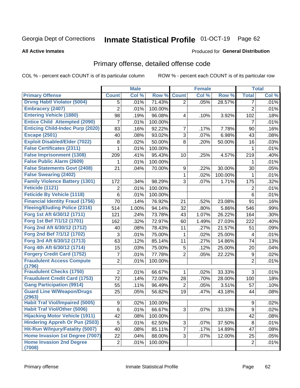#### Inmate Statistical Profile 01-OCT-19 Page 62

### **All Active Inmates**

# **Produced for General Distribution**

# Primary offense, detailed offense code

COL % - percent each COUNT is of its particular column

|                                            |                | <b>Male</b> |         |                | <b>Female</b> |         |                  | <b>Total</b> |
|--------------------------------------------|----------------|-------------|---------|----------------|---------------|---------|------------------|--------------|
| <b>Primary Offense</b>                     | <b>Count</b>   | Col %       | Row %   | <b>Count</b>   | Col %         | Row %   | <b>Total</b>     | Col %        |
| <b>Drvng Habtl Violator (5004)</b>         | 5              | .01%        | 71.43%  | $\overline{2}$ | .05%          | 28.57%  | 7                | .01%         |
| <b>Embracery (2407)</b>                    | $\overline{2}$ | .01%        | 100.00% |                |               |         | $\overline{2}$   | .01%         |
| <b>Entering Vehicle (1880)</b>             | 98             | .19%        | 96.08%  | 4              | .10%          | 3.92%   | 102              | .18%         |
| <b>Entice Child Attempted (2090)</b>       | 7              | .01%        | 100.00% |                |               |         | 7                | .01%         |
| <b>Enticing Child-Indec Purp (2020)</b>    | 83             | .16%        | 92.22%  | $\overline{7}$ | .17%          | 7.78%   | 90               | .16%         |
| <b>Escape (2501)</b>                       | 40             | .08%        | 93.02%  | 3              | .07%          | 6.98%   | 43               | .08%         |
| <b>Exploit Disabled/Elder (7022)</b>       | 8              | .02%        | 50.00%  | 8              | .20%          | 50.00%  | 16               | .03%         |
| <b>False Certificates (2311)</b>           | 1              | .01%        | 100.00% |                |               |         | 1                | .01%         |
| <b>False Imprisonment (1308)</b>           | 209            | .41%        | 95.43%  | 10             | .25%          | 4.57%   | 219              | .40%         |
| <b>False Public Alarm (2609)</b>           | 1              | .01%        | 100.00% |                |               |         | 1                | .01%         |
| <b>False Statements Govt (2408)</b>        | 21             | .04%        | 70.00%  | 9              | .22%          | 30.00%  | 30               | .05%         |
| <b>False Swearing (2402)</b>               |                |             |         | 1              | .02%          | 100.00% | 1                | .01%         |
| <b>Family Violence Battery (1301)</b>      | 172            | .34%        | 98.29%  | 3              | .07%          | 1.71%   | 175              | .32%         |
| Feticide (1121)                            | 2              | .01%        | 100.00% |                |               |         | $\overline{2}$   | .01%         |
| <b>Feticide By Vehicle (1118)</b>          | 6              | .01%        | 100.00% |                |               |         | 6                | .01%         |
| <b>Financial Identity Fraud (1756)</b>     | 70             | .14%        | 76.92%  | 21             | .52%          | 23.08%  | 91               | .16%         |
| <b>Fleeing/Eluding Police (2316)</b>       | 514            | 1.00%       | 94.14%  | 32             | .80%          | 5.86%   | 546              | .99%         |
| Forg 1st Aft 6/30/12 (1711)                | 121            | .24%        | 73.78%  | 43             | 1.07%         | 26.22%  | 164              | .30%         |
| Forg 1st Bef 7/1/12 (1701)                 | 162            | .32%        | 72.97%  | 60             | 1.49%         | 27.03%  | 222              | .40%         |
| Forg 2nd Aft 6/30/12 (1712)                | 40             | .08%        | 78.43%  | 11             | .27%          | 21.57%  | 51               | .09%         |
| Forg 2nd Bef 7/1/12 (1702)                 | 3              | .01%        | 75.00%  | 1              | .02%          | 25.00%  | 4                | .01%         |
| Forg 3rd Aft 6/30/12 (1713)                | 63             | .12%        | 85.14%  | 11             | .27%          | 14.86%  | 74               | .13%         |
| Forg 4th Aft 6/30/12 (1714)                | 15             | .03%        | 75.00%  | 5              | .12%          | 25.00%  | 20               | .04%         |
| <b>Forgery Credit Card (1752)</b>          | 7              | .01%        | 77.78%  | $\overline{2}$ | .05%          | 22.22%  | $\boldsymbol{9}$ | .02%         |
| <b>Fraudulent Access Compute</b>           | $\overline{2}$ | .01%        | 100.00% |                |               |         | $\overline{2}$   | .01%         |
| (1796)                                     |                |             |         |                |               |         |                  |              |
| <b>Fraudulent Checks (1750)</b>            | $\overline{2}$ | .01%        | 66.67%  | 1              | .02%          | 33.33%  | 3                | .01%         |
| <b>Fraudulent Credit Card (1753)</b>       | 72             | .14%        | 72.00%  | 28             | .70%          | 28.00%  | 100              | .18%         |
| <b>Gang Participation (9914)</b>           | 55             | .11%        | 96.49%  | 2              | .05%          | 3.51%   | 57               | .10%         |
| <b>Guard Line W/Weapon/Drugs</b><br>(2963) | 25             | .05%        | 56.82%  | 19             | .47%          | 43.18%  | 44               | .08%         |
| <b>Habit Traf Viol/Impaired (5005)</b>     | 9 <sup>1</sup> | .02%        | 100.00% |                |               |         | 9                | .02%         |
| <b>Habit Traf Viol/Other (5006)</b>        | 6              | .01%        | 66.67%  | 3              | .07%          | 33.33%  | $\boldsymbol{9}$ | .02%         |
| <b>Hijacking Motor Vehicle (1911)</b>      | 42             | .08%        | 100.00% |                |               |         | 42               | .08%         |
| <b>Hindering Appreh Or Pun (2503)</b>      | 5              | .01%        | 62.50%  | 3              | $.07\%$       | 37.50%  | 8                | .01%         |
| Hit-Run W/Injury/Fatality (5007)           | 40             | .08%        | 85.11%  | $\overline{7}$ | .17%          | 14.89%  | 47               | .08%         |
| Home Invasion 1st Degree (7007)            | 22             | .04%        | 88.00%  | 3 <sup>1</sup> | .07%          | 12.00%  | 25               | .05%         |
| <b>Home Invasion 2nd Degree</b>            | $\overline{2}$ | .01%        | 100.00% |                |               |         | $\overline{2}$   | .01%         |
| (7008)                                     |                |             |         |                |               |         |                  |              |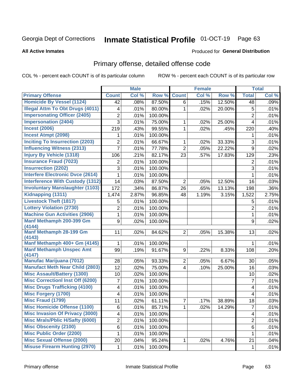# Inmate Statistical Profile 01-OCT-19 Page 63

### **All Active Inmates**

## Produced for General Distribution

# Primary offense, detailed offense code

COL % - percent each COUNT is of its particular column

|                                          |                         | <b>Male</b> |                  |                | <b>Female</b> |        |                | <b>Total</b> |
|------------------------------------------|-------------------------|-------------|------------------|----------------|---------------|--------|----------------|--------------|
| <b>Primary Offense</b>                   | <b>Count</b>            | Col %       | Row <sup>%</sup> | <b>Count</b>   | Col %         | Row %  | <b>Total</b>   | Col %        |
| <b>Homicide By Vessel (1124)</b>         | 42                      | .08%        | 87.50%           | 6              | .15%          | 12.50% | 48             | .09%         |
| <b>Illegal Attm To Obt Drugs (4011)</b>  | 4                       | .01%        | 80.00%           | 1              | .02%          | 20.00% | 5              | .01%         |
| <b>Impersonating Officer (2405)</b>      | $\overline{2}$          | .01%        | 100.00%          |                |               |        | $\overline{2}$ | .01%         |
| <b>Impersonation (2404)</b>              | 3                       | .01%        | 75.00%           | 1              | .02%          | 25.00% | $\overline{4}$ | .01%         |
| <b>Incest (2006)</b>                     | 219                     | .43%        | 99.55%           | 1              | .02%          | .45%   | 220            | .40%         |
| <b>Incest Atmpt (2098)</b>               | 1                       | .01%        | 100.00%          |                |               |        | 1              | .01%         |
| <b>Inciting To Insurrection (2203)</b>   | 2                       | .01%        | 66.67%           | 1              | .02%          | 33.33% | 3              | .01%         |
| <b>Influencing Witness (2313)</b>        | 7                       | .01%        | 77.78%           | $\overline{2}$ | .05%          | 22.22% | 9              | .02%         |
| <b>Injury By Vehicle (1318)</b>          | 106                     | .21%        | 82.17%           | 23             | .57%          | 17.83% | 129            | .23%         |
| <b>Insurance Fraud (7023)</b>            | 2                       | .01%        | 100.00%          |                |               |        | $\overline{2}$ | .01%         |
| <b>Insurrection (2202)</b>               | 3                       | .01%        | 100.00%          |                |               |        | 3              | .01%         |
| <b>Interfere Electronic Dvce (2614)</b>  | 1                       | .01%        | 100.00%          |                |               |        | 1              | .01%         |
| <b>Interference With Custody (1312)</b>  | 14                      | .03%        | 87.50%           | $\overline{2}$ | .05%          | 12.50% | 16             | .03%         |
| <b>Involuntary Manslaughter (1103)</b>   | 172                     | .34%        | 86.87%           | 26             | .65%          | 13.13% | 198            | .36%         |
| Kidnapping (1311)                        | 1,474                   | 2.87%       | 96.85%           | 48             | 1.19%         | 3.15%  | 1,522          | 2.75%        |
| <b>Livestock Theft (1817)</b>            | 5                       | .01%        | 100.00%          |                |               |        | 5              | .01%         |
| <b>Lottery Violation (2730)</b>          | $\overline{2}$          | .01%        | 100.00%          |                |               |        | $\overline{2}$ | .01%         |
| <b>Machine Gun Activities (2906)</b>     | 1                       | .01%        | 100.00%          |                |               |        | 1              | .01%         |
| Manf Methamph 200-399 Gm                 | 9                       | .02%        | 100.00%          |                |               |        | 9              | .02%         |
| (4144)                                   |                         |             |                  |                |               |        |                |              |
| <b>Manf Methamph 28-199 Gm</b><br>(4143) | 11                      | .02%        | 84.62%           | $\overline{2}$ | .05%          | 15.38% | 13             | .02%         |
| Manf Methamph 400+ Gm (4145)             | $\mathbf{1}$            | .01%        | 100.00%          |                |               |        | 1.             | .01%         |
| <b>Manf Methamph Unspec Amt</b>          | 99                      | .19%        | 91.67%           | 9              | .22%          | 8.33%  | 108            | .20%         |
| (4147)                                   |                         |             |                  |                |               |        |                |              |
| <b>Manufac Marijuana (7012)</b>          | 28                      | .05%        | 93.33%           | $\overline{2}$ | .05%          | 6.67%  | 30             | .05%         |
| <b>Manufact Meth Near Child (2803)</b>   | 12                      | .02%        | 75.00%           | 4              | .10%          | 25.00% | 16             | .03%         |
| <b>Misc Assault/Battery (1300)</b>       | 10                      | .02%        | 100.00%          |                |               |        | 10             | .02%         |
| <b>Misc Correctionl Inst Off (6200)</b>  | 7                       | .01%        | 100.00%          |                |               |        | $\overline{7}$ | .01%         |
| <b>Misc Drugs Trafficking (4100)</b>     | $\overline{\mathbf{4}}$ | .01%        | 100.00%          |                |               |        | 4              | .01%         |
| <b>Misc Forgery (1700)</b>               | 4                       | .01%        | 100.00%          |                |               |        | 4              | .01%         |
| <b>Misc Fraud (1799)</b>                 | 11                      | .02%        | 61.11%           | 7              | .17%          | 38.89% | 18             | .03%         |
| <b>Misc Homicide Offense (1100)</b>      | 6                       | .01%        | 85.71%           | $\mathbf{1}$   | .02%          | 14.29% | $\overline{7}$ | .01%         |
| <b>Misc Invasion Of Privacy (3000)</b>   | 4                       | .01%        | 100.00%          |                |               |        | 4              | .01%         |
| <b>Misc Mrals/Pblic H/Safty (6000)</b>   | $\overline{c}$          | .01%        | 100.00%          |                |               |        | $\overline{2}$ | .01%         |
| <b>Misc Obscenity (2100)</b>             | 6                       | .01%        | 100.00%          |                |               |        | 6              | .01%         |
| <b>Misc Public Order (2200)</b>          | 1                       | .01%        | 100.00%          |                |               |        | 1              | .01%         |
| <b>Misc Sexual Offense (2000)</b>        | 20                      | .04%        | 95.24%           | 1              | .02%          | 4.76%  | 21             | .04%         |
| <b>Misuse Firearm Hunting (2970)</b>     | 1                       | .01%        | 100.00%          |                |               |        | $\mathbf 1$    | .01%         |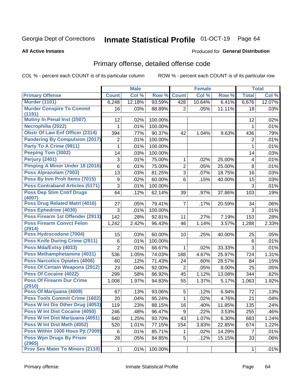# Inmate Statistical Profile 01-OCT-19 Page 64

### **All Active Inmates**

## **Produced for General Distribution**

# Primary offense, detailed offense code

COL % - percent each COUNT is of its particular column

|                                            |                | <b>Male</b> |         |                | <b>Female</b> |        |                | <b>Total</b> |
|--------------------------------------------|----------------|-------------|---------|----------------|---------------|--------|----------------|--------------|
| <b>Primary Offense</b>                     | <b>Count</b>   | Col %       | Row %   | <b>Count</b>   | Col %         | Row %  | <b>Total</b>   | Col %        |
| <b>Murder (1101)</b>                       | 6,248          | 12.18%      | 93.59%  | 428            | 10.64%        | 6.41%  | 6,676          | 12.07%       |
| <b>Murder Conspire To Commit</b><br>(1191) | 16             | .03%        | 88.89%  | $\overline{2}$ | .05%          | 11.11% | 18             | .03%         |
| Mutiny In Penal Inst (2507)                | 12             | .02%        | 100.00% |                |               |        | 12             | .02%         |
| Necrophilia (2022)                         |                | .01%        | 100.00% |                |               |        | 1              | .01%         |
| <b>Obstr Of Law Enf Officer (2314)</b>     | 394            | .77%        | 90.37%  | 42             | 1.04%         | 9.63%  | 436            | .79%         |
| <b>Pandering By Compulsion (2017)</b>      | 2              | .01%        | 100.00% |                |               |        | $\overline{2}$ | .01%         |
| Party To A Crime (9911)                    | 1              | .01%        | 100.00% |                |               |        | 1              | .01%         |
| Peeping Tom (3002)                         | 14             | .03%        | 100.00% |                |               |        | 14             | .03%         |
| Perjury (2401)                             | 3              | .01%        | 75.00%  | 1              | $.02\%$       | 25.00% | 4              | .01%         |
| Pimping A Minor Under 18 (2016)            | 6              | .01%        | 75.00%  | $\overline{2}$ | .05%          | 25.00% | 8              | .01%         |
| Poss Alprazolam (7003)                     | 13             | .03%        | 81.25%  | 3              | .07%          | 18.75% | 16             | .03%         |
| Poss By Inm Proh Items (7015)              | 9              | .02%        | 60.00%  | $6\phantom{1}$ | .15%          | 40.00% | 15             | .03%         |
| <b>Poss Contraband Articles (5171)</b>     | 3              | .01%        | 100.00% |                |               |        | 3              | .01%         |
| <b>Poss Dep Stim Cntrf Drugs</b><br>(4007) | 64             | .12%        | 62.14%  | 39             | .97%          | 37.86% | 103            | .19%         |
| Poss Drug Related Matrl (4016)             | 27             | .05%        | 79.41%  | $\overline{7}$ | .17%          | 20.59% | 34             | .06%         |
| Poss Ephedrine (4030)                      | 3              | .01%        | 100.00% |                |               |        | 3              | .01%         |
| Poss Firearm 1st Offender (2913)           | 142            | .28%        | 92.81%  | 11             | .27%          | 7.19%  | 153            | .28%         |
| <b>Poss Firearm Convct Felon</b><br>(2914) | 1,242          | 2.42%       | 96.43%  | 46             | 1.14%         | 3.57%  | 1,288          | 2.33%        |
| Poss Hydrocodone (7004)                    | 15             | .03%        | 60.00%  | 10             | .25%          | 40.00% | 25             | .05%         |
| <b>Poss Knife During Crime (2911)</b>      | 6              | .01%        | 100.00% |                |               |        | 6              | .01%         |
| Poss Mda/Extsy (4033)                      | $\overline{2}$ | .01%        | 66.67%  | 1.             | $.02\%$       | 33.33% | 3              | .01%         |
| Poss Methamphetamine (4031)                | 536            | 1.05%       | 74.03%  | 188            | 4.67%         | 25.97% | 724            | 1.31%        |
| <b>Poss Narcotics Opiates (4006)</b>       | 60             | .12%        | 71.43%  | 24             | .60%          | 28.57% | 84             | .15%         |
| <b>Poss Of Certain Weapons (2912)</b>      | 23             | .04%        | 92.00%  | 2              | .05%          | 8.00%  | 25             | .05%         |
| <b>Poss Of Cocaine (4022)</b>              | 299            | .58%        | 86.92%  | 45             | 1.12%         | 13.08% | 344            | .62%         |
| <b>Poss Of Firearm Dur Crime</b>           | 1,008          | 1.97%       | 94.83%  | 55             | 1.37%         | 5.17%  | 1,063          | 1.92%        |
| (2910)                                     |                |             |         |                |               |        |                |              |
| Poss Of Marijuana (4009)                   | 67             | .13%        | 93.06%  | 5              | .12%          | 6.94%  | 72             | .13%         |
| Poss Tools Commit Crime (1602)             | 20             | .04%        | 95.24%  | $\mathbf{1}$   | .02%          | 4.76%  | 21             | .04%         |
| Poss W Int Dis Other Drug (4053)           | 119            | .23%        | 88.15%  | 16             | .40%          | 11.85% | 135            | .24%         |
| <b>Poss W Int Dist Cocaine (4050)</b>      | 246            | .48%        | 96.47%  | 9              | .22%          | 3.53%  | 255            | .46%         |
| Poss W Int Dist Marijuana (4051)           | 640            | 1.25%       | 93.70%  | 43             | 1.07%         | 6.30%  | 683            | 1.24%        |
| Poss W Int Dist Meth (4052)                | 520            | 1.01%       | 77.15%  | 154            | 3.83%         | 22.85% | 674            | 1.22%        |
| Poss Within 1000 Hous Pjt (7009)           | 6              | .01%        | 85.71%  | $\mathbf 1$    | .02%          | 14.29% | $\overline{7}$ | .01%         |
| <b>Poss Wpn Drugs By Prisnr</b><br>(2965)  | 28             | .05%        | 84.85%  | 5              | .12%          | 15.15% | 33             | .06%         |
| <b>Prov Sex Mater To Minors (2110)</b>     | $\mathbf{1}$   | .01%        | 100.00% |                |               |        | $\mathbf{1}$   | .01%         |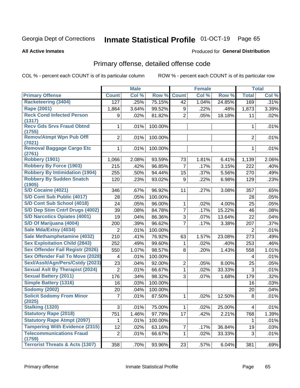#### Inmate Statistical Profile 01-OCT-19 Page 65

### **All Active Inmates**

# **Produced for General Distribution**

# Primary offense, detailed offense code

COL % - percent each COUNT is of its particular column

|                                            |                  | <b>Male</b> |         |                | <b>Female</b> |        |                | <b>Total</b> |
|--------------------------------------------|------------------|-------------|---------|----------------|---------------|--------|----------------|--------------|
| <b>Primary Offense</b>                     | <b>Count</b>     | Col %       | Row %   | <b>Count</b>   | Col %         | Row %  | <b>Total</b>   | Col %        |
| <b>Racketeering (3404)</b>                 | $\overline{127}$ | .25%        | 75.15%  | 42             | 1.04%         | 24.85% | 169            | .31%         |
| Rape (2001)                                | 1,864            | 3.64%       | 99.52%  | 9              | .22%          | .48%   | 1,873          | 3.39%        |
| <b>Reck Cond Infected Person</b>           | 9                | .02%        | 81.82%  | $\overline{2}$ | .05%          | 18.18% | 11             | .02%         |
| (1317)                                     |                  |             |         |                |               |        |                |              |
| <b>Recv Gds Srvs Fraud Obtnd</b><br>(1755) | 1                | .01%        | 100.00% |                |               |        | 1              | .01%         |
| <b>Remov/Atmpt Wpn Pub Offl</b>            | $\overline{2}$   | .01%        | 100.00% |                |               |        | $\overline{2}$ | .01%         |
| (7021)                                     |                  |             |         |                |               |        |                |              |
| <b>Removal Baggage Cargo Etc</b>           | 1                | .01%        | 100.00% |                |               |        | 1              | .01%         |
| (2761)                                     |                  |             |         |                |               |        |                |              |
| Robbery (1901)                             | 1,066            | 2.08%       | 93.59%  | 73             | 1.81%         | 6.41%  | 1,139          | 2.06%        |
| <b>Robbery By Force (1903)</b>             | 215              | .42%        | 96.85%  | $\overline{7}$ | .17%          | 3.15%  | 222            | .40%         |
| <b>Robbery By Intimidation (1904)</b>      | 255              | .50%        | 94.44%  | 15             | .37%          | 5.56%  | 270            | .49%         |
| <b>Robbery By Sudden Snatch</b><br>(1905)  | 120              | .23%        | 93.02%  | 9              | .22%          | 6.98%  | 129            | .23%         |
| S/D Cocaine (4021)                         | 346              | .67%        | 96.92%  | 11             | .27%          | 3.08%  | 357            | .65%         |
| S/D Cont Sub Public (4017)                 | 28               | .05%        | 100.00% |                |               |        | 28             | .05%         |
| S/D Cont Sub School (4018)                 | 24               | .05%        | 96.00%  | 1              | .02%          | 4.00%  | 25             | .05%         |
| S/D Dep Stim Cntrf Drugs (4002)            | 39               | .08%        | 84.78%  | 7              | .17%          | 15.22% | 46             | .08%         |
| <b>S/D Narcotics Opiates (4001)</b>        | 19               | .04%        | 86.36%  | 3              | .07%          | 13.64% | 22             | .04%         |
| S/D Of Marijuana (4004)                    | 200              | .39%        | 96.62%  | 7              | .17%          | 3.38%  | 207            | .37%         |
| Sale Mda/Extsy (4034)                      | $\overline{2}$   | .01%        | 100.00% |                |               |        | 2              | .01%         |
| Sale Methamphetamine (4032)                | 210              | .41%        | 76.92%  | 63             | 1.57%         | 23.08% | 273            | .49%         |
| <b>Sex Exploitation Child (2843)</b>       | 252              | .49%        | 99.60%  | 1              | .02%          | .40%   | 253            | .46%         |
| <b>Sex Offender Fail Registr (2026)</b>    | 550              | 1.07%       | 98.57%  | 8              | .20%          | 1.43%  | 558            | 1.01%        |
| <b>Sex Offender Fail To Move (2028)</b>    | 4                | .01%        | 100.00% |                |               |        | 4              | .01%         |
| Sexl/Asslt/Agn/Pers/Cstdy (2023)           | 23               | .04%        | 92.00%  | $\overline{2}$ | .05%          | 8.00%  | 25             | .05%         |
| <b>Sexual Aslt By Therapist (2024)</b>     | $\overline{2}$   | .01%        | 66.67%  | $\mathbf{1}$   | .02%          | 33.33% | 3              | .01%         |
| <b>Sexual Battery (2011)</b>               | 176              | .34%        | 98.32%  | 3              | .07%          | 1.68%  | 179            | .32%         |
| <b>Simple Battery (1316)</b>               | 16               | .03%        | 100.00% |                |               |        | 16             | .03%         |
| <b>Sodomy (2002)</b>                       | 20               | .04%        | 100.00% |                |               |        | 20             | .04%         |
| <b>Solicit Sodomy From Minor</b>           | $\overline{7}$   | .01%        | 87.50%  | 1              | .02%          | 12.50% | 8              | .01%         |
| (2025)                                     |                  |             |         |                |               |        |                |              |
| <b>Stalking (1320)</b>                     | 3                | .01%        | 75.00%  | $\mathbf{1}$   | .02%          | 25.00% | 4              | .01%         |
| <b>Statutory Rape (2018)</b>               | 751              | 1.46%       | 97.79%  | 17             | $-42%$        | 2.21%  | 768            | 1.39%        |
| <b>Statutory Rape Atmpt (2097)</b>         | 1                | .01%        | 100.00% |                |               |        | 1              | .01%         |
| <b>Tampering With Evidence (2315)</b>      | 12               | .02%        | 63.16%  | 7              | .17%          | 36.84% | 19             | .03%         |
| <b>Telecommunications Fraud</b><br>(1759)  | $\overline{2}$   | .01%        | 66.67%  | 1              | .02%          | 33.33% | 3              | .01%         |
| <b>Terrorist Threats &amp; Acts (1307)</b> | 358              | .70%        | 93.96%  | 23             | .57%          | 6.04%  | 381            | .69%         |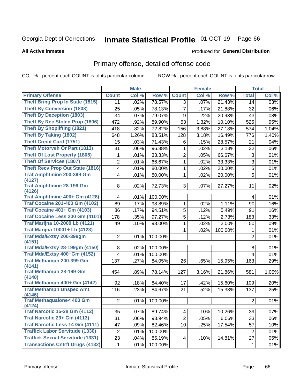# Inmate Statistical Profile 01-OCT-19 Page 66

### **All Active Inmates**

## Produced for General Distribution

# Primary offense, detailed offense code

COL % - percent each COUNT is of its particular column

|                                               |                  | <b>Male</b> |         |                | <b>Female</b> |         |                | <b>Total</b> |
|-----------------------------------------------|------------------|-------------|---------|----------------|---------------|---------|----------------|--------------|
| <b>Primary Offense</b>                        | <b>Count</b>     | Col %       | Row %   | <b>Count</b>   | Col %         | Row %   | <b>Total</b>   | Col %        |
| <b>Theft Bring Prop In State (1815)</b>       | 11               | .02%        | 78.57%  | 3              | .07%          | 21.43%  | 14             | .03%         |
| <b>Theft By Conversion (1808)</b>             | 25               | .05%        | 78.13%  | 7              | .17%          | 21.88%  | 32             | .06%         |
| <b>Theft By Deception (1803)</b>              | 34               | .07%        | 79.07%  | 9              | .22%          | 20.93%  | 43             | .08%         |
| Theft By Rec Stolen Prop (1806)               | 472              | .92%        | 89.90%  | 53             | 1.32%         | 10.10%  | 525            | .95%         |
| <b>Theft By Shoplifting (1821)</b>            | 418              | .82%        | 72.82%  | 156            | 3.88%         | 27.18%  | 574            | 1.04%        |
| <b>Theft By Taking (1802)</b>                 | 648              | 1.26%       | 83.51%  | 128            | 3.18%         | 16.49%  | 776            | 1.40%        |
| <b>Theft Credit Card (1751)</b>               | 15               | .03%        | 71.43%  | 6              | .15%          | 28.57%  | 21             | .04%         |
| <b>Theft Motorveh Or Part (1813)</b>          | 31               | .06%        | 96.88%  | 1              | .02%          | 3.13%   | 32             | .06%         |
| <b>Theft Of Lost Property (1805)</b>          | 1                | .01%        | 33.33%  | $\overline{2}$ | .05%          | 66.67%  | 3              | .01%         |
| <b>Theft Of Services (1807)</b>               | $\overline{2}$   | .01%        | 66.67%  | 1              | .02%          | 33.33%  | $\overline{3}$ | .01%         |
| <b>Theft Recv Prop Out State (1816)</b>       | 4                | .01%        | 80.00%  | 1              | .02%          | 20.00%  | 5              | .01%         |
| <b>Traf Amphtmine 200-399 Gm</b><br>(4127)    | 4                | .01%        | 80.00%  | 1              | .02%          | 20.00%  | 5              | .01%         |
| <b>Traf Amphtmine 28-199 Gm</b><br>(4126)     | 8                | .02%        | 72.73%  | 3              | .07%          | 27.27%  | 11             | .02%         |
| Traf Amphtmine 400+ Gm (4128)                 | 4                | .01%        | 100.00% |                |               |         | 4              | .01%         |
| <b>Traf Cocaine 201-400 Gm (4102)</b>         | 89               | .17%        | 98.89%  | 1              | .02%          | 1.11%   | 90             | .16%         |
| <b>Traf Cocaine 401+ Gm (4103)</b>            | 86               | .17%        | 94.51%  | 5              | .12%          | 5.49%   | 91             | .16%         |
| Traf Cocaine Less 200 Gm (4101)               | 178              | .35%        | 97.27%  | 5              | .12%          | 2.73%   | 183            | .33%         |
| <b>Traf Marijna 10-2000 Lb (4121)</b>         | 49               | .10%        | 98.00%  | 1              | .02%          | 2.00%   | 50             | .09%         |
| <b>Traf Marijna 10001+ Lb (4123)</b>          |                  |             |         | 1              | .02%          | 100.00% | $\mathbf 1$    | .01%         |
| Traf Mda/Extsy 200-399gm<br>(4151)            | $\overline{2}$   | .01%        | 100.00% |                |               |         | $\overline{2}$ | .01%         |
| <b>Traf Mda/Extsy 28-199gm (4150)</b>         | 8                | .02%        | 100.00% |                |               |         | 8              | .01%         |
| Traf Mda/Extsy 400+Gm (4152)                  | $\overline{4}$   | .01%        | 100.00% |                |               |         | 4              | .01%         |
| Traf Methamph 200-399 Gm                      | 137              | .27%        | 84.05%  | 26             | .65%          | 15.95%  | 163            | .29%         |
| (4141)                                        |                  |             |         |                |               |         |                |              |
| <b>Traf Methamph 28-199 Gm</b><br>(4140)      | 454              | .89%        | 78.14%  | 127            | 3.16%         | 21.86%  | 581            | 1.05%        |
| Traf Methamph 400+ Gm (4142)                  | 92               | .18%        | 84.40%  | 17             | .42%          | 15.60%  | 109            | .20%         |
| <b>Traf Methamph Unspec Amt</b>               | 116              | .23%        | 84.67%  | 21             | .52%          | 15.33%  | 137            | .25%         |
| (4146)                                        |                  |             |         |                |               |         |                |              |
| <b>Traf Methaqualone&lt; 400 Gm</b><br>(4124) | $\overline{2}$   | .01%        | 100.00% |                |               |         | $\overline{2}$ | .01%         |
| <b>Traf Narcotic 15-28 Gm (4112)</b>          | 35               | .07%        | 89.74%  | 4              | .10%          | 10.26%  | 39             | .07%         |
| Traf Narcotic 29+ Gm (4113)                   | 31               | .06%        | 93.94%  | $\overline{2}$ | .05%          | 6.06%   | 33             | .06%         |
| <b>Traf Narcotic Less 14 Gm (4111)</b>        | 47               | .09%        | 82.46%  | 10             | .25%          | 17.54%  | 57             | .10%         |
| <b>Traffick Labor Servitude (1330)</b>        | $\boldsymbol{2}$ | .01%        | 100.00% |                |               |         | $\overline{2}$ | .01%         |
| <b>Traffick Sexual Servitude (1331)</b>       | 23               | .04%        | 85.19%  | 4              | .10%          | 14.81%  | 27             | .05%         |
| <b>Transactions Cntrft Drugs (4132)</b>       | $\mathbf 1$      | .01%        | 100.00% |                |               |         | $\mathbf{1}$   | .01%         |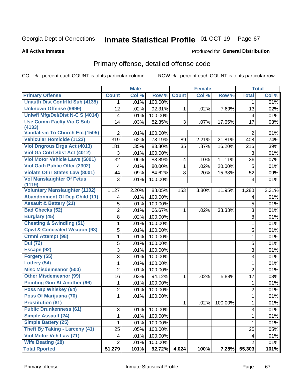# Inmate Statistical Profile 01-OCT-19 Page 67

### **All Active Inmates**

## Produced for General Distribution

# Primary offense, detailed offense code

COL % - percent each COUNT is of its particular column

|                                                |                | <b>Male</b> |         |              | <b>Female</b> |         |                | <b>Total</b> |
|------------------------------------------------|----------------|-------------|---------|--------------|---------------|---------|----------------|--------------|
| <b>Primary Offense</b>                         | <b>Count</b>   | Col %       | Row %   | <b>Count</b> | Col %         | Row %   | <b>Total</b>   | Col %        |
| <b>Unauth Dist Contrild Sub (4135)</b>         | $\mathbf 1$    | .01%        | 100.00% |              |               |         | 1              | .01%         |
| <b>Unknown Offense (9999)</b>                  | 12             | .02%        | 92.31%  | 1            | .02%          | 7.69%   | 13             | .02%         |
| <b>Uniwfl Mfg/Del/Dist N-C S (4014)</b>        | $\overline{4}$ | .01%        | 100.00% |              |               |         | 4              | .01%         |
| <b>Use Comm Facity Vio C Sub</b>               | 14             | .03%        | 82.35%  | 3            | .07%          | 17.65%  | 17             | .03%         |
| (4133)                                         |                |             |         |              |               |         |                |              |
| <b>Vandalism To Church Etc (1505)</b>          | $\overline{2}$ | .01%        | 100.00% |              |               |         | $\overline{2}$ | .01%         |
| <b>Vehicular Homicide (1123)</b>               | 319            | .62%        | 78.19%  | 89           | 2.21%         | 21.81%  | 408            | .74%         |
| <b>Viol Dngrous Drgs Act (4013)</b>            | 181            | .35%        | 83.80%  | 35           | .87%          | 16.20%  | 216            | .39%         |
| Viol Ga Cntrl Sbst Act (4012)                  | 3              | .01%        | 100.00% |              |               |         | 3              | .01%         |
| <b>Viol Motor Vehicle Laws (5001)</b>          | 32             | .06%        | 88.89%  | 4            | .10%          | 11.11%  | 36             | .07%         |
| <b>Viol Oath Public Offcr (2302)</b>           | $\overline{4}$ | .01%        | 80.00%  | 1            | .02%          | 20.00%  | $\overline{5}$ | .01%         |
| <b>Violatn Othr States Law (8001)</b>          | 44             | .09%        | 84.62%  | 8            | .20%          | 15.38%  | 52             | .09%         |
| <b>Vol Manslaughter Of Fetus</b>               | 3              | .01%        | 100.00% |              |               |         | 3              | .01%         |
| (1119)<br><b>Voluntary Manslaughter (1102)</b> | 1,127          | 2.20%       | 88.05%  | 153          | 3.80%         | 11.95%  | 1,280          | 2.31%        |
| <b>Abandonment Of Dep Child (11)</b>           | 4              | .01%        | 100.00% |              |               |         | 4              | .01%         |
| <b>Assault &amp; Battery (21)</b>              | 5              | .01%        | 100.00% |              |               |         | 5              | .01%         |
| <b>Bad Checks (52)</b>                         | $\overline{2}$ | .01%        | 66.67%  | $\mathbf{1}$ | .02%          | 33.33%  | 3              | .01%         |
| <b>Burglary (45)</b>                           | 8              | .02%        | 100.00% |              |               |         | 8              | .01%         |
| <b>Cheating &amp; Swindling (51)</b>           | 1              | .01%        | 100.00% |              |               |         | $\mathbf{1}$   | .01%         |
| <b>Cpwl &amp; Concealed Weapon (93)</b>        | 5              | .01%        | 100.00% |              |               |         | 5              | .01%         |
| <b>Crmnl Attempt (98)</b>                      | 1              | .01%        | 100.00% |              |               |         | $\mathbf{1}$   | .01%         |
| <b>Dui</b> (72)                                | 5              | .01%        | 100.00% |              |               |         | 5              | .01%         |
| Escape (92)                                    | 3              | .01%        | 100.00% |              |               |         | 3              | .01%         |
| Forgery (55)                                   | 3              | .01%        | 100.00% |              |               |         | $\overline{3}$ | .01%         |
| Lottery (54)                                   | 1              | .01%        | 100.00% |              |               |         | $\mathbf{1}$   | .01%         |
| <b>Misc Misdemeanor (500)</b>                  | $\overline{2}$ | .01%        | 100.00% |              |               |         | $\overline{2}$ | .01%         |
| <b>Other Misdemeanor (99)</b>                  | 16             | .03%        | 94.12%  | 1            | .02%          | 5.88%   | 17             | .03%         |
| <b>Pointing Gun At Another (96)</b>            | 1              | .01%        | 100.00% |              |               |         | 1              | .01%         |
| <b>Poss Ntp Whiskey (64)</b>                   | $\overline{2}$ | .01%        | 100.00% |              |               |         | $\overline{2}$ | .01%         |
| Poss Of Marijuana (70)                         | 1              | .01%        | 100.00% |              |               |         | 1              | .01%         |
| <b>Prostitution (81)</b>                       |                |             |         | 1            | $.02\%$       | 100.00% | $\mathbf 1$    | .01%         |
| <b>Public Drunkenness (61)</b>                 | 3              | .01%        | 100.00% |              |               |         | 3              | .01%         |
| <b>Simple Assault (24)</b>                     | 1              | .01%        | 100.00% |              |               |         | 1              | .01%         |
| <b>Simple Battery (25)</b>                     | 1              | .01%        | 100.00% |              |               |         | 1              | .01%         |
| <b>Theft By Taking - Larceny (41)</b>          | 25             | .05%        | 100.00% |              |               |         | 25             | .05%         |
| <b>Viol Motor Veh Law (71)</b>                 | 4              | .01%        | 100.00% |              |               |         | 4              | .01%         |
| <b>Wife Beating (28)</b>                       | $\overline{2}$ | .01%        | 100.00% |              |               |         | $\overline{2}$ | .01%         |
| <b>Total Rported</b>                           | 51,279         | 101%        | 92.72%  | 4,024        | 100%          | 7.28%   | 55,303         | 101%         |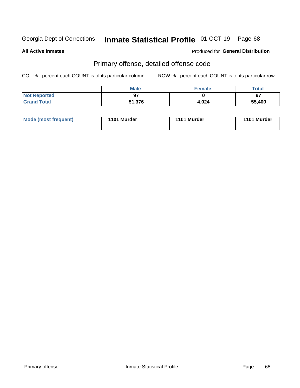# Inmate Statistical Profile 01-OCT-19 Page 68

**All Active Inmates** 

## Produced for General Distribution

# Primary offense, detailed offense code

COL % - percent each COUNT is of its particular column

|                     | <b>Male</b> | <b>Female</b> | Total  |
|---------------------|-------------|---------------|--------|
| <b>Not Reported</b> |             |               | 97     |
| <b>Grand Total</b>  | 51,376      | 4,024         | 55,400 |

| Mode (most frequent) | 1101 Murder | 1101 Murder | 1101 Murder |
|----------------------|-------------|-------------|-------------|
|                      |             |             |             |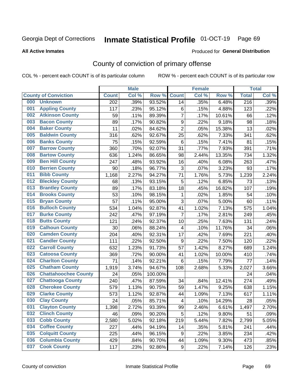# Inmate Statistical Profile 01-OCT-19 Page 69

**All Active Inmates** 

### Produced for General Distribution

# County of conviction of primary offense

COL % - percent each COUNT is of its particular column

|     |                             |              | <b>Male</b> |         |                         | <b>Female</b> |        |                  | <b>Total</b> |
|-----|-----------------------------|--------------|-------------|---------|-------------------------|---------------|--------|------------------|--------------|
|     | <b>County of Conviction</b> | <b>Count</b> | Col %       | Row %   | <b>Count</b>            | Col %         | Row %  | <b>Total</b>     | Col %        |
| 000 | <b>Unknown</b>              | 202          | .39%        | 93.52%  | 14                      | .35%          | 6.48%  | $\overline{216}$ | .39%         |
| 001 | <b>Appling County</b>       | 117          | .23%        | 95.12%  | 6                       | .15%          | 4.88%  | 123              | .22%         |
| 002 | <b>Atkinson County</b>      | 59           | .11%        | 89.39%  | $\overline{7}$          | .17%          | 10.61% | 66               | .12%         |
| 003 | <b>Bacon County</b>         | 89           | .17%        | 90.82%  | $\boldsymbol{9}$        | .22%          | 9.18%  | 98               | .18%         |
| 004 | <b>Baker County</b>         | 11           | .02%        | 84.62%  | $\overline{2}$          | .05%          | 15.38% | 13               | .02%         |
| 005 | <b>Baldwin County</b>       | 316          | .62%        | 92.67%  | 25                      | .62%          | 7.33%  | 341              | .62%         |
| 006 | <b>Banks County</b>         | 75           | .15%        | 92.59%  | 6                       | .15%          | 7.41%  | 81               | .15%         |
| 007 | <b>Barrow County</b>        | 360          | .70%        | 92.07%  | 31                      | .77%          | 7.93%  | 391              | .71%         |
| 008 | <b>Bartow County</b>        | 636          | 1.24%       | 86.65%  | 98                      | 2.44%         | 13.35% | 734              | 1.32%        |
| 009 | <b>Ben Hill County</b>      | 247          | .48%        | 93.92%  | 16                      | .40%          | 6.08%  | 263              | .47%         |
| 010 | <b>Berrien County</b>       | 90           | .18%        | 96.77%  | 3                       | .07%          | 3.23%  | 93               | .17%         |
| 011 | <b>Bibb County</b>          | 1,168        | 2.27%       | 94.27%  | 71                      | 1.76%         | 5.73%  | 1,239            | 2.24%        |
| 012 | <b>Bleckley County</b>      | 68           | .13%        | 93.15%  | 5                       | .12%          | 6.85%  | 73               | .13%         |
| 013 | <b>Brantley County</b>      | 89           | .17%        | 83.18%  | 18                      | .45%          | 16.82% | 107              | .19%         |
| 014 | <b>Brooks County</b>        | 53           | .10%        | 98.15%  | 1                       | .02%          | 1.85%  | 54               | .10%         |
| 015 | <b>Bryan County</b>         | 57           | .11%        | 95.00%  | 3                       | .07%          | 5.00%  | 60               | .11%         |
| 016 | <b>Bulloch County</b>       | 534          | 1.04%       | 92.87%  | 41                      | 1.02%         | 7.13%  | 575              | 1.04%        |
| 017 | <b>Burke County</b>         | 242          | .47%        | 97.19%  | $\overline{7}$          | .17%          | 2.81%  | 249              | .45%         |
| 018 | <b>Butts County</b>         | 121          | .24%        | 92.37%  | 10                      | .25%          | 7.63%  | 131              | .24%         |
| 019 | <b>Calhoun County</b>       | 30           | .06%        | 88.24%  | $\overline{4}$          | .10%          | 11.76% | 34               | .06%         |
| 020 | <b>Camden County</b>        | 204          | .40%        | 92.31%  | 17                      | .42%          | 7.69%  | 221              | .40%         |
| 021 | <b>Candler County</b>       | 111          | .22%        | 92.50%  | 9                       | .22%          | 7.50%  | 120              | .22%         |
| 022 | <b>Carroll County</b>       | 632          | 1.23%       | 91.73%  | 57                      | 1.42%         | 8.27%  | 689              | 1.24%        |
| 023 | <b>Catoosa County</b>       | 369          | .72%        | 90.00%  | 41                      | 1.02%         | 10.00% | 410              | .74%         |
| 024 | <b>Charlton County</b>      | 71           | .14%        | 92.21%  | 6                       | .15%          | 7.79%  | 77               | .14%         |
| 025 | <b>Chatham County</b>       | 1,919        | 3.74%       | 94.67%  | 108                     | 2.68%         | 5.33%  | 2,027            | 3.66%        |
| 026 | <b>Chattahoochee County</b> | 24           | .05%        | 100.00% |                         |               |        | 24               | .04%         |
| 027 | <b>Chattooga County</b>     | 240          | .47%        | 87.59%  | 34                      | .84%          | 12.41% | 274              | .49%         |
| 028 | <b>Cherokee County</b>      | 579          | 1.13%       | 90.75%  | 59                      | 1.47%         | 9.25%  | 638              | 1.15%        |
| 029 | <b>Clarke County</b>        | 573          | 1.12%       | 92.87%  | 44                      | 1.09%         | 7.13%  | 617              | 1.11%        |
| 030 | <b>Clay County</b>          | 24           | .05%        | 85.71%  | $\overline{\mathbf{4}}$ | .10%          | 14.29% | 28               | .05%         |
| 031 | <b>Clayton County</b>       | 1,398        | 2.72%       | 93.39%  | 99                      | 2.46%         | 6.61%  | 1,497            | 2.70%        |
| 032 | <b>Clinch County</b>        | 46           | .09%        | 90.20%  | 5                       | .12%          | 9.80%  | 51               | .09%         |
| 033 | <b>Cobb County</b>          | 2,580        | 5.02%       | 92.18%  | 219                     | 5.44%         | 7.82%  | 2,799            | 5.05%        |
| 034 | <b>Coffee County</b>        | 227          | .44%        | 94.19%  | 14                      | .35%          | 5.81%  | 241              | .44%         |
| 035 | <b>Colquitt County</b>      | 225          | .44%        | 96.15%  | 9                       | .22%          | 3.85%  | 234              | .42%         |
| 036 | <b>Columbia County</b>      | 429          | .84%        | 90.70%  | 44                      | 1.09%         | 9.30%  | 473              | .85%         |
| 037 | <b>Cook County</b>          | 117          | .23%        | 92.86%  | 9                       | .22%          | 7.14%  | 126              | .23%         |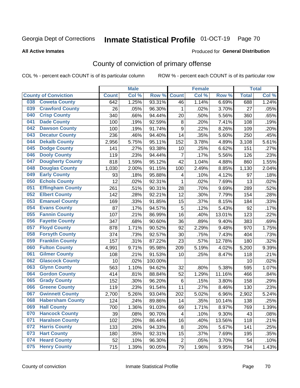# Inmate Statistical Profile 01-OCT-19 Page 70

### **All Active Inmates**

### Produced for General Distribution

# County of conviction of primary offense

COL % - percent each COUNT is of its particular column

|     |                             |              | <b>Male</b> |         |                  | <b>Female</b> |        |              | <b>Total</b> |
|-----|-----------------------------|--------------|-------------|---------|------------------|---------------|--------|--------------|--------------|
|     | <b>County of Conviction</b> | <b>Count</b> | Col %       | Row %   | <b>Count</b>     | Col%          | Row %  | <b>Total</b> | Col %        |
| 038 | <b>Coweta County</b>        | 642          | 1.25%       | 93.31%  | 46               | 1.14%         | 6.69%  | 688          | 1.24%        |
| 039 | <b>Crawford County</b>      | 26           | .05%        | 96.30%  | 1                | .02%          | 3.70%  | 27           | .05%         |
| 040 | <b>Crisp County</b>         | 340          | .66%        | 94.44%  | 20               | .50%          | 5.56%  | 360          | .65%         |
| 041 | <b>Dade County</b>          | 100          | .19%        | 92.59%  | 8                | .20%          | 7.41%  | 108          | .19%         |
| 042 | <b>Dawson County</b>        | 100          | .19%        | 91.74%  | $\boldsymbol{9}$ | .22%          | 8.26%  | 109          | .20%         |
| 043 | <b>Decatur County</b>       | 236          | .46%        | 94.40%  | 14               | .35%          | 5.60%  | 250          | .45%         |
| 044 | <b>Dekalb County</b>        | 2,956        | 5.75%       | 95.11%  | 152              | 3.78%         | 4.89%  | 3,108        | 5.61%        |
| 045 | <b>Dodge County</b>         | 141          | .27%        | 93.38%  | 10               | .25%          | 6.62%  | 151          | .27%         |
| 046 | <b>Dooly County</b>         | 119          | .23%        | 94.44%  | $\overline{7}$   | .17%          | 5.56%  | 126          | .23%         |
| 047 | <b>Dougherty County</b>     | 818          | 1.59%       | 95.12%  | 42               | 1.04%         | 4.88%  | 860          | 1.55%        |
| 048 | <b>Douglas County</b>       | 1,030        | 2.00%       | 91.15%  | 100              | 2.49%         | 8.85%  | 1,130        | 2.04%        |
| 049 | <b>Early County</b>         | 93           | .18%        | 95.88%  | 4                | .10%          | 4.12%  | 97           | .18%         |
| 050 | <b>Echols County</b>        | 12           | .02%        | 92.31%  | $\mathbf{1}$     | .02%          | 7.69%  | 13           | .02%         |
| 051 | <b>Effingham County</b>     | 261          | .51%        | 90.31%  | 28               | .70%          | 9.69%  | 289          | .52%         |
| 052 | <b>Elbert County</b>        | 142          | .28%        | 92.21%  | 12               | .30%          | 7.79%  | 154          | .28%         |
| 053 | <b>Emanuel County</b>       | 169          | .33%        | 91.85%  | 15               | .37%          | 8.15%  | 184          | .33%         |
| 054 | <b>Evans County</b>         | 87           | .17%        | 94.57%  | 5                | .12%          | 5.43%  | 92           | .17%         |
| 055 | <b>Fannin County</b>        | 107          | .21%        | 86.99%  | 16               | .40%          | 13.01% | 123          | .22%         |
| 056 | <b>Fayette County</b>       | 347          | .68%        | 90.60%  | 36               | .89%          | 9.40%  | 383          | .69%         |
| 057 | <b>Floyd County</b>         | 878          | 1.71%       | 90.52%  | 92               | 2.29%         | 9.48%  | 970          | 1.75%        |
| 058 | <b>Forsyth County</b>       | 374          | .73%        | 92.57%  | 30               | .75%          | 7.43%  | 404          | .73%         |
| 059 | <b>Franklin County</b>      | 157          | .31%        | 87.22%  | 23               | .57%          | 12.78% | 180          | .32%         |
| 060 | <b>Fulton County</b>        | 4,991        | 9.71%       | 95.98%  | 209              | 5.19%         | 4.02%  | 5,200        | 9.39%        |
| 061 | <b>Gilmer County</b>        | 108          | .21%        | 91.53%  | 10               | .25%          | 8.47%  | 118          | .21%         |
| 062 | <b>Glascock County</b>      | 10           | .02%        | 100.00% |                  |               |        | 10           | .02%         |
| 063 | <b>Glynn County</b>         | 563          | 1.10%       | 94.62%  | 32               | .80%          | 5.38%  | 595          | 1.07%        |
| 064 | <b>Gordon County</b>        | 414          | .81%        | 88.84%  | 52               | 1.29%         | 11.16% | 466          | .84%         |
| 065 | <b>Grady County</b>         | 152          | .30%        | 96.20%  | 6                | .15%          | 3.80%  | 158          | .29%         |
| 066 | <b>Greene County</b>        | 119          | .23%        | 91.54%  | 11               | .27%          | 8.46%  | 130          | .23%         |
| 067 | <b>Gwinnett County</b>      | 2,700        | 5.26%       | 93.04%  | 202              | 5.02%         | 6.96%  | 2,902        | 5.24%        |
| 068 | <b>Habersham County</b>     | 124          | .24%        | 89.86%  | 14               | .35%          | 10.14% | 138          | .25%         |
| 069 | <b>Hall County</b>          | 700          | 1.36%       | 91.03%  | 69               | 1.71%         | 8.97%  | 769          | 1.39%        |
| 070 | <b>Hancock County</b>       | 39           | .08%        | 90.70%  | 4                | .10%          | 9.30%  | 43           | .08%         |
| 071 | <b>Haralson County</b>      | 102          | .20%        | 86.44%  | 16               | .40%          | 13.56% | 118          | .21%         |
| 072 | <b>Harris County</b>        | 133          | .26%        | 94.33%  | 8                | .20%          | 5.67%  | 141          | .25%         |
| 073 | <b>Hart County</b>          | 180          | .35%        | 92.31%  | 15               | .37%          | 7.69%  | 195          | .35%         |
| 074 | <b>Heard County</b>         | 52           | .10%        | 96.30%  | $\overline{c}$   | .05%          | 3.70%  | 54           | .10%         |
| 075 | <b>Henry County</b>         | 715          | 1.39%       | 90.05%  | 79               | 1.96%         | 9.95%  | 794          | 1.43%        |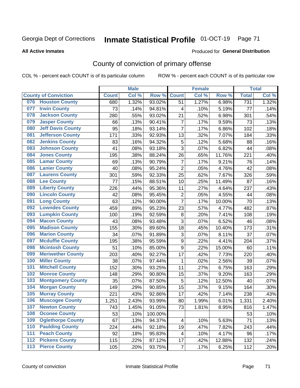# Inmate Statistical Profile 01-OCT-19 Page 71

### **All Active Inmates**

### Produced for General Distribution

# County of conviction of primary offense

COL % - percent each COUNT is of its particular column

|     |                             |              | <b>Male</b> |         |                           | <b>Female</b> |        |              | <b>Total</b> |
|-----|-----------------------------|--------------|-------------|---------|---------------------------|---------------|--------|--------------|--------------|
|     | <b>County of Conviction</b> | <b>Count</b> | Col %       | Row %   | <b>Count</b>              | Col %         | Row %  | <b>Total</b> | Col %        |
| 076 | <b>Houston County</b>       | 680          | 1.32%       | 93.02%  | 51                        | 1.27%         | 6.98%  | 731          | 1.32%        |
| 077 | <b>Irwin County</b>         | 73           | .14%        | 94.81%  | 4                         | .10%          | 5.19%  | 77           | .14%         |
| 078 | <b>Jackson County</b>       | 280          | .55%        | 93.02%  | 21                        | .52%          | 6.98%  | 301          | .54%         |
| 079 | <b>Jasper County</b>        | 66           | .13%        | 90.41%  | $\overline{7}$            | .17%          | 9.59%  | 73           | .13%         |
| 080 | <b>Jeff Davis County</b>    | 95           | .18%        | 93.14%  | $\overline{7}$            | .17%          | 6.86%  | 102          | .18%         |
| 081 | <b>Jefferson County</b>     | 171          | .33%        | 92.93%  | 13                        | .32%          | 7.07%  | 184          | .33%         |
| 082 | <b>Jenkins County</b>       | 83           | .16%        | 94.32%  | $\mathbf 5$               | .12%          | 5.68%  | 88           | .16%         |
| 083 | <b>Johnson County</b>       | 41           | .08%        | 93.18%  | 3                         | .07%          | 6.82%  | 44           | .08%         |
| 084 | <b>Jones County</b>         | 195          | .38%        | 88.24%  | 26                        | .65%          | 11.76% | 221          | .40%         |
| 085 | <b>Lamar County</b>         | 69           | .13%        | 90.79%  | $\overline{7}$            | .17%          | 9.21%  | 76           | .14%         |
| 086 | <b>Lanier County</b>        | 40           | .08%        | 95.24%  | $\overline{2}$            | .05%          | 4.76%  | 42           | .08%         |
| 087 | <b>Laurens County</b>       | 301          | .59%        | 92.33%  | 25                        | .62%          | 7.67%  | 326          | .59%         |
| 088 | <b>Lee County</b>           | 77           | .15%        | 88.51%  | 10                        | .25%          | 11.49% | 87           | .16%         |
| 089 | <b>Liberty County</b>       | 226          | .44%        | 95.36%  | 11                        | .27%          | 4.64%  | 237          | .43%         |
| 090 | <b>Lincoln County</b>       | 42           | .08%        | 95.45%  | $\overline{2}$            | .05%          | 4.55%  | 44           | .08%         |
| 091 | <b>Long County</b>          | 63           | .12%        | 90.00%  | $\overline{7}$            | .17%          | 10.00% | 70           | .13%         |
| 092 | <b>Lowndes County</b>       | 459          | .89%        | 95.23%  | 23                        | .57%          | 4.77%  | 482          | .87%         |
| 093 | <b>Lumpkin County</b>       | 100          | .19%        | 92.59%  | $\bf 8$                   | .20%          | 7.41%  | 108          | .19%         |
| 094 | <b>Macon County</b>         | 43           | .08%        | 93.48%  | $\sqrt{3}$                | .07%          | 6.52%  | 46           | .08%         |
| 095 | <b>Madison County</b>       | 155          | .30%        | 89.60%  | 18                        | .45%          | 10.40% | 173          | .31%         |
| 096 | <b>Marion County</b>        | 34           | .07%        | 91.89%  | $\ensuremath{\mathsf{3}}$ | .07%          | 8.11%  | 37           | .07%         |
| 097 | <b>Mcduffie County</b>      | 195          | .38%        | 95.59%  | $\boldsymbol{9}$          | .22%          | 4.41%  | 204          | .37%         |
| 098 | <b>Mcintosh County</b>      | 51           | .10%        | 85.00%  | $\boldsymbol{9}$          | .22%          | 15.00% | 60           | .11%         |
| 099 | <b>Meriwether County</b>    | 203          | .40%        | 92.27%  | 17                        | .42%          | 7.73%  | 220          | .40%         |
| 100 | <b>Miller County</b>        | 38           | .07%        | 97.44%  | 1                         | .02%          | 2.56%  | 39           | .07%         |
| 101 | <b>Mitchell County</b>      | 152          | .30%        | 93.25%  | 11                        | .27%          | 6.75%  | 163          | .29%         |
| 102 | <b>Monroe County</b>        | 148          | .29%        | 90.80%  | 15                        | .37%          | 9.20%  | 163          | .29%         |
| 103 | <b>Montgomery County</b>    | 35           | .07%        | 87.50%  | 5                         | .12%          | 12.50% | 40           | .07%         |
| 104 | <b>Morgan County</b>        | 149          | .29%        | 90.85%  | 15                        | .37%          | 9.15%  | 164          | .30%         |
| 105 | <b>Murray County</b>        | 221          | .43%        | 92.86%  | 17                        | .42%          | 7.14%  | 238          | .43%         |
| 106 | <b>Muscogee County</b>      | 1,251        | 2.43%       | 93.99%  | 80                        | 1.99%         | 6.01%  | 1,331        | 2.40%        |
| 107 | <b>Newton County</b>        | 743          | 1.45%       | 91.05%  | 73                        | 1.81%         | 8.95%  | 816          | 1.47%        |
| 108 | <b>Oconee County</b>        | 53           | .10%        | 100.00% |                           |               |        | 53           | .10%         |
| 109 | <b>Oglethorpe County</b>    | 67           | .13%        | 94.37%  | 4                         | .10%          | 5.63%  | 71           | .13%         |
| 110 | <b>Paulding County</b>      | 224          | .44%        | 92.18%  | 19                        | .47%          | 7.82%  | 243          | .44%         |
| 111 | <b>Peach County</b>         | 92           | .18%        | 95.83%  | 4                         | .10%          | 4.17%  | 96           | .17%         |
| 112 | <b>Pickens County</b>       | 115          | .22%        | 87.12%  | 17                        | .42%          | 12.88% | 132          | .24%         |
| 113 | <b>Pierce County</b>        | 105          | .20%        | 93.75%  | $\overline{7}$            | .17%          | 6.25%  | 112          | .20%         |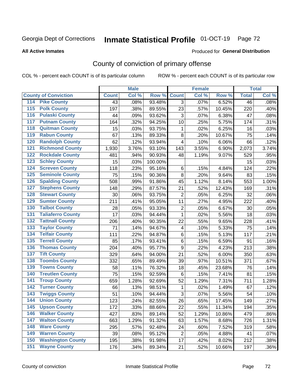# Inmate Statistical Profile 01-OCT-19 Page 72

### **All Active Inmates**

### Produced for General Distribution

# County of conviction of primary offense

COL % - percent each COUNT is of its particular column

|                                        |              | <b>Male</b> |         |                         | <b>Female</b> |        |                 | <b>Total</b> |
|----------------------------------------|--------------|-------------|---------|-------------------------|---------------|--------|-----------------|--------------|
| <b>County of Conviction</b>            | <b>Count</b> | Col %       | Row %   | <b>Count</b>            | Col %         | Row %  | <b>Total</b>    | Col %        |
| <b>Pike County</b><br>114              | 43           | .08%        | 93.48%  | 3                       | .07%          | 6.52%  | $\overline{46}$ | .08%         |
| <b>Polk County</b><br>$\overline{115}$ | 197          | .38%        | 89.55%  | 23                      | .57%          | 10.45% | 220             | .40%         |
| <b>Pulaski County</b><br>116           | 44           | .09%        | 93.62%  | 3                       | .07%          | 6.38%  | 47              | .08%         |
| <b>Putnam County</b><br>117            | 164          | .32%        | 94.25%  | 10                      | .25%          | 5.75%  | 174             | .31%         |
| 118<br><b>Quitman County</b>           | 15           | .03%        | 93.75%  | 1                       | .02%          | 6.25%  | 16              | .03%         |
| <b>Rabun County</b><br>119             | 67           | .13%        | 89.33%  | 8                       | .20%          | 10.67% | 75              | .14%         |
| <b>Randolph County</b><br>120          | 62           | .12%        | 93.94%  | 4                       | .10%          | 6.06%  | 66              | .12%         |
| <b>Richmond County</b><br>121          | 1,930        | 3.76%       | 93.10%  | 143                     | 3.55%         | 6.90%  | 2,073           | 3.74%        |
| <b>Rockdale County</b><br>122          | 481          | .94%        | 90.93%  | 48                      | 1.19%         | 9.07%  | 529             | .95%         |
| <b>Schley County</b><br>123            | 15           | .03%        | 100.00% |                         |               |        | 15              | .03%         |
| <b>Screven County</b><br>124           | 118          | .23%        | 95.16%  | 6                       | .15%          | 4.84%  | 124             | .22%         |
| <b>Seminole County</b><br>125          | 75           | .15%        | 90.36%  | 8                       | .20%          | 9.64%  | 83              | .15%         |
| 126<br><b>Spalding County</b>          | 508          | .99%        | 91.86%  | 45                      | 1.12%         | 8.14%  | 553             | 1.00%        |
| 127<br><b>Stephens County</b>          | 148          | .29%        | 87.57%  | 21                      | .52%          | 12.43% | 169             | .31%         |
| <b>Stewart County</b><br>128           | 30           | .06%        | 93.75%  | $\overline{2}$          | .05%          | 6.25%  | 32              | .06%         |
| <b>Sumter County</b><br>129            | 211          | .41%        | 95.05%  | 11                      | .27%          | 4.95%  | 222             | .40%         |
| <b>Talbot County</b><br>130            | 28           | .05%        | 93.33%  | $\mathbf 2$             | .05%          | 6.67%  | 30              | .05%         |
| <b>Taliaferro County</b><br>131        | 17           | .03%        | 94.44%  | $\mathbf{1}$            | .02%          | 5.56%  | 18              | .03%         |
| <b>Tattnall County</b><br>132          | 206          | .40%        | 90.35%  | 22                      | .55%          | 9.65%  | 228             | .41%         |
| <b>Taylor County</b><br>133            | 71           | .14%        | 94.67%  | $\overline{\mathbf{4}}$ | .10%          | 5.33%  | 75              | .14%         |
| <b>Telfair County</b><br>134           | 111          | .22%        | 94.87%  | 6                       | .15%          | 5.13%  | 117             | .21%         |
| <b>Terrell County</b><br>135           | 85           | .17%        | 93.41%  | 6                       | .15%          | 6.59%  | 91              | .16%         |
| <b>Thomas County</b><br>136            | 204          | .40%        | 95.77%  | $\boldsymbol{9}$        | .22%          | 4.23%  | 213             | .38%         |
| <b>Tift County</b><br>137              | 329          | .64%        | 94.00%  | 21                      | .52%          | 6.00%  | 350             | .63%         |
| <b>Toombs County</b><br>138            | 332          | .65%        | 89.49%  | 39                      | .97%          | 10.51% | 371             | .67%         |
| <b>Towns County</b><br>139             | 58           | .11%        | 76.32%  | 18                      | .45%          | 23.68% | 76              | .14%         |
| <b>Treutlen County</b><br>140          | 75           | .15%        | 92.59%  | 6                       | .15%          | 7.41%  | 81              | .15%         |
| <b>Troup County</b><br>141             | 659          | 1.28%       | 92.69%  | 52                      | 1.29%         | 7.31%  | 711             | 1.28%        |
| <b>Turner County</b><br>142            | 66           | .13%        | 98.51%  | $\mathbf{1}$            | .02%          | 1.49%  | 67              | .12%         |
| <b>Twiggs County</b><br>143            | 51           | .10%        | 94.44%  | 3                       | .07%          | 5.56%  | 54              | .10%         |
| <b>Union County</b><br>144             | 123          | .24%        | 82.55%  | 26                      | .65%          | 17.45% | 149             | .27%         |
| 145<br><b>Upson County</b>             | 172          | .33%        | 88.66%  | 22                      | .55%          | 11.34% | 194             | .35%         |
| <b>Walker County</b><br>146            | 427          | .83%        | 89.14%  | 52                      | 1.29%         | 10.86% | 479             | .86%         |
| <b>Walton County</b><br>147            | 663          | 1.29%       | 91.32%  | 63                      | 1.57%         | 8.68%  | 726             | 1.31%        |
| <b>Ware County</b><br>148              | 295          | .57%        | 92.48%  | 24                      | .60%          | 7.52%  | 319             | .58%         |
| <b>Warren County</b><br>149            | 39           | .08%        | 95.12%  | $\overline{2}$          | .05%          | 4.88%  | 41              | .07%         |
| <b>Washington County</b><br>150        | 195          | .38%        | 91.98%  | 17                      | .42%          | 8.02%  | 212             | .38%         |
| <b>Wayne County</b><br>151             | 176          | .34%        | 89.34%  | 21                      | .52%          | 10.66% | 197             | .36%         |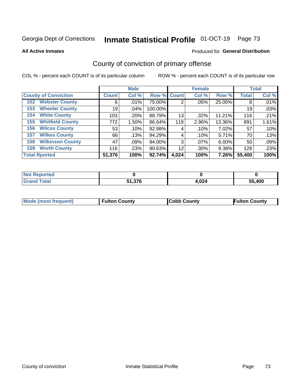# Inmate Statistical Profile 01-OCT-19 Page 73

**All Active Inmates** 

## Produced for General Distribution

# County of conviction of primary offense

COL % - percent each COUNT is of its particular column

|                                |              | <b>Male</b> |             |       | <b>Female</b> |        |              | <b>Total</b> |
|--------------------------------|--------------|-------------|-------------|-------|---------------|--------|--------------|--------------|
| <b>County of Conviction</b>    | <b>Count</b> | Col %       | Row % Count |       | Col %         | Row %  | <b>Total</b> | Col %        |
| <b>Webster County</b><br>152   | 6            | .01%        | 75.00%      | 2     | .05%          | 25.00% | 8            | .01%         |
| <b>Wheeler County</b><br>153   | 19           | $.04\%$     | 100.00%     |       |               |        | 19           | .03%         |
| <b>White County</b><br>154     | 103          | .20%        | 88.79%      | 13    | .32%          | 11.21% | 116          | .21%         |
| <b>Whitfield County</b><br>155 | 772          | 1.50%       | 86.64%      | 119   | 2.96%         | 13.36% | 891          | 1.61%        |
| <b>Wilcox County</b><br>156    | 53           | .10%        | 92.98%      | 4     | .10%          | 7.02%  | 57           | .10%         |
| <b>Wilkes County</b><br>157    | 66           | .13%        | 94.29%      | 4     | .10%          | 5.71%  | 70           | .13%         |
| <b>Wilkinson County</b><br>158 | 47           | .09%        | 94.00%      | 3     | $.07\%$       | 6.00%  | 50           | .09%         |
| <b>Worth County</b><br>159     | 116          | .23%        | 90.63%      | 12    | .30%          | 9.38%  | 128          | .23%         |
| <b>Total Rported</b>           | 51,376       | 100%        | 92.74%      | 4,024 | 100%          | 7.26%  | 55,400       | 100%         |

| <b>Not Reported</b> |        |       |        |
|---------------------|--------|-------|--------|
| <b>Grand Total</b>  | 51,376 | 4,024 | 55,400 |

| Mode (most frequent) | <b>Fulton County</b> | <b>Cobb County</b> | <b>Fulton County</b> |
|----------------------|----------------------|--------------------|----------------------|
|                      |                      |                    |                      |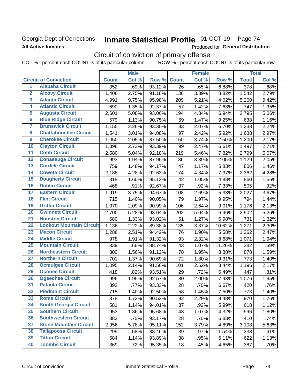## Georgia Dept of Corrections **All Active Inmates**

# Inmate Statistical Profile 01-OCT-19 Page 74

Produced for General Distribution

# Circuit of conviction of primary offense

|                         |                                 | <b>Male</b>  |       |        | <b>Female</b> |       |        | <b>Total</b>     |       |
|-------------------------|---------------------------------|--------------|-------|--------|---------------|-------|--------|------------------|-------|
|                         | <b>Circuit of Conviction</b>    | <b>Count</b> | Col % | Row %  | <b>Count</b>  | Col % | Row %  | <b>Total</b>     | Col % |
| 1                       | <b>Alapaha Circuit</b>          | 352          | .69%  | 93.12% | 26            | .65%  | 6.88%  | $\overline{378}$ | .68%  |
| $\overline{2}$          | <b>Alcovy Circuit</b>           | 1,406        | 2.75% | 91.18% | 136           | 3.39% | 8.82%  | 1,542            | 2.79% |
| $\overline{\mathbf{3}}$ | <b>Atlanta Circuit</b>          | 4,991        | 9.75% | 95.98% | 209           | 5.21% | 4.02%  | 5,200            | 9.42% |
| 4                       | <b>Atlantic Circuit</b>         | 690          | 1.35% | 92.37% | 57            | 1.42% | 7.63%  | 747              | 1.35% |
| $\overline{5}$          | <b>Augusta Circuit</b>          | 2,601        | 5.08% | 93.06% | 194           | 4.84% | 6.94%  | 2,795            | 5.06% |
| $\overline{\bf{6}}$     | <b>Blue Ridge Circuit</b>       | 579          | 1.13% | 90.75% | 59            | 1.47% | 9.25%  | 638              | 1.16% |
| 7                       | <b>Brunswick Circuit</b>        | 1,155        | 2.26% | 93.30% | 83            | 2.07% | 6.70%  | 1,238            | 2.24% |
| $\overline{\mathbf{8}}$ | <b>Chattahoochee Circuit</b>    | 1,541        | 3.01% | 94.08% | 97            | 2.42% | 5.92%  | 1,638            | 2.97% |
| $\overline{9}$          | <b>Cherokee Circuit</b>         | 1,050        | 2.05% | 87.50% | 150           | 3.74% | 12.50% | 1,200            | 2.17% |
| 10                      | <b>Clayton Circuit</b>          | 1,398        | 2.73% | 93.39% | 99            | 2.47% | 6.61%  | 1,497            | 2.71% |
| $\overline{11}$         | <b>Cobb Circuit</b>             | 2,580        | 5.04% | 92.18% | 219           | 5.46% | 7.82%  | 2,799            | 5.07% |
| $\overline{12}$         | <b>Conasauga Circuit</b>        | 993          | 1.94% | 87.95% | 136           | 3.39% | 12.05% | 1,129            | 2.05% |
| 13                      | <b>Cordele Circuit</b>          | 759          | 1.48% | 94.17% | 47            | 1.17% | 5.83%  | 806              | 1.46% |
| $\overline{14}$         | <b>Coweta Circuit</b>           | 2,188        | 4.28% | 92.63% | 174           | 4.34% | 7.37%  | 2,362            | 4.28% |
| 15                      | <b>Dougherty Circuit</b>        | 818          | 1.60% | 95.12% | 42            | 1.05% | 4.88%  | 860              | 1.56% |
| 16                      | <b>Dublin Circuit</b>           | 468          | .91%  | 92.67% | 37            | .92%  | 7.33%  | 505              | .92%  |
| 17                      | <b>Eastern Circuit</b>          | 1,919        | 3.75% | 94.67% | 108           | 2.69% | 5.33%  | 2,027            | 3.67% |
| $\overline{18}$         | <b>Flint Circuit</b>            | 715          | 1.40% | 90.05% | 79            | 1.97% | 9.95%  | 794              | 1.44% |
| 19                      | <b>Griffin Circuit</b>          | 1,070        | 2.09% | 90.99% | 106           | 2.64% | 9.01%  | 1,176            | 2.13% |
| $\overline{20}$         | <b>Gwinnett Circuit</b>         | 2,700        | 5.28% | 93.04% | 202           | 5.04% | 6.96%  | 2,902            | 5.26% |
| $\overline{21}$         | <b>Houston Circuit</b>          | 680          | 1.33% | 93.02% | 51            | 1.27% | 6.98%  | 731              | 1.32% |
| $\overline{22}$         | <b>Lookout Mountain Circuit</b> | 1,136        | 2.22% | 89.38% | 135           | 3.37% | 10.62% | 1,271            | 2.30% |
| 23                      | <b>Macon Circuit</b>            | 1,286        | 2.51% | 94.42% | 76            | 1.90% | 5.58%  | 1,362            | 2.47% |
| $\overline{24}$         | <b>Middle Circuit</b>           | 978          | 1.91% | 91.32% | 93            | 2.32% | 8.68%  | 1,071            | 1.94% |
| $\overline{25}$         | <b>Mountain Circuit</b>         | 339          | .66%  | 88.74% | 43            | 1.07% | 11.26% | 382              | .69%  |
| 26                      | <b>Northeastern Circuit</b>     | 800          | 1.56% | 91.12% | 78            | 1.95% | 8.88%  | 878              | 1.59% |
| $\overline{27}$         | <b>Northern Circuit</b>         | 701          | 1.37% | 90.69% | 72            | 1.80% | 9.31%  | 773              | 1.40% |
| 28                      | <b>Ocmulgee Circuit</b>         | 1,095        | 2.14% | 91.56% | 101           | 2.52% | 8.44%  | 1,196            | 2.17% |
| 29                      | <b>Oconee Circuit</b>           | 418          | .82%  | 93.51% | 29            | .72%  | 6.49%  | 447              | .81%  |
| 30                      | <b>Ogeechee Circuit</b>         | 996          | 1.95% | 92.57% | 80            | 2.00% | 7.43%  | 1,076            | 1.95% |
| $\overline{31}$         | <b>Pataula Circuit</b>          | 392          | .77%  | 93.33% | 28            | .70%  | 6.67%  | 420              | .76%  |
| 32                      | <b>Piedmont Circuit</b>         | 715          | 1.40% | 92.50% | 58            | 1.45% | 7.50%  | 773              | 1.40% |
| 33                      | <b>Rome Circuit</b>             | 878          | 1.72% | 90.52% | 92            | 2.29% | 9.48%  | 970              | 1.76% |
| 34                      | <b>South Georgia Circuit</b>    | 581          | 1.14% | 94.01% | 37            | .92%  | 5.99%  | 618              | 1.12% |
| 35                      | <b>Southern Circuit</b>         | 953          | 1.86% | 95.68% | 43            | 1.07% | 4.32%  | 996              | 1.80% |
| 36                      | <b>Southwestern Circuit</b>     | 382          | .75%  | 93.17% | 28            | .70%  | 6.83%  | 410              | .74%  |
| 37                      | <b>Stone Mountain Circuit</b>   | 2,956        | 5.78% | 95.11% | 152           | 3.79% | 4.89%  | 3,108            | 5.63% |
| 38                      | <b>Tallapoosa Circuit</b>       | 299          | .58%  | 88.46% | 39            | .97%  | 11.54% | 338              | .61%  |
| 39                      | <b>Tifton Circuit</b>           | 584          | 1.14% | 93.89% | 38            | .95%  | 6.11%  | 622              | 1.13% |
| 40                      | <b>Toombs Circuit</b>           | 369          | .72%  | 95.35% | 18            | .45%  | 4.65%  | 387              | .70%  |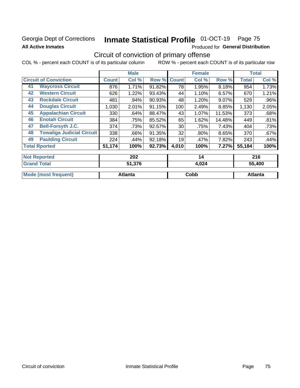## Georgia Dept of Corrections **All Active Inmates**

# Inmate Statistical Profile 01-OCT-19 Page 75

Produced for General Distribution

## Circuit of conviction of primary offense

|                                        | <b>Male</b>  |        |        |              | <b>Female</b> |        | <b>Total</b> |         |
|----------------------------------------|--------------|--------|--------|--------------|---------------|--------|--------------|---------|
| <b>Circuit of Conviction</b>           | <b>Count</b> | Col %  | Row %  | <b>Count</b> | Col %         | Row %  | <b>Total</b> | Col %   |
| <b>Waycross Circuit</b><br>41          | 876          | 1.71%  | 91.82% | 78           | 1.95%         | 8.18%  | 954          | 1.73%   |
| <b>Western Circuit</b><br>42           | 626          | 1.22%  | 93.43% | 44           | 1.10%         | 6.57%  | 670          | 1.21%   |
| <b>Rockdale Circuit</b><br>43          | 481          | .94%   | 90.93% | 48           | 1.20%         | 9.07%  | 529          | $.96\%$ |
| <b>Douglas Circuit</b><br>44           | 1,030        | 2.01%  | 91.15% | 100          | 2.49%         | 8.85%  | 1,130        | 2.05%   |
| <b>Appalachian Circuit</b><br>45       | 330          | .64%   | 88.47% | 43           | 1.07%         | 11.53% | 373          | .68%    |
| <b>Enotah Circuit</b><br>46            | 384          | .75%   | 85.52% | 65           | 1.62%         | 14.48% | 449          | .81%    |
| <b>Bell-Forsyth J.C.</b><br>47         | 374          | .73%   | 92.57% | 30           | .75%          | 7.43%  | 404          | .73%    |
| <b>Towaliga Judicial Circuit</b><br>48 | 338          | .66%   | 91.35% | 32           | $.80\%$       | 8.65%  | 370          | .67%    |
| <b>Paulding Circuit</b><br>49          | 224          | .44%   | 92.18% | 19           | .47%          | 7.82%  | 243          | .44%    |
| <b>Total Rported</b>                   | 51,174       | 100%   | 92.73% | 4,010        | 100%          | 7.27%  | 55,184       | 100%    |
| <b>Not Reported</b>                    |              | 202    |        |              | 14            |        |              | 216     |
| <b>Grand Total</b>                     |              | 51 376 |        |              | A NOA         |        |              | 55 AND  |

| ⊺Grand Total                | 31.JO   | 4.VZ4 | ้วว.4UU |
|-----------------------------|---------|-------|---------|
| <b>Mode (most frequent)</b> | Atlanta | Cobb  | Atlanta |
|                             |         |       |         |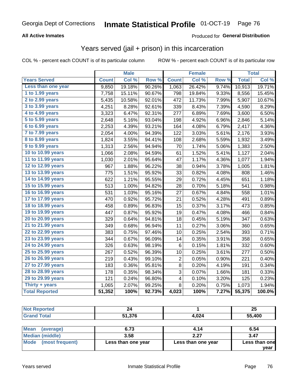#### **All Active Inmates**

#### Produced for **General Distribution**

## Years served (jail + prison) in this incarceration

COL % - percent each COUNT is of its particular column ROW % - percent each COUNT is of its particular row

|                       |              | <b>Male</b> |                  |                | <b>Female</b> |       | <b>Total</b> |        |
|-----------------------|--------------|-------------|------------------|----------------|---------------|-------|--------------|--------|
| <b>Years Served</b>   | <b>Count</b> | Col %       | Row <sup>%</sup> | <b>Count</b>   | Col %         | Row % | <b>Total</b> | Col %  |
| Less than one year    | 9,850        | 19.18%      | 90.26%           | 1,063          | 26.42%        | 9.74% | 10,913       | 19.71% |
| 1 to 1.99 years       | 7,758        | 15.11%      | 90.67%           | 798            | 19.84%        | 9.33% | 8,556        | 15.45% |
| 2 to 2.99 years       | 5,435        | 10.58%      | 92.01%           | 472            | 11.73%        | 7.99% | 5,907        | 10.67% |
| 3 to 3.99 years       | 4,251        | 8.28%       | 92.61%           | 339            | 8.43%         | 7.39% | 4,590        | 8.29%  |
| 4 to 4.99 years       | 3,323        | 6.47%       | 92.31%           | 277            | 6.89%         | 7.69% | 3,600        | 6.50%  |
| 5 to 5.99 years       | 2,648        | 5.16%       | 93.04%           | 198            | 4.92%         | 6.96% | 2,846        | 5.14%  |
| 6 to 6.99 years       | 2,253        | 4.39%       | 93.21%           | 164            | 4.08%         | 6.79% | 2,417        | 4.36%  |
| 7 to 7.99 years       | 2,054        | 4.00%       | 94.39%           | 122            | 3.03%         | 5.61% | 2,176        | 3.93%  |
| 8 to 8.99 years       | 1,824        | 3.55%       | 94.41%           | 108            | 2.68%         | 5.59% | 1,932        | 3.49%  |
| 9 to 9.99 years       | 1,313        | 2.56%       | 94.94%           | 70             | 1.74%         | 5.06% | 1,383        | 2.50%  |
| 10 to 10.99 years     | 1,066        | 2.08%       | 94.59%           | 61             | 1.52%         | 5.41% | 1,127        | 2.04%  |
| 11 to 11.99 years     | 1,030        | 2.01%       | 95.64%           | 47             | 1.17%         | 4.36% | 1,077        | 1.94%  |
| 12 to 12.99 years     | 967          | 1.88%       | 96.22%           | 38             | 0.94%         | 3.78% | 1,005        | 1.81%  |
| 13 to 13.99 years     | 775          | 1.51%       | 95.92%           | 33             | 0.82%         | 4.08% | 808          | 1.46%  |
| 14 to 14.99 years     | 622          | 1.21%       | 95.55%           | 29             | 0.72%         | 4.45% | 651          | 1.18%  |
| 15 to 15.99 years     | 513          | 1.00%       | 94.82%           | 28             | 0.70%         | 5.18% | 541          | 0.98%  |
| 16 to 16.99 years     | 531          | 1.03%       | 95.16%           | 27             | 0.67%         | 4.84% | 558          | 1.01%  |
| 17 to 17.99 years     | 470          | 0.92%       | 95.72%           | 21             | 0.52%         | 4.28% | 491          | 0.89%  |
| 18 to 18.99 years     | 458          | 0.89%       | 96.83%           | 15             | 0.37%         | 3.17% | 473          | 0.85%  |
| 19 to 19.99 years     | 447          | 0.87%       | 95.92%           | 19             | 0.47%         | 4.08% | 466          | 0.84%  |
| 20 to 20.99 years     | 329          | 0.64%       | 94.81%           | 18             | 0.45%         | 5.19% | 347          | 0.63%  |
| 21 to 21.99 years     | 349          | 0.68%       | 96.94%           | 11             | 0.27%         | 3.06% | 360          | 0.65%  |
| 22 to 22.99 years     | 383          | 0.75%       | 97.46%           | 10             | 0.25%         | 2.54% | 393          | 0.71%  |
| 23 to 23.99 years     | 344          | 0.67%       | 96.09%           | 14             | 0.35%         | 3.91% | 358          | 0.65%  |
| 24 to 24.99 years     | 326          | 0.63%       | 98.19%           | 6              | 0.15%         | 1.81% | 332          | 0.60%  |
| 25 to 25.99 years     | 267          | 0.52%       | 96.39%           | 10             | 0.25%         | 3.61% | 277          | 0.50%  |
| 26 to 26.99 years     | 219          | 0.43%       | 99.10%           | $\overline{c}$ | 0.05%         | 0.90% | 221          | 0.40%  |
| 27 to 27.99 years     | 183          | 0.36%       | 95.81%           | 8              | 0.20%         | 4.19% | 191          | 0.34%  |
| 28 to 28.99 years     | 178          | 0.35%       | 98.34%           | 3              | 0.07%         | 1.66% | 181          | 0.33%  |
| 29 to 29.99 years     | 121          | 0.24%       | 96.80%           | 4              | 0.10%         | 3.20% | 125          | 0.23%  |
| Thirty $+$ years      | 1,065        | 2.07%       | 99.25%           | 8              | 0.20%         | 0.75% | 1,073        | 1.94%  |
| <b>Total Reported</b> | 51,352       | 100%        | 92.73%           | 4,023          | 100%          | 7.27% | 55,375       | 100.0% |

| <b>Not Reported</b>    | 24                        |                    | 25            |
|------------------------|---------------------------|--------------------|---------------|
| <b>Grand Total</b>     | 55,400<br>51.376<br>4.024 |                    |               |
|                        |                           |                    |               |
| Mean<br>(average)      | 6.73                      | 4.14               | 6.54          |
| <b>Median (middle)</b> | 3.58                      | 2.27               | 3.47          |
| Mode (most frequent)   | Less than one year        | Less than one year | Less than one |

**year**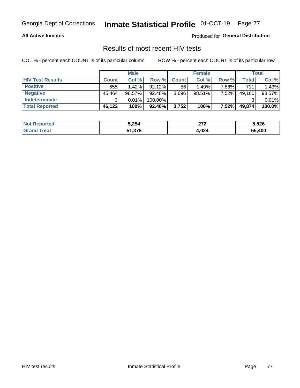#### **All Active Inmates**

Produced for **General Distribution**

## Results of most recent HIV tests

|                         | <b>Male</b>  |          |         | <b>Female</b> |           |          | Total  |        |
|-------------------------|--------------|----------|---------|---------------|-----------|----------|--------|--------|
| <b>HIV Test Results</b> | <b>Count</b> | Col %    | Row %I  | <b>Count</b>  | Col %     | Row %    | Total  | Col %  |
| <b>Positive</b>         | 655          | $1.42\%$ | 92.12%  | 56            | 1.49%     | 7.88%    | 711    | 1.43%  |
| <b>Negative</b>         | 45,464       | 98.57%   | 92.48%  | 3,696         | $98.51\%$ | 7.52%    | 49,160 | 98.57% |
| <b>Indeterminate</b>    | າ            | 0.01%    | 100.00% |               |           |          |        | 0.01%  |
| <b>Total Reported</b>   | 46,122       | 100%     | 92.48%  | 3,752         | 100%      | $7.52\%$ | 49,874 | 100.0% |

| <b>Not Reported</b>          | 5,254  | 273<br><u><i><u> 41</u></i></u> | 5,526  |
|------------------------------|--------|---------------------------------|--------|
| <b>Total</b><br><b>Grand</b> | 51,376 | 4,024                           | 55,400 |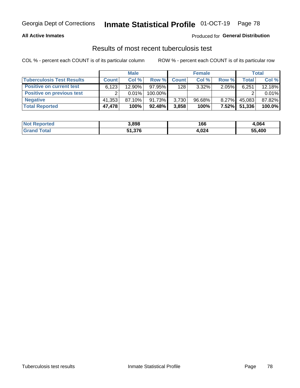#### **All Active Inmates**

#### Produced for **General Distribution**

#### Results of most recent tuberculosis test

|                                  | <b>Male</b>  |           |           |              | <b>Female</b> |          | Total        |        |
|----------------------------------|--------------|-----------|-----------|--------------|---------------|----------|--------------|--------|
| <b>Tuberculosis Test Results</b> | <b>Count</b> | Col %     | Row %     | <b>Count</b> | Col %         | Row %    | <b>Total</b> | Col %  |
| <b>Positive on current test</b>  | 6,123        | 12.90%    | 97.95%    | 128          | $3.32\%$      | 2.05%    | 6,251        | 12.18% |
| <b>Positive on previous test</b> | ົ            | 0.01%     | 100.00%   |              |               |          |              | 0.01%  |
| <b>Negative</b>                  | 41,353       | $87.10\%$ | 91.73%    | 3,730        | $96.68\%$     | $8.27\%$ | 45,083       | 87.82% |
| <b>Total Reported</b>            | 47,478       | 100%      | $92.48\%$ | 3,858        | 100%          | $7.52\%$ | 51,336       | 100.0% |

| <b>Not Reported</b>          | 3,898  | 166   | 1,064  |
|------------------------------|--------|-------|--------|
| <b>Total</b><br><b>Grand</b> | 51,376 | 4,024 | 55,400 |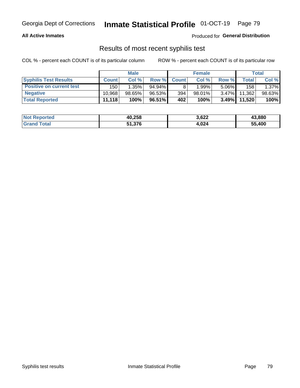#### **All Active Inmates**

Produced for **General Distribution**

### Results of most recent syphilis test

|                                 | <b>Male</b>  |           |           | <b>Female</b> | Total     |          |         |        |
|---------------------------------|--------------|-----------|-----------|---------------|-----------|----------|---------|--------|
| <b>Syphilis Test Results</b>    | <b>Count</b> | Col%      | Row %     | <b>Count</b>  | Col %     | Row %    | Total I | Col %  |
| <b>Positive on current test</b> | 150          | $1.35\%$  | $94.94\%$ |               | $1.99\%$  | $5.06\%$ | 158     | 1.37%  |
| <b>Negative</b>                 | 10.968       | $98.65\%$ | 96.53%    | 394           | $98.01\%$ | $3.47\%$ | 11,362  | 98.63% |
| <b>Total Reported</b>           | 11,118       | 100%      | 96.51%    | 402           | 100%      | $3.49\%$ | 11,520  | 100%   |

| <b>Not Reported</b> | 40,258 | 3,622 | 43,880 |
|---------------------|--------|-------|--------|
| <b>Grand Total</b>  | 51,376 | 4,024 | 55,400 |